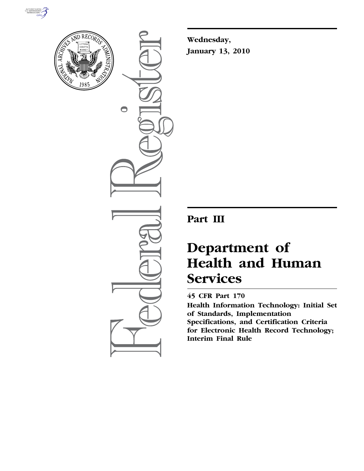



 $\bigcirc$ 

**Wednesday, January 13, 2010** 

# **Part III**

# **Department of Health and Human Services**

## **45 CFR Part 170**

**Health Information Technology: Initial Set of Standards, Implementation Specifications, and Certification Criteria for Electronic Health Record Technology; Interim Final Rule**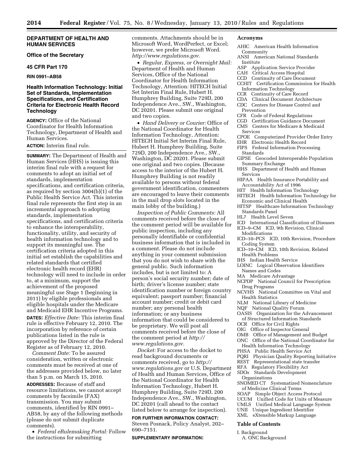#### **DEPARTMENT OF HEALTH AND HUMAN SERVICES**

**Office of the Secretary** 

#### **45 CFR Part 170**

**RIN 0991–AB58** 

#### **Health Information Technology: Initial Set of Standards, Implementation Specifications, and Certification Criteria for Electronic Health Record Technology**

**AGENCY:** Office of the National Coordinator for Health Information Technology, Department of Health and Human Services.

#### **ACTION:** Interim final rule.

**SUMMARY:** The Department of Health and Human Services (HHS) is issuing this interim final rule with a request for comments to adopt an initial set of standards, implementation specifications, and certification criteria, as required by section 3004(b)(1) of the Public Health Service Act. This interim final rule represents the first step in an incremental approach to adopting standards, implementation specifications, and certification criteria to enhance the interoperability, functionality, utility, and security of health information technology and to support its meaningful use. The certification criteria adopted in this initial set establish the capabilities and related standards that certified electronic health record (EHR) technology will need to include in order to, at a minimum, support the achievement of the proposed meaningful use Stage 1 (beginning in 2011) by eligible professionals and eligible hospitals under the Medicare and Medicaid EHR Incentive Programs. **DATES:** *Effective Date:* This interim final rule is effective February 12, 2010. The incorporation by reference of certain publications listed in the rule is

approved by the Director of the Federal Register as of February 12, 2010. *Comment Date:* To be assured consideration, written or electronic

comments must be received at one of the addresses provided below, no later than 5 p.m. on March 15, 2010.

**ADDRESSES:** Because of staff and resource limitations, we cannot accept comments by facsimile (FAX) transmission. You may submit comments, identified by RIN 0991– AB58, by any of the following methods (please do not submit duplicate comments).

• *Federal eRulemaking Portal:* Follow the instructions for submitting

comments. Attachments should be in Microsoft Word, WordPerfect, or Excel; however, we prefer Microsoft Word. *http://www.regulations.gov.* 

• *Regular, Express, or Overnight Mail:*  Department of Health and Human Services, Office of the National Coordinator for Health Information Technology, Attention: HITECH Initial Set Interim Final Rule, Hubert H. Humphrey Building, Suite 729D, 200 Independence Ave., SW., Washington, DC 20201. Please submit one original and two copies.

• *Hand Delivery or Courier:* Office of the National Coordinator for Health Information Technology, Attention: HITECH Initial Set Interim Final Rule, Hubert H. Humphrey Building, Suite 729D, 200 Independence Ave., SW., Washington, DC 20201. Please submit one original and two copies. (Because access to the interior of the Hubert H. Humphrey Building is not readily available to persons without federal government identification, commenters are encouraged to leave their comments in the mail drop slots located in the main lobby of the building.)

*Inspection of Public Comments:* All comments received before the close of the comment period will be available for public inspection, including any personally identifiable or confidential business information that is included in a comment. Please do not include anything in your comment submission that you do not wish to share with the general public. Such information includes, but is not limited to: A person's social security number; date of birth; driver's license number; state identification number or foreign country equivalent; passport number; financial account number; credit or debit card number; any personal health information; or any business information that could be considered to be proprietary. We will post all comments received before the close of the comment period at *http:// www.regulations.gov.* 

*Docket:* For access to the docket to read background documents or comments received, go to *http:// www.regulations.gov* or U.S. Department of Health and Human Services, Office of the National Coordinator for Health Information Technology, Hubert H. Humphrey Building, Suite 729D, 200 Independence Ave., SW., Washington, DC 20201 (call ahead to the contact listed below to arrange for inspection).

#### **FOR FURTHER INFORMATION CONTACT:**

Steven Posnack, Policy Analyst, 202– 690–7151.

#### **SUPPLEMENTARY INFORMATION:**

#### **Acronyms**

- AHIC American Health Information Community
- ANSI American National Standards Institute
- ASP Application Service Provider
- CAH Critical Access Hospital
- CCD Continuity of Care Document
	- CCHIT Certification Commission for Health Information Technology
- CCR Continuity of Care Record
- CDA Clinical Document Architecture
- CDC Centers for Disease Control and Prevention
- CFR Code of Federal Regulations
- CGD Certification Guidance Document
- CMS Centers for Medicare & Medicaid Services
- CPOE Computerized Provider Order Entry
- EHR Electronic Health Record
- FIPS Federal Information Processing Standards
- GIPSE Geocoded Interoperable Population Summary Exchange
- HHS Department of Health and Human Services
- HIPAA Health Insurance Portability and Accountability Act of 1996
- HIT Health Information Technology
- HITECH Health Information Technology for Economic and Clinical Health
- HITSP Healthcare Information Technology Standards Panel
- HL7 Health Level Seven
- ICD International Classification of Diseases
- ICD–9–CM ICD, 9th Revision, Clinical Modifications
- ICD–10–PCS ICD, 10th Revision, Procedure Coding System
- ICD–10–CM ICD, 10th Revision, Related Health Problems
- IHS Indian Health Service
- LOINC Logical Observation Identifiers Names and Codes
- MA Medicare Advantage
- NCPDP National Council for Prescription Drug Programs
- NCVHS National Committee on Vital and
- Health Statistics
- NLM National Library of Medicine
- NQF National Quality Forum
- OASIS Organization for the Advancement of Structured Information Standards
- OCR Office for Civil Rights
- OIG Office of Inspector General
- OMB Office of Management and Budget
- ONC Office of the National Coordinator for Health Information Technology
- PHSA Public Health Service Act
- PQRI Physician Quality Reporting Initiative
- REST Representational state transfer
- RFA Regulatory Flexibility Act
- SDOs Standards Development
- Organizations
- SNOMED CT Systematized Nomenclature of Medicine Clinical Terms
- SOAP Simple Object Access Protocol
- 
- UCUM Unified Code for Units of Measure<br>UMLS Unified Medical Language System Unified Medical Language System
- UNII Unique Ingredient Identifier
- XML eXtensible Markup Language

#### **Table of Contents**

- I. Background
- A. ONC Background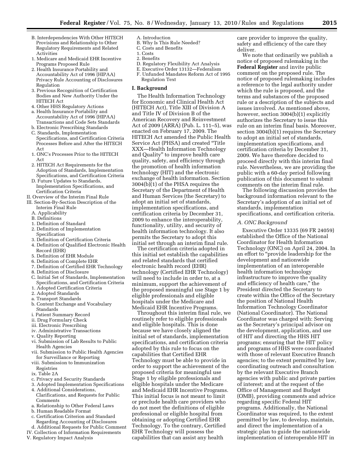- B. Interdependencies With Other HITECH Provisions and Relationship to Other Regulatory Requirements and Related Activities
- 1. Medicare and Medicaid EHR Incentive Programs Proposed Rule
- 2. Health Insurance Portability and Accountability Act of 1996 (HIPAA) Privacy Rule Accounting of Disclosures Regulation
- 3. Previous Recognition of Certification Bodies and New Authority Under the HITECH Act
- 4. Other HHS Regulatory Actions
- a. Health Insurance Portability and Accountability Act of 1996 (HIPAA) Transactions and Code Sets Standards
- b. Electronic Prescribing Standards
- C. Standards, Implementation Specifications, and Certification Criteria Processes Before and After the HITECH Act
- 1. ONC's Processes Prior to the HITECH Act
- 2. HITECH Act Requirements for the Adoption of Standards, Implementation Specifications, and Certification Criteria
- D. Future Updates to Standards, Implementation Specifications, and Certification Criteria
- II. Overview of the Interim Final Rule
- III. Section-By-Section Description of the Interim Final Rule
	- A. Applicability
	- B. Definitions
	- 1. Definition of Standard
	- 2. Definition of Implementation **Specification**
	- 3. Definition of Certification Criteria
	- 4. Definition of Qualified Electronic Health Record (EHR)
	- 5. Definition of EHR Module
	- 6. Definition of Complete EHR
	- 7. Definition of Certified EHR Technology
	- 8. Definition of Disclosure
	- C. Initial Set of Standards, Implementation Specifications, and Certification Criteria
	- 1. Adopted Certification Criteria
	- 2. Adopted Standards
	- a. Transport Standards
	- b. Content Exchange and Vocabulary Standards
	- i. Patient Summary Record
	- ii. Drug Formulary Check
	- iii. Electronic Prescribing
	- iv. Administrative Transactions
	- v. Quality Reporting
	- vi. Submission of Lab Results to Public Health Agencies
	- vii. Submission to Public Health Agencies for Surveillance or Reporting
	- viii. Submission to Immunization Registries
	- ix. Table 2A
	- c. Privacy and Security Standards
	- 3. Adopted Implementation Specifications
	- 4. Additional Considerations, Clarifications, and Requests for Public Comments
	- a. Relationship to Other Federal Laws
	- b. Human Readable Format
	- c. Certification Criterion and Standard
- Regarding Accounting of Disclosures
- d. Additional Requests for Public Comment
- IV. Collection of Information Requirements
- V. Regulatory Impact Analysis
- A. Introduction
- B. Why Is This Rule Needed?
- C. Costs and Benefits
- 1. Costs
- 2. Benefits
- D. Regulatory Flexibility Act Analysis
- E. Executive Order 13132—Federalism
- F. Unfunded Mandates Reform Act of 1995 Regulation Text

#### **I. Background**

The Health Information Technology for Economic and Clinical Health Act (HITECH Act), Title XIII of Division A and Title IV of Division B of the American Recovery and Reinvestment Act of 2009 (ARRA) (Pub. L. 111–5), was enacted on February 17, 2009. The HITECH Act amended the Public Health Service Act (PHSA) and created ''Title XXX—Health Information Technology and Quality'' to improve health care quality, safety, and efficiency through the promotion of health information technology (HIT) and the electronic exchange of health information. Section 3004(b)(1) of the PHSA requires the Secretary of the Department of Health and Human Services (the Secretary) to adopt an initial set of standards, implementation specifications, and certification criteria by December 31, 2009 to enhance the interoperability, functionality, utility, and security of health information technology. It also permits the Secretary to adopt this initial set through an interim final rule.

The certification criteria adopted in this initial set establish the capabilities and related standards that certified electronic health record (EHR) technology (Certified EHR Technology) will need to include in order to, at a minimum, support the achievement of the proposed meaningful use Stage 1 by eligible professionals and eligible hospitals under the Medicare and Medicaid EHR Incentive Programs.

Throughout this interim final rule, we routinely refer to eligible professionals and eligible hospitals. This is done because we have closely aligned the initial set of standards, implementation specifications, and certification criteria adopted by this rule to focus on the capabilities that Certified EHR Technology must be able to provide in order to support the achievement of the proposed criteria for meaningful use Stage 1 by eligible professionals and eligible hospitals under the Medicare and Medicaid EHR Incentive Programs. This initial focus is not meant to limit or preclude health care providers who do not meet the definitions of eligible professional or eligible hospital from obtaining or adopting Certified EHR Technology. To the contrary, Certified EHR Technology will possess the capabilities that can assist any health

care provider to improve the quality, safety and efficiency of the care they deliver.

We note that ordinarily we publish a notice of proposed rulemaking in the **Federal Register** and invite public comment on the proposed rule. The notice of proposed rulemaking includes a reference to the legal authority under which the rule is proposed, and the terms and substances of the proposed rule or a description of the subjects and issues involved. As mentioned above, however, section 3004(b)(1) explicitly authorizes the Secretary to issue this rule on an interim final basis. Moreover, section 3004(b)(1) requires the Secretary to adopt an initial set of standards, implementation specifications, and certification criteria by December 31, 2009. We have therefore decided to proceed directly with this interim final rule. Nevertheless, we are providing the public with a 60-day period following publication of this document to submit comments on the interim final rule.

The following discussion provides the background information relevant to the Secretary's adoption of an initial set of standards, implementation specifications, and certification criteria.

#### *A. ONC Background*

Executive Order 13335 (69 FR 24059) established the Office of the National Coordinator for Health Information Technology (ONC) on April 24, 2004. In an effort to ''provide leadership for the development and nationwide implementation of an interoperable health information technology infrastructure to improve the quality and efficiency of health care,'' the President directed the Secretary to create within the Office of the Secretary the position of National Health Information Technology Coordinator (National Coordinator). The National Coordinator was charged with: Serving as the Secretary's principal advisor on the development, application, and use of HIT and directing the HHS HIT programs; ensuring that the HIT policy and programs of HHS were coordinated with those of relevant Executive Branch agencies; to the extent permitted by law, coordinating outreach and consultation by the relevant Executive Branch agencies with public and private parties of interest; and at the request of the Office of Management and Budget (OMB), providing comments and advice regarding specific Federal HIT programs. Additionally, the National Coordinator was required, to the extent permitted by law, to develop, maintain, and direct the implementation of a strategic plan to guide the nationwide implementation of interoperable HIT in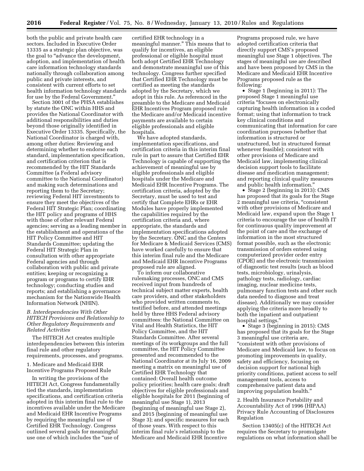both the public and private health care sectors. Included in Executive Order 13335 as a strategic plan objective, was the goal to "advance the development, adoption, and implementation of health care information technology standards nationally through collaboration among public and private interests, and consistent with current efforts to set health information technology standards for use by the Federal Government.''

Section 3001 of the PHSA establishes by statute the ONC within HHS and provides the National Coordinator with additional responsibilities and duties beyond those originally identified in Executive Order 13335. Specifically, the National Coordinator is charged with, among other duties: Reviewing and determining whether to endorse each standard, implementation specification, and certification criterion that is recommended by the HIT Standards Committee (a Federal advisory committee to the National Coordinator) and making such determinations and reporting them to the Secretary; reviewing Federal HIT investments to ensure they meet the objectives of the Federal HIT Strategic Plan; coordinating the HIT policy and programs of HHS with those of other relevant Federal agencies; serving as a leading member in the establishment and operations of the HIT Policy Committee and HIT Standards Committee; updating the Federal HIT Strategic Plan in consultation with other appropriate Federal agencies and through collaboration with public and private entities; keeping or recognizing a program or programs to certify EHR technology; conducting studies and reports; and establishing a governance mechanism for the Nationwide Health Information Network (NHIN).

#### *B. Interdependencies With Other HITECH Provisions and Relationship to Other Regulatory Requirements and Related Activities*

The HITECH Act creates multiple interdependencies between this interim final rule and other regulatory requirements, processes, and programs.

1. Medicare and Medicaid EHR Incentive Programs Proposed Rule

In writing the provisions of the HITECH Act, Congress fundamentally tied the standards, implementation specifications, and certification criteria adopted in this interim final rule to the incentives available under the Medicare and Medicaid EHR Incentive Programs by requiring the meaningful use of Certified EHR Technology. Congress outlined several goals for meaningful use one of which includes the ''use of

certified EHR technology in a meaningful manner.'' This means that to qualify for incentives, an eligible professional or eligible hospital must both adopt Certified EHR Technology and demonstrate meaningful use of this technology. Congress further specified that Certified EHR Technology must be certified as meeting the standards adopted by the Secretary, which we adopt in this rule. As referenced in the preamble to the Medicare and Medicaid EHR Incentives Program proposed rule the Medicare and/or Medicaid incentive payments are available to certain eligible professionals and eligible hospitals.

We have adopted standards, implementation specifications, and certification criteria in this interim final rule in part to assure that Certified EHR Technology is capable of supporting the achievement of meaningful use by eligible professionals and eligible hospitals under the Medicare and Medicaid EHR Incentive Programs. The certification criteria, adopted by the Secretary, must be used to test and certify that Complete EHRs or EHR Modules have properly implemented the capabilities required by the certification criteria and, where appropriate, the standards and implementation specifications adopted by the Secretary. ONC and the Centers for Medicare & Medicaid Services (CMS) have worked carefully to ensure that this interim final rule and the Medicare and Medicaid EHR Incentive Programs proposed rule are aligned.

To inform our collaborative rulemaking processes, ONC and CMS received input from hundreds of technical subject matter experts, health care providers, and other stakeholders who provided written comments to, testified before, and attended meetings held by three HHS Federal advisory committees: the National Committee on Vital and Health Statistics, the HIT Policy Committee, and the HIT Standards Committee. After several meetings of its workgroups and the full committee, the HIT Policy Committee presented and recommended to the National Coordinator at its July 16, 2009 meeting a matrix on meaningful use of Certified EHR Technology that contained: Overall health outcome policy priorities; health care goals; draft objectives for eligible professionals and eligible hospitals for 2011 (beginning of meaningful use Stage 1), 2013 (beginning of meaningful use Stage 2), and 2015 (beginning of meaningful use Stage 3); and specific measures for each of those years. With respect to this interim final rule's relationship to the Medicare and Medicaid EHR Incentive

Programs proposed rule, we have adopted certification criteria that directly support CMS's proposed meaningful use Stage 1 objectives. The stages of meaningful use are described and have been proposed by CMS in the Medicare and Medicaid EHR Incentive Programs proposed rule as the following:

• Stage 1 (beginning in 2011): The proposed Stage 1 meaningful use criteria ''focuses on electronically capturing health information in a coded format; using that information to track key clinical conditions and communicating that information for care coordination purposes (whether that information is structured or unstructured, but in structured format whenever feasible); consistent with other provisions of Medicare and Medicaid law, implementing clinical decision support tools to facilitate disease and medication management; and reporting clinical quality measures and public health information.''

• Stage 2 (beginning in 2013): CMS has proposed that its goals for the Stage 2 meaningful use criteria, "consistent with other provisions of Medicare and Medicaid law, expand upon the Stage 1 criteria to encourage the use of health IT for continuous quality improvement at the point of care and the exchange of information in the most structured format possible, such as the electronic transmission of orders entered using computerized provider order entry (CPOE) and the electronic transmission of diagnostic test results (such as blood tests, microbiology, urinalysis, pathology tests, radiology, cardiac imaging, nuclear medicine tests, pulmonary function tests and other such data needed to diagnose and treat disease). Additionally we may consider applying the criteria more broadly to both the inpatient and outpatient hospital settings.''

• Stage 3 (beginning in 2015): CMS has proposed that its goals for the Stage 3 meaningful use criteria are, ''consistent with other provisions of Medicare and Medicaid law, to focus on promoting improvements in quality, safety and efficiency, focusing on decision support for national high priority conditions, patient access to self management tools, access to comprehensive patient data and improving population health.''

2. Health Insurance Portability and Accountability Act of 1996 (HIPAA) Privacy Rule Accounting of Disclosures Regulation

Section 13405(c) of the HITECH Act requires the Secretary to promulgate regulations on what information shall be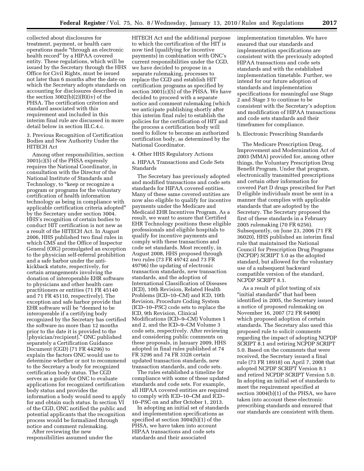collected about disclosures for treatment, payment, or health care operations made ''through an electronic health record'' by a HIPAA covered entity. These regulations, which will be issued by the Secretary through the HHS Office for Civil Rights, must be issued not later than 6 months after the date on which the Secretary adopts standards on accounting for disclosures described in the section  $3002(b)(2)(B)(iv)$  of the PHSA. The certification criterion and standard associated with this requirement and included in this interim final rule are discussed in more detail below in section III $C$  4  $c$ .

3. Previous Recognition of Certification Bodies and New Authority Under the HITECH Act

Among other responsibilities, section 3001(c)(5) of the PHSA expressly requires the National Coordinator, in consultation with the Director of the National Institute of Standards and Technology, to "keep or recognize a program or programs for the voluntary certification of health information technology as being in compliance with applicable certification criteria adopted'' by the Secretary under section 3004. HHS's recognition of certain bodies to conduct HIT certification is not new as a result of the HITECH Act. In August 2006, HHS published two final rules in which CMS and the Office of Inspector General (OIG) promulgated an exception to the physician self-referral prohibition and a safe harbor under the antikickback statute, respectively, for certain arrangements involving the donation of interoperable EHR software to physicians and other health care practitioners or entities (71 FR 45140 and 71 FR 45110, respectively). The exception and safe harbor provide that EHR software will be ''deemed to be interoperable if a certifying body recognized by the Secretary has certified the software no more than 12 months prior to the date it is provided to the [physician/recipient].'' ONC published separately a Certification Guidance Document (CGD) (71 FR 44296) to explain the factors ONC would use to determine whether or not to recommend to the Secretary a body for recognized certification body status. The CGD serves as a guide for ONC to evaluate applications for recognized certification body status and provides the information a body would need to apply for and obtain such status. In section VI of the CGD, ONC notified the public and potential applicants that the recognition process would be formalized through notice and comment rulemaking.

After reviewing the new responsibilities assumed under the

HITECH Act and the additional purpose to which the certification of the HIT is now tied (qualifying for incentive payments) in combination with ONC's current responsibilities under the CGD, we have decided to propose in a separate rulemaking, processes to replace the CGD and establish HIT certification programs as specified by section 3001(c)(5) of the PHSA. We have decided to proceed with a separate notice and comment rulemaking (which we anticipate publishing shortly after this interim final rule) to establish the policies for the certification of HIT and the process a certification body will need to follow to become an authorized certification body, as determined by the National Coordinator.

#### 4. Other HHS Regulatory Actions

a. HIPAA Transactions and Code Sets Standards

The Secretary has previously adopted and modified transactions and code sets standards for HIPAA covered entities. Many of these same covered entities are now also eligible to qualify for incentive payments under the Medicare and Medicaid EHR Incentives Program. As a result, we want to assure that Certified EHR Technology positions these eligible professionals and eligible hospitals to qualify for incentive payments and comply with these transactions and code set standards. Most recently, in August 2008, HHS proposed through two rules (73 FR 49742 and 73 FR 49796) the updating of electronic transaction standards, new transaction standards, and the adoption of International Classification of Diseases (ICD), 10th Revision, Related Health Problems (ICD–10–CM) and ICD, 10th Revision, Procedure Coding System (ICD–10–PSC) code sets to replace the ICD, 9th Revision, Clinical Modifications (ICD–9–CM) Volumes 1 and 2, and the ICD–9–CM Volume 3 code sets, respectively. After reviewing and considering public comments on these proposals, in January 2009, HHS adopted in final rules published at 74 FR 3296 and 74 FR 3328 certain updated transaction standards, new transaction standards, and code sets.

The rules established a timeline for compliance with some of these updated standards and code sets. For example, all HIPAA covered entities are required to comply with ICD–10–CM and ICD– 10–PSC on and after October 1, 2013.

In adopting an initial set of standards and implementation specifications as specified at section 3004(b)(1) of the PHSA, we have taken into account HIPAA transactions and code sets standards and their associated

implementation timetables. We have ensured that our standards and implementation specifications are consistent with the previously adopted HIPAA transactions and code sets standards and with the established implementation timetable. Further, we intend for our future adoption of standards and implementation specifications for meaningful use Stage 2 and Stage 3 to continue to be consistent with the Secretary's adoption and modification of HIPAA transactions and code sets standards and their timeframes for compliance.

#### b. Electronic Prescribing Standards

The Medicare Prescription Drug, Improvement and Modernization Act of 2003 (MMA) provided for, among other things, the Voluntary Prescription Drug Benefit Program. Under that program, electronically transmitted prescriptions and certain other information for covered Part D drugs prescribed for Part D eligible individuals must be sent in a manner that complies with applicable standards that are adopted by the Secretary. The Secretary proposed the first of these standards in a February 2005 rulemaking (70 FR 6256). Subsequently, on June 23, 2006 (71 FR 36020), HHS published an interim final rule that maintained the National Council for Prescription Drug Programs (NCPDP) SCRIPT 5.0 as the adopted standard, but allowed for the voluntary use of a subsequent backward compatible version of the standard, NCPDP SCRIPT 8.1.

As a result of pilot testing of six "initial standards" that had been identified in 2005, the Secretary issued a notice of proposed rulemaking on November 16, 2007 (72 FR 64900) which proposed adoption of certain standards. The Secretary also used this proposed rule to solicit comments regarding the impact of adopting NCPDP SCRIPT 8.1 and retiring NCPDP SCRIPT 5.0. Based on the comments that were received, the Secretary issued a final rule (73 FR 18918) on April 7, 2008 that adopted NCPDP SCRIPT Version 8.1 and retired NCPDP SCRIPT Version 5.0. In adopting an initial set of standards to meet the requirement specified at section 3004(b)(1) of the PHSA, we have taken into account these electronic prescribing standards and ensured that our standards are consistent with them.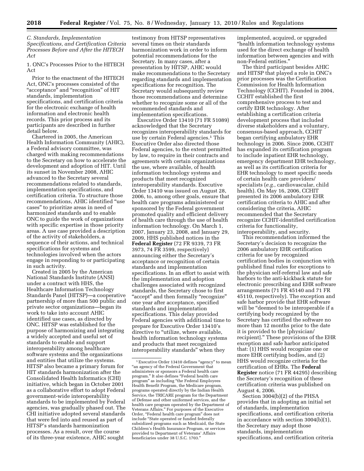*C. Standards, Implementation Specifications, and Certification Criteria Processes Before and After the HITECH Act* 

1. ONC's Processes Prior to the HITECH Act

Prior to the enactment of the HITECH Act, ONC's processes consisted of the "acceptance" and "recognition" of HIT standards, implementation specifications, and certification criteria for the electronic exchange of health information and electronic health records. This prior process and its participants are described in further detail below.

Chartered in 2005, the American Health Information Community (AHIC), a Federal advisory committee, was charged with making recommendations to the Secretary on how to accelerate the development and adoption of HIT. Until its sunset in November 2008, AHIC advanced to the Secretary several recommendations related to standards, implementation specifications, and certification criteria. To structure those recommendations, AHIC identified ''use cases'' to prioritize areas in need of harmonized standards and to enable ONC to guide the work of organizations with specific expertise in those priority areas. A use case provided a description of the activity of stakeholders, a sequence of their actions, and technical specifications for systems and technologies involved when the actors engage in responding to or participating in such activity.

Created in 2005 by the American National Standards Institute (ANSI) under a contract with HHS, the Healthcare Information Technology Standards Panel (HITSP)—a cooperative partnership of more than 500 public and private sector organizations—began its work to take into account AHIC identified use cases, as directed by ONC. HITSP was established for the purpose of harmonizing and integrating a widely accepted and useful set of standards to enable and support interoperability among healthcare software systems and the organizations and entities that utilize the systems. HITSP also became a primary forum for HIT standards harmonization after the Consolidated Health Informatics (CHI) initiative, which began in October 2001 as a collaborative effort to adopt Federal government-wide interoperability standards to be implemented by Federal agencies, was gradually phased out. The CHI initiative adopted several standards that were fed into and reused as part of HITSP's standards harmonization processes. As a result, over the course of its three-year existence, AHIC sought

testimony from HITSP representatives several times on their standards harmonization work in order to inform potential recommendations for the Secretary. In many cases, after a presentation by HITSP, AHIC would make recommendations to the Secretary regarding standards and implementation specifications for recognition. The Secretary would subsequently review those recommendations and determine whether to recognize some or all of the recommended standards and implementation specifications.

Executive Order 13410 (71 FR 51089) acknowledged that the Secretary recognizes interoperability standards for use by certain Federal agencies.<sup>1</sup> This Executive Order also directed those Federal agencies, to the extent permitted by law, to require in their contracts and agreements with certain organizations the use, where available, of health information technology systems and products that meet recognized interoperability standards. Executive Order 13410 was issued on August 28, 2006, to, among other goals, ensure that health care programs administered or sponsored by the Federal government promoted quality and efficient delivery of health care through the use of health information technology. On March 1, 2007, January 23, 2008, and January 29, 2009, HHS published notices in the **Federal Register** (72 FR 9339, 73 FR 3973, 74 FR 3599, respectively) announcing either the Secretary's acceptance or recognition of certain standards and implementation specifications. In an effort to assist with the implementation and adoption challenges associated with recognized standards, the Secretary chose to first ''accept'' and then formally ''recognize'' one year after acceptance, specified standards and implementation specifications. This delay provided Federal agencies with additional time to prepare for Executive Order 13410's directive to "utilize, where available, health information technology systems and products that meet recognized interoperability standards'' when they

implemented, acquired, or upgraded ''health information technology systems used for the direct exchange of health information between agencies and with non-Federal entities.''

The third participant besides AHIC and HITSP that played a role in ONC's prior processes was the Certification Commission for Health Information Technology (CCHIT). Founded in 2004, CCHIT established the first comprehensive process to test and certify EHR technology. After establishing a certification criteria development process that included diverse stakeholders and a voluntary, consensus-based approach, CCHIT began certifying ambulatory EHR technology in 2006. Since 2006, CCHIT has expanded its certification program to include inpatient EHR technology, emergency department EHR technology, as well as its certification criteria for EHR technology to meet specific needs of certain health care providers/ specialists (*e.g.,* cardiovascular, child health). On May 16, 2006, CCHIT presented its 2006 ambulatory EHR certification criteria to AHIC and after considering the criteria, AHIC recommended that the Secretary recognize CCHIT-identified certification criteria for functionality, interoperability, and security.

This recommendation informed the Secretary's decision to recognize the 2006 ambulatory EHR certification criteria for use by recognized certification bodies in conjunction with published final rules for exceptions to the physician self-referral law and safe harbors to the anti-kickback statute for electronic prescribing and EHR software arrangements (71 FR 45140 and 71 FR 45110, respectively). The exception and safe harbor provide that EHR software will be ''deemed to be interoperable if a certifying body recognized by the Secretary has certified the software no more than 12 months prior to the date it is provided to the [physician/ recipient].'' These provisions of the EHR exception and safe harbor anticipated that: (1) HHS would recognize one or more EHR certifying bodies, and (2) HHS would recognize criteria for the certification of EHRs. The **Federal Register** notice (71 FR 44295) describing the Secretary's recognition of these certification criteria was published on August 4, 2006.

Section 3004(b)(2) of the PHSA provides that in adopting an initial set of standards, implementation specifications, and certification criteria in accordance with section 3004(b)(1), the Secretary may adopt those standards, implementation specifications, and certification criteria

<sup>&</sup>lt;sup>1</sup> Executive Order 13410 defines "agency" to mean ''an agency of the Federal Government that administers or sponsors a Federal health care program.'' It also defines ''Federal health care program'' as including ''the Federal Employees Health Benefit Program, the Medicare program, programs operated directly by the Indian Health Service, the TRICARE program for the Department of Defense and other uniformed services, and the health care program operated by the Department of Veterans Affairs.'' For purposes of the Executive Order, ''Federal health care program'' does not include ''State operated or funded federally subsidized programs such as Medicaid, the State Children's Health Insurance Program, or services provided to Department of Veterans' Affairs beneficiaries under 38 U.S.C. 1703.''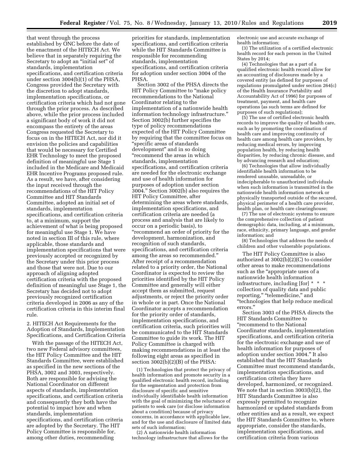that went through the process established by ONC before the date of the enactment of the HITECH Act. We believe that in separately requiring the Secretary to adopt an ''initial set'' of standards, implementation specifications, and certification criteria under section 3004(b)(1) of the PHSA, Congress provided the Secretary with the discretion to adopt standards, implementation specifications, or certification criteria which had not gone through the prior process. As described above, while the prior process included a significant body of work it did not encompass the entirety of the areas Congress requested the Secretary to focus on in the HITECH Act, nor did it envision the policies and capabilities that would be necessary for Certified EHR Technology to meet the proposed definition of meaningful use Stage 1 included in the Medicare and Medicaid EHR Incentive Programs proposed rule. As a result, we have, after considering the input received through the recommendations of the HIT Policy Committee and HIT Standards Committee, adopted an initial set of standards, implementation specifications, and certification criteria to, at a minimum, support the achievement of what is being proposed for meaningful use Stage 1. We have noted in section III of this rule, where applicable, those standards and implementation specifications that were previously accepted or recognized by the Secretary under this prior process and those that were not. Due to our approach of aligning adopted certification criteria with the proposed definition of meaningful use Stage 1, the Secretary has decided not to adopt previously recognized certification criteria developed in 2006 as any of the certification criteria in this interim final rule.

2. HITECH Act Requirements for the Adoption of Standards, Implementation Specifications, and Certification Criteria

With the passage of the HITECH Act, two new Federal advisory committees, the HIT Policy Committee and the HIT Standards Committee, were established as specified in the new sections of the PHSA, 3002 and 3003, respectively. Both are responsible for advising the National Coordinator on different aspects of standards, implementation specifications, and certification criteria and consequently they both have the potential to impact how and when standards, implementation specifications, and certification criteria are adopted by the Secretary. The HIT Policy Committee is responsible for, among other duties, recommending

priorities for standards, implementation specifications, and certification criteria while the HIT Standards Committee is responsible for recommending standards, implementation specifications, and certification criteria for adoption under section 3004 of the PHSA.

Section 3002 of the PHSA directs the HIT Policy Committee to "make policy recommendations to the National Coordinator relating to the implementation of a nationwide health information technology infrastructure.'' Section 3002(b) further specifies the type of policy recommendations expected of the HIT Policy Committee by requiring that the committee focus on ''specific areas of standards development'' and in so doing ''recommend the areas in which standards, implementation specifications, and certification criteria are needed for the electronic exchange and use of health information for purposes of adoption under section 3004.'' Section 3002(b) also requires the HIT Policy Committee, after determining the areas where standards, implementation specifications, and certification criteria are needed (a process and analysis that are likely to occur on a periodic basis), to ''recommend an order of priority for the development, harmonization, and recognition of such standards, specifications, and certification criteria among the areas so recommended.'' After receipt of a recommendation related to a priority order, the National Coordinator is expected to review the priorities identified by the HIT Policy Committee and generally will either accept them as submitted, request adjustments, or reject the priority order in whole or in part. Once the National Coordinator accepts a recommendation for the priority order of standards, implementation specifications, and certification criteria, such priorities will be communicated to the HIT Standards Committee to guide its work. The HIT Policy Committee is charged with making recommendations in at least the following eight areas as specified in section 3002(b)(2)(B) of the PHSA:

(1) Technologies that protect the privacy of health information and promote security in a qualified electronic health record, including for the segmentation and protection from disclosure of specific and sensitive individually identifiable health information with the goal of minimizing the reluctance of patients to seek care (or disclose information about a condition) because of privacy concerns, in accordance with applicable law, and for the use and disclosure of limited data sets of such information;

(2) A nationwide health information technology infrastructure that allows for the electronic use and accurate exchange of health information;

(3) The utilization of a certified electronic health record for each person in the United States by 2014;

(4) Technologies that as a part of a qualified electronic health record allow for an accounting of disclosures made by a covered entity (as defined for purposes of regulations promulgated under section 264(c) of the Health Insurance Portability and Accountability Act of 1996) for purposes of treatment, payment, and health care operations (as such terms are defined for purposes of such regulations);

(5) The use of certified electronic health records to improve the quality of health care, such as by promoting the coordination of health care and improving continuity of health care among health care providers, by reducing medical errors, by improving population health, by reducing health disparities, by reducing chronic disease, and by advancing research and education;

(6) Technologies that allow individually identifiable health information to be rendered unusable, unreadable, or indecipherable to unauthorized individuals when such information is transmitted in the nationwide health information network or physically transported outside of the secured, physical perimeter of a health care provider, health plan, or health care clearinghouse;

(7) The use of electronic systems to ensure the comprehensive collection of patient demographic data, including, at a minimum, race, ethnicity, primary language, and gender information; and

(8) Technologies that address the needs of children and other vulnerable populations.

The HIT Policy Committee is also authorized at 3002(b)(2)(C) to consider other areas to make recommendations such as the "appropriate uses of a nationwide health information infrastructure, including [for] \* \* \* collection of quality data and public reporting," "telemedicine," and ''technologies that help reduce medical errors.''

Section 3003 of the PHSA directs the HIT Standards Committee to ''recommend to the National Coordinator standards, implementation specifications, and certification criteria for the electronic exchange and use of health information for purposes of adoption under section 3004.'' It also established that the HIT Standards Committee must recommend standards, implementation specifications, and certification criteria they have developed, harmonized, or recognized. We note that in section 3003(b)(2), the HIT Standards Committee is also expressly permitted to recognize harmonized or updated standards from other entities and as a result, we expect the HIT Standards Committee to, where appropriate, consider the standards, implementation specifications, and certification criteria from various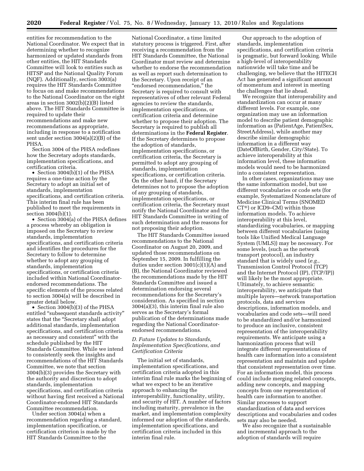entities for recommendation to the National Coordinator. We expect that in determining whether to recognize harmonized or updated standards from other entities, the HIT Standards Committee will look to entities such as HITSP and the National Quality Forum (NQF). Additionally, section 3003(a) requires the HIT Standards Committee to focus on and make recommendations to the National Coordinator on the eight areas in section 3002(b)(2)(B) listed above. The HIT Standards Committee is required to update their recommendations and make new recommendations as appropriate, including in response to a notification sent under section 3004(a)(2)(B) of the PHSA.

Section 3004 of the PHSA redefines how the Secretary adopts standards, implementation specifications, and certification criteria.

• Section 3004(b)(1) of the PHSA requires a one-time action by the Secretary to adopt an initial set of standards, implementation specifications, and certification criteria. This interim final rule has been published to meet the requirements in section 3004(b)(1).

• Section 3004(a) of the PHSA defines a process whereby an obligation is imposed on the Secretary to review standards, implementation specifications, and certification criteria and identifies the procedures for the Secretary to follow to determine whether to adopt any grouping of standards, implementation specifications, or certification criteria included within National Coordinatorendorsed recommendations. The specific elements of the process related to section 3004(a) will be described in greater detail below.

• Section 3004(b)(3) of the PHSA entitled ''subsequent standards activity'' states that the ''Secretary shall adopt additional standards, implementation specifications, and certification criteria as necessary and consistent'' with the schedule published by the HIT Standards Committee. While we intend to consistently seek the insights and recommendations of the HIT Standards Committee, we note that section 3004(b)(3) provides the Secretary with the authority and discretion to adopt standards, implementation specifications, and certification criteria without having first received a National Coordinator-endorsed HIT Standards Committee recommendation.

Under section 3004(a) when a recommendation regarding a standard, implementation specification, or certification criterion is made by the HIT Standards Committee to the

National Coordinator, a time limited statutory process is triggered. First, after receiving a recommendation from the HIT Standards Committee, the National Coordinator must review and determine whether to endorse the recommendation as well as report such determination to the Secretary. Upon receipt of an ''endorsed recommendation,'' the Secretary is required to consult with representatives of other relevant Federal agencies to review the standards, implementation specifications, or certification criteria and determine whether to propose their adoption. The Secretary is required to publish all determinations in the **Federal Register**. If the Secretary determines to propose the adoption of standards, implementation specifications, or certification criteria, the Secretary is permitted to adopt any grouping of standards, implementation specifications, or certification criteria. On the other hand, if the Secretary determines not to propose the adoption of any grouping of standards, implementation specifications, or certification criteria, the Secretary must notify the National Coordinator and the HIT Standards Committee in writing of such determination and the reasons for not proposing their adoption.

The HIT Standards Committee issued recommendations to the National Coordinator on August 20, 2009, and updated those recommendations on September 15, 2009. In fulfilling the duties under section 3001(c)(1)(A) and (B), the National Coordinator reviewed the recommendations made by the HIT Standards Committee and issued a determination endorsing several recommendations for the Secretary's consideration. As specified in section 3004(a)(3), this interim final rule also serves as the Secretary's formal publication of the determinations made regarding the National Coordinatorendorsed recommendations.

#### *D. Future Updates to Standards, Implementation Specifications, and Certification Criteria*

The initial set of standards, implementation specifications, and certification criteria adopted in this interim final rule marks the beginning of what we expect to be an iterative approach to enhancing the interoperability, functionality, utility, and security of HIT. A number of factors including maturity, prevalence in the market, and implementation complexity informed our adoption of the standards, implementation specifications, and certification criteria included in this interim final rule.

Our approach to the adoption of standards, implementation specifications, and certification criteria is pragmatic, but forward looking. While a high-level of interoperability nationwide will take time and be challenging, we believe that the HITECH Act has generated a significant amount of momentum and interest in meeting the challenges that lie ahead.

We recognize that interoperability and standardization can occur at many different levels. For example, one organization may use an information model to describe patient demographic information as (PatientAge, PatientSex, StreetAddress), while another may describe similar demographic information in a different way (DateOfBirth, Gender, City/State). To achieve interoperability at this information level, these information models would need to be harmonized into a consistent representation.

In other cases, organizations may use the same information model, but use different vocabularies or code sets (for example, Systematized Nomenclature of Medicine Clinical Terms (SNOMED CT®) or ICD9–CM) within those information models. To achieve interoperability at this level, standardizing vocabularies, or mapping between different vocabularies (using tools like Unified Medical Language System (UMLS)) may be necessary. For some levels, (such as the network transport protocol), an industry standard that is widely used (*e.g.*, Transmission Control Protocol (TCP) and the Internet Protocol (IP), (TCP/IP)) will likely be the most appropriate. Ultimately, to achieve semantic interoperability, we anticipate that multiple layers—network transportation protocols, data and services descriptions, information models, and vocabularies and code sets—will need to be standardized and/or harmonized to produce an inclusive, consistent representation of the interoperability requirements. We anticipate using a harmonization process that will integrate different representations of health care information into a consistent representation and maintain and update that consistent representation over time. For an information model, this process could include merging related concepts, adding new concepts, and mapping concepts from one representation of health care information to another. Similar processes to support standardization of data and services descriptions and vocabularies and codes sets may also be needed.

We also recognize that a sustainable and incremental approach to the adoption of standards will require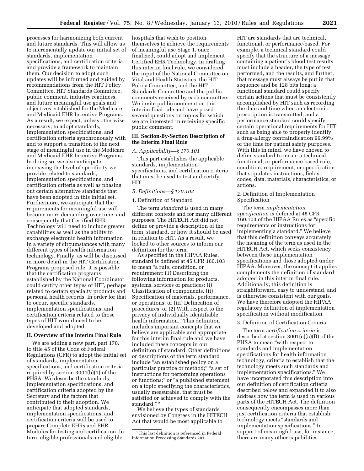processes for harmonizing both current and future standards. This will allow us to incrementally update our initial set of standards, implementation specifications, and certification criteria and provide a framework to maintain them. Our decision to adopt such updates will be informed and guided by recommendations from the HIT Policy Committee, HIT Standards Committee, public comment, industry readiness, and future meaningful use goals and objectives established for the Medicare and Medicaid EHR Incentive Programs. As a result, we expect, unless otherwise necessary, to adopt standards, implementation specifications, and certification criteria synchronously with and to support a transition to the next stage of meaningful use in the Medicare and Medicaid EHR Incentive Programs. In doing so, we also anticipate increasing the level of specificity we provide related to standards, implementation specifications, and certification criteria as well as phasing out certain alternative standards that HIT.

have been adopted in this initial set. Furthermore, we anticipate that the requirements for meaningful use will become more demanding over time, and consequently that Certified EHR Technology will need to include greater capabilities as well as the ability to exchange electronic health information in a variety of circumstances with many different types of health information technology. Finally, as will be discussed in more detail in the HIT Certification Programs proposed rule, it is possible that the certification programs

established by the National Coordinator could certify other types of HIT, perhaps related to certain specialty products and personal health records. In order for that

**II. Overview of the Interim Final Rule**  We are adding a new part, part 170, to title 45 of the Code of Federal

Regulations (CFR) to adopt the initial set

specifications, and certification criteria required by section 3004(b)(1) of the PHSA. We describe the standards, implementation specifications, and certification criteria adopted by the Secretary and the factors that contributed to their adoption. We anticipate that adopted standards, implementation specifications, and certification criteria will be used to prepare Complete EHRs and EHR Modules for testing and certification. In turn, eligible professionals and eligible

to occur, specific standards, implementation specifications, and certification criteria related to those types of HIT would need to be developed and adopted.

of standards, implementation

The term *standard* is used in many different contexts and for many different purposes. The HITECH Act did not define or provide a description of the term, standard, or how it should be used in relation to HIT. As a result, we looked to other sources to inform our definition for the term.

As specified in the HIPAA Rules, standard is defined at 45 CFR 160.103 to mean ''a rule, condition, or requirement: (1) Describing the following information for products, systems, services or practices: (i) Classification of components. (ii) Specification of materials, performance, or operations; or (iii) Delineation of procedures; or (2) With respect to the privacy of individually identifiable health information.'' This definition includes important concepts that we believe are applicable and appropriate for this interim final rule and we have included these concepts in our definition of standard. Other definitions or descriptions of the term standard include ''an established policy on a particular practice or method;" "a set of instructions for performing operations or functions;'' or ''a published statement on a topic specifying the characteristics, usually measurable, that must be satisfied or achieved to comply with the standard."<sup>2</sup>

We believe the types of standards envisioned by Congress in the HITECH Act that would be most applicable to

HIT are standards that are technical, functional, or performance-based. For example, a technical standard could specify that the structure of a message containing a patient's blood test results must include a header, the type of test performed, and the results, and further, that message must always be put in that sequence and be 128 bits long; a functional standard could specify certain actions that must be consistently accomplished by HIT such as recording the date and time when an electronic prescription is transmitted; and a performance standard could specify certain operational requirements for HIT such as being able to properly identify a drug-allergy contraindication 99.99% of the time for patient safety purposes. With this in mind, we have chosen to define standard to mean: a technical, functional, or performance-based rule, condition, requirement, or specification that stipulates instructions, fields, codes, data, materials, characteristics, or actions.

#### 2. Definition of Implementation Specification

The term *implementation specification* is defined at 45 CFR 160.103 of the HIPAA Rules as ''specific requirements or instructions for implementing a standard.'' We believe that this definition conveys accurately the meaning of the term as used in the HITECH Act, which seeks consistency between these implementation specifications and those adopted under HIPAA. Moreover, the concept it applies complements the definition of standard adopted in this interim final rule. Additionally, this definition is straightforward, easy to understand, and is otherwise consistent with our goals. We have therefore adopted the HIPAA regulatory definition of implementation specification without modification.

### 3. Definition of Certification Criteria

The term *certification criteria* is described at section 3001(c)(5)(B) of the PHSA to mean "with respect to standards and implementation specifications for health information technology, criteria to establish that the technology meets such standards and implementation specifications.'' We have incorporated this description into our definition of certification criteria described below and expanded it to also address how the term is used in various parts of the HITECH Act. The definition consequently encompasses more than just certification criteria that establish technology meets ''standards and implementation specifications.'' In support of meaningful use, for instance, there are many other capabilities

hospitals that wish to position themselves to achieve the requirements of meaningful use Stage 1, once finalized, could adopt and implement Certified EHR Technology. In drafting this interim final rule, we considered the input of the National Committee on Vital and Health Statistics, the HIT Policy Committee, and the HIT Standards Committee and the public comments received by each committee. We invite public comment on this interim final rule and have posed several questions on topics for which we are interested in receiving specific public comment.

#### **III. Section-By-Section Description of the Interim Final Rule**

#### *A. Applicability—§ 170.101*

This part establishes the applicable standards, implementation specifications, and certification criteria that must be used to test and certify

#### *B. Definitions—§ 170.102*

#### 1. Definition of Standard

<sup>2</sup>This last definition is referenced in Federal Information Processing Standards 201.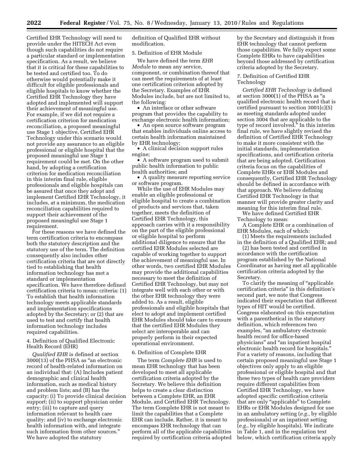Certified EHR Technology will need to provide under the HITECH Act even though such capabilities do not require a particular standard or implementation specification. As a result, we believe that it is critical for these capabilities to be tested and certified too. To do otherwise would potentially make it difficult for eligible professionals and eligible hospitals to know whether the Certified EHR Technology they have adopted and implemented will support their achievement of meaningful use. For example, if we did not require a certification criterion for medication reconciliation, a proposed meaningful use Stage 1 objective, Certified EHR Technology under this scenario would not provide any assurance to an eligible professional or eligible hospital that the proposed meaningful use Stage 1 requirement could be met. On the other hand, by adopting a certification criterion for medication reconciliation in this interim final rule, eligible professionals and eligible hospitals can be assured that once they adopt and implement Certified EHR Technology, it includes, at a minimum, the medication reconciliation capabilities required to support their achievement of the proposed meaningful use Stage 1 requirement.

For these reasons we have defined the term certification criteria to encompass both the statutory description and the statutory use of the term. The definition consequently also includes other certification criteria that are not directly tied to establishing that health information technology has met a standard or implementation specification. We have therefore defined certification criteria to mean: criteria: (1) To establish that health information technology meets applicable standards and implementation specifications adopted by the Secretary; or (2) that are used to test and certify that health information technology includes required capabilities.

#### 4. Definition of Qualified Electronic Health Record (EHR)

*Qualified EHR* is defined at section 3000(13) of the PHSA as ''an electronic record of health-related information on an individual that: (A) Includes patient demographic and clinical health information, such as medical history and problem lists; and (B) has the capacity: (i) To provide clinical decision support; (ii) to support physician order entry; (iii) to capture and query information relevant to health care quality; and (iv) to exchange electronic health information with, and integrate such information from other sources.'' We have adopted the statutory

definition of Qualified EHR without modification.

#### 5. Definition of EHR Module

We have defined the term *EHR Module* to mean any service, component, or combination thereof that can meet the requirements of at least one certification criterion adopted by the Secretary. Examples of EHR Modules include, but are not limited to, the following:

• An interface or other software program that provides the capability to exchange electronic health information;

• An open source software program that enables individuals online access to certain health information maintained by EHR technology;

• A clinical decision support rules engine;

• A software program used to submit public health information to public health authorities; and

• A quality measure reporting service or software program.

While the use of EHR Modules may enable an eligible professional or eligible hospital to create a combination of products and services that, taken together, meets the definition of Certified EHR Technology, this approach carries with it a responsibility on the part of the eligible professional or eligible hospital to perform additional diligence to ensure that the certified EHR Modules selected are capable of working together to support the achievement of meaningful use. In other words, two certified EHR Modules may provide the additional capabilities necessary to meet the definition of Certified EHR Technology, but may not integrate well with each other or with the other EHR technology they were added to. As a result, eligible professionals and eligible hospitals that elect to adopt and implement certified EHR Modules should take care to ensure that the certified EHR Modules they select are interoperable and can properly perform in their expected operational environment.

#### 6. Definition of Complete EHR

The term *Complete EHR* is used to mean EHR technology that has been developed to meet all applicable certification criteria adopted by the Secretary. We believe this definition helps to create a clear distinction between a Complete EHR, an EHR Module, and Certified EHR Technology. The term Complete EHR is not meant to limit the capabilities that a Complete EHR can include. Rather, it is meant to encompass EHR technology that can perform all of the applicable capabilities required by certification criteria adopted by the Secretary and distinguish it from EHR technology that cannot perform those capabilities. We fully expect some Complete EHRs to have capabilities beyond those addressed by certification criteria adopted by the Secretary.

#### 7. Definition of Certified EHR Technology

*Certified EHR Technology* is defined at section 3000(1) of the PHSA as ''a qualified electronic health record that is certified pursuant to section 3001(c)(5) as meeting standards adopted under section 3004 that are applicable to the type of record involved.'' In this interim final rule, we have slightly revised the definition of Certified EHR Technology to make it more consistent with the initial standards, implementation specifications, and certification criteria that are being adopted. Certification criteria focus on the capabilities of Complete EHRs or EHR Modules and consequently, Certified EHR Technology should be defined in accordance with that approach. We believe defining Certified EHR Technology in that manner will provide greater clarity and meaning for this interim final rule. We have defined Certified EHR

Technology to mean:

A Complete EHR or a combination of EHR Modules, each of which:

(1) Meets the requirements included in the definition of a Qualified EHR; and

(2) has been tested and certified in accordance with the certification program established by the National Coordinator as having met all applicable certification criteria adopted by the Secretary.

To clarify the meaning of ''applicable certification criteria'' in this definition's second part, we note that Congress indicated their expectation that different types of HIT would be certified. Congress elaborated on this expectation with a parenthetical in the statutory definition, which references two examples, "an ambulatory electronic health record for office-based physicians'' and ''an inpatient hospital electronic health record for hospitals.'' For a variety of reasons, including that certain proposed meaningful use Stage 1 objectives only apply to an eligible professional or eligible hospital and that these two types of health care providers require different capabilities from Certified EHR Technology, we have adopted specific certification criteria that are only "applicable" to Complete EHRs or EHR Modules designed for use in an ambulatory setting (*e.g.*, by eligible professionals) or an inpatient setting (*e.g.*, by eligible hospitals). We indicate in Table 1, and in the regulation text below, which certification criteria apply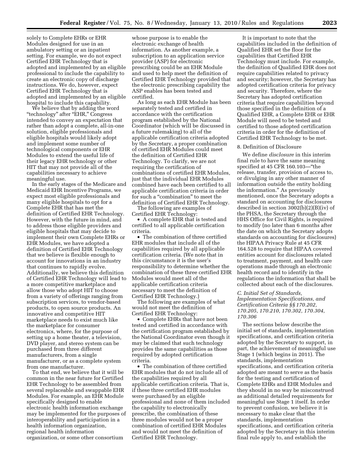solely to Complete EHRs or EHR Modules designed for use in an ambulatory setting or an inpatient setting. For example, we do not expect Certified EHR Technology that is adopted and implemented by an eligible professional to include the capability to create an electronic copy of discharge instructions. We do, however, expect Certified EHR Technology that is adopted and implemented by an eligible hospital to include this capability.

We believe that by adding the word "technology" after "EHR," Congress intended to convey an expectation that rather than adopt a complete, all-in-one solution, eligible professionals and eligible hospitals would likely adopt and implement some number of technological components or EHR Modules to extend the useful life of their legacy EHR technology or other HIT that may not provide all of the capabilities necessary to achieve meaningful use.

In the early stages of the Medicare and Medicaid EHR Incentive Programs, we expect most eligible professionals and many eligible hospitals to opt for a Complete EHR that has met the definition of Certified EHR Technology. However, with the future in mind, and to address those eligible providers and eligible hospitals that may decide to implement their own Complete EHRs or EHR Modules, we have adopted a definition of Certified EHR Technology that we believe is flexible enough to account for innovations in an industry that continues to rapidly evolve. Additionally, we believe this definition of Certified EHR Technology will lead to a more competitive marketplace and allow those who adopt HIT to choose from a variety of offerings ranging from subscription services, to vendor-based products, to open source products. An innovative and competitive HIT marketplace needs to exist much like the marketplace for consumer electronics, where, for the purpose of setting up a home theater, a television, DVD player, and stereo system can be purchased from three different manufacturers, from a single manufacturer, or as a complete system from one manufacturer.

To that end, we believe that it will be common in the near future for Certified EHR Technology to be assembled from several replaceable and swappable EHR Modules. For example, an EHR Module specifically designed to enable electronic health information exchange may be implemented for the purposes of interoperability and participation in a health information organization, regional health information organization, or some other consortium

whose purpose is to enable the electronic exchange of health information. As another example, a subscription to an application service provider (ASP) for electronic prescribing could be an EHR Module and used to help meet the definition of Certified EHR Technology provided that the electronic prescribing capability the ASP enables has been tested and certified.

As long as each EHR Module has been separately tested and certified in accordance with the certification program established by the National Coordinator (which will be discussed in a future rulemaking) to all of the applicable certification criteria adopted by the Secretary, a proper combination of certified EHR Modules could meet the definition of Certified EHR Technology. To clarify, we are not requiring the certification of combinations of certified EHR Modules, just that the individual EHR Modules combined have each been certified to all applicable certification criteria in order for such a "combination" to meet the definition of Certified EHR Technology.

The following are examples of Certified EHR Technology:

• A complete EHR that is tested and certified to all applicable certification criteria.

• The combination of three certified EHR modules that include all of the capabilities required by all applicable certification criteria. (We note that in this circumstance it is the user's responsibility to determine whether the combination of these three certified EHR Modules would meet all of the applicable certification criteria necessary to meet the definition of Certified EHR Technology.)

The following are examples of what would not meet the definition of Certified EHR Technology:

• Complete EHRs that have not been tested and certified in accordance with the certification program established by the National Coordinator even though it may be claimed that such technology provides the same capabilities as those required by adopted certification criteria.

• The combination of three certified EHR modules that do not include all of the capabilities required by all applicable certification criteria. That is, if these three certified EHR modules were purchased by an eligible professional and none of them included the capability to electronically prescribe, the combination of these three modules would not be a proper combination of certified EHR Modules and would not meet the definition of Certified EHR Technology.

It is important to note that the capabilities included in the definition of Qualified EHR set the floor for the capabilities that Certified EHR Technology must include. For example, the definition of Qualified EHR does not require capabilities related to privacy and security; however, the Secretary has adopted certification criteria for privacy and security. Therefore, where the Secretary has adopted certification criteria that require capabilities beyond those specified in the definition of a Qualified EHR, a Complete EHR or EHR Module will need to be tested and certified to those adopted certification criteria in order for the definition of Certified EHR Technology to be met.

#### 8. Definition of Disclosure

We define *disclosure* in this interim final rule to have the same meaning specified at 45 CFR 160.103—''the release, transfer, provision of access to, or divulging in any other manner of information outside the entity holding the information.'' As previously mentioned, once the Secretary adopts a standard on accounting for disclosures described in section 3002(b)(2)(B)(iv) of the PHSA, the Secretary through the HHS Office for Civil Rights, is required to modify (no later than 6 months after the date on which the Secretary adopts standards on accounting for disclosures) the HIPAA Privacy Rule at 45 CFR 164.528 to require that HIPAA covered entities account for disclosures related to treatment, payment, and health care operations made through an electronic health record and to identify in the regulations the information that shall be collected about each of the disclosures.

#### *C. Initial Set of Standards,*

*Implementation Specifications, and Certification Criteria §§ 170.202, 170.205, 170.210, 170.302, 170.304, 170.306* 

The sections below describe the initial set of standards, implementation specifications, and certification criteria adopted by the Secretary to support, in part, the achievement of meaningful use Stage 1 (which begins in 2011). The standards, implementation specifications, and certification criteria adopted are meant to serve as the basis for the testing and certification of Complete EHRs and EHR Modules and they should in no way be misconstrued as additional detailed requirements for meaningful use Stage 1 itself. In order to prevent confusion, we believe it is necessary to make clear that the standards, implementation specifications, and certification criteria adopted by the Secretary in this interim final rule apply to, and establish the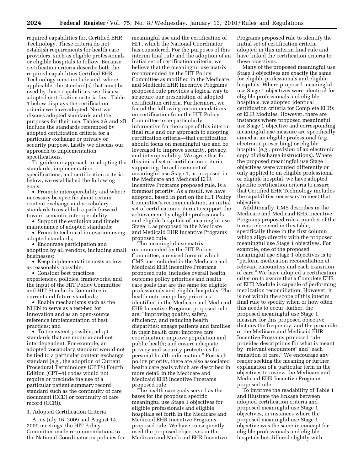required capabilities for, Certified EHR Technology. These criteria do not establish requirements for health care providers, such as eligible professionals or eligible hospitals to follow. Because certification criteria describe both the required capabilities Certified EHR Technology must include and, where applicable, the standard(s) that must be used by those capabilities, we discuss adopted certification criteria first. Table 1 below displays the certification criteria we have adopted. Next we discuss adopted standards and the purposes for their use. Tables 2A and 2B include the standards referenced by adopted certification criteria for a particular exchange or privacy or security purpose. Lastly we discuss our approach to implementation specifications.

To guide our approach to adopting the standards, implementation specifications, and certification criteria below, we established the following goals:

• Promote interoperability and where necessary be specific about certain content exchange and vocabulary standards to establish a path forward toward semantic interoperability;

• Support the evolution and timely maintenance of adopted standards;

• Promote technical innovation using adopted standards;

• Encourage participation and adoption by all vendors, including small businesses;

• Keep implementation costs as low as reasonably possible;

• Consider best practices, experiences, policies, frameworks, and the input of the HIT Policy Committee and HIT Standards Committee in current and future standards;

• Enable mechanisms such as the NHIN to serve as a test-bed for innovation and as an open-source reference implementation of best practices; and

• To the extent possible, adopt standards that are modular and not interdependent. For example, an adopted vocabulary standard would not be tied to a particular content exchange standard (*e.g.,* the adoption of Current Procedural Terminology (CPT®) Fourth Edition (CPT–4) codes would not require or preclude the use of a particular patient summary record standard such as the continuity of care document (CCD) or continuity of care record (CCR)).

#### 1. Adopted Certification Criteria

At its July 16, 2009 and August 14, 2009 meetings, the HIT Policy Committee made recommendations to the National Coordinator on policies for

meaningful use and the certification of HIT, which the National Coordinator has considered. For the purposes of this interim final rule and the adoption of an initial set of certification criteria, we believe that the meaningful use matrix recommended by the HIT Policy Committee as modified in the Medicare and Medicaid EHR Incentive Programs proposed rule provides a logical way to structure our presentation of adopted certification criteria. Furthermore, we found the following recommendations on certification from the HIT Policy Committee to be particularly informative for the scope of this interim final rule and our approach to adopting certification criteria—that certification should focus on meaningful use and be leveraged to improve security, privacy, and interoperability. We agree that for this initial set of certification criteria, supporting the achievement of meaningful use Stage 1, as proposed in the Medicare and Medicaid EHR Incentive Programs proposed rule, is a foremost priority. As a result, we have adopted, based in part on the HIT Policy Committee's recommendation, an initial set of certification criteria to support the achievement by eligible professionals and eligible hospitals of meaningful use Stage 1, as proposed in the Medicare and Medicaid EHR Incentive Programs proposed rule.

The meaningful use matrix recommended by the HIT Policy Committee, a revised form of which CMS has included in the Medicare and Medicaid EHR Incentive Programs proposed rule, includes overall health outcome policy priorities and health care goals that are the same for eligible professionals and eligible hospitals. The health outcome policy priorities identified in the Medicare and Medicaid EHR Incentive Programs proposed rule are: ''Improving quality, safety, efficiency, and reducing health disparities; engage patients and families in their health care; improve care coordination; improve population and public health; and ensure adequate privacy and security protections for personal health information.'' For each policy priority, there are also associated health care goals which are described in more detail in the Medicare and Medicaid EHR Incentive Programs proposed rule.

The health care goals served as the bases for the proposed specific meaningful use Stage 1 objectives for eligible professionals and eligible hospitals set forth in the Medicare and Medicaid EHR Incentive Programs proposed rule. We have consequently used the proposed objectives in the Medicare and Medicaid EHR Incentive

Programs proposed rule to identify the initial set of certification criteria adopted in this interim final rule and have linked the certification criteria to these objectives.

Many of the proposed meaningful use Stage 1 objectives are exactly the same for eligible professionals and eligible hospitals. Where proposed meaningful use Stage 1 objectives were identical for eligible professionals and eligible hospitals, we adopted identical certification criteria for Complete EHRs or EHR Modules. However, there are instances where proposed meaningful use Stage 1 objective and corresponding meaningful use measure are specifically aimed at an eligible professional (*e.g.,*  electronic prescribing) or eligible hospital (*e.g.,* provision of an electronic copy of discharge instructions). Where the proposed meaningful use Stage 1 objectives were worded differently or only applied to an eligible professional or eligible hospital, we have adopted specific certification criteria to assure that Certified EHR Technology includes the capabilities necessary to meet that objective.

Additionally, CMS describes in the Medicare and Medicaid EHR Incentive Programs proposed rule a number of the terms referenced in this table, specifically those in the first column which align directly with the proposed meaningful use Stage 1 objectives. For example, one of the proposed meaningful use Stage 1 objectives is to ''perform medication reconciliation at relevant encounters and each transition of care.'' We have adopted a certification criterion to assure that a Complete EHR or EHR Module is capable of performing medication reconciliation. However, it is not within the scope of this interim final rule to specify when or how often this needs to occur. Rather, the proposed meaningful use Stage 1 measure for this proposed objective dictates the frequency, and the preamble of the Medicare and Medicaid EHR Incentive Programs proposed rule provides descriptions for what is meant by "relevant encounters" and "each transition of care.'' We encourage any reader seeking the meaning or further explanation of a particular term in the objectives to review the Medicare and Medicaid EHR Incentive Programs proposed rule.

To improve the readability of Table 1 and illustrate the linkage between adopted certification criteria and proposed meaningful use Stage 1 objectives, in instances where the proposed meaningful use Stage 1 objective was the same in concept for eligible professionals and eligible hospitals but differed slightly with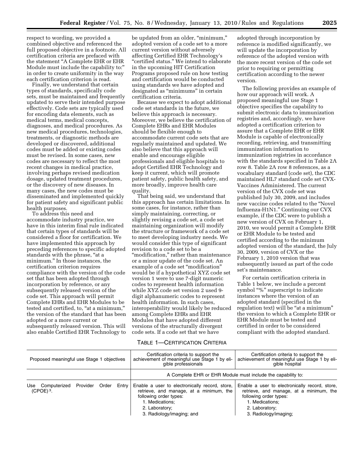respect to wording, we provided a combined objective and referenced the full proposed objective in a footnote. All certification criteria are prefaced with the statement ''A Complete EHR or EHR Module must include the capability to:" in order to create uniformity in the way each certification criterion is read.

Finally, we understand that certain types of standards, specifically code sets, must be maintained and frequently updated to serve their intended purpose effectively. Code sets are typically used for encoding data elements, such as medical terms, medical concepts, diagnoses, and medical procedures. As new medical procedures, technologies, treatments, or diagnostic methods are developed or discovered, additional codes must be added or existing codes must be revised. In some cases, new codes are necessary to reflect the most recent changes in medical practice, involving perhaps revised medication dosage, updated treatment procedures, or the discovery of new diseases. In many cases, the new codes must be disseminated and implemented quickly for patient safety and significant public health purposes.

To address this need and accommodate industry practice, we have in this interim final rule indicated that certain types of standards will be considered a floor for certification. We have implemented this approach by preceding references to specific adopted standards with the phrase, "at a minimum.'' In those instances, the certification criterion requires compliance with the version of the code set that has been adopted through incorporation by reference, or any subsequently released version of the code set. This approach will permit Complete EHRs and EHR Modules to be tested and certified, to, "at a minimum," the version of the standard that has been adopted or a more current or subsequently released version. This will also enable Certified EHR Technology to

be updated from an older, "minimum," adopted version of a code set to a more current version without adversely affecting Certified EHR Technology's "certified status." We intend to elaborate in the upcoming HIT Certification Programs proposed rule on how testing and certification would be conducted using standards we have adopted and designated as ''minimums'' in certain certification criteria.

Because we expect to adopt additional code set standards in the future, we believe this approach is necessary. Moreover, we believe the certification of Complete EHRs and EHR Modules should be flexible enough to accommodate current code sets that are regularly maintained and updated. We also believe that this approach will enable and encourage eligible professionals and eligible hospitals to adopt Certified EHR Technology and keep it current, which will promote patient safety, public health safety, and more broadly, improve health care quality.

That being said, we understand that this approach has certain limitations. In some cases, for instance, rather than simply maintaining, correcting, or slightly revising a code set, a code set maintaining organization will modify the structure or framework of a code set to meet developing industry needs. We would consider this type of significant revision to a code set to be a "modification," rather than maintenance or a minor update of the code set. An example of a code set "modification" would be if a hypothetical XYZ code set version 1 were to use 7-digit numeric codes to represent health information while XYZ code set version 2 used 9 digit alphanumeric codes to represent health information. In such cases, interoperability would likely be reduced among Complete EHRs and EHR Modules that have adopted different versions of the structurally divergent code sets. If a code set that we have

#### TABLE 1—CERTIFICATION CRITERIA

adopted through incorporation by reference is modified significantly, we will update the incorporation by reference of the adopted version with the more recent version of the code set prior to requiring or permitting certification according to the newer version.

The following provides an example of how our approach will work. A proposed meaningful use Stage 1 objective specifies the capability to submit electronic data to immunization registries and, accordingly, we have adopted a certification criterion to assure that a Complete EHR or EHR Module is capable of electronically recording, retrieving, and transmitting immunization information to immunization registries in accordance with the standards specified in Table 2A row 8. Table 2A row 8 references, as a vocabulary standard (code set), the CDC maintained HL7 standard code set CVX-Vaccines Administered. The current version of the CVX code set was published July 30, 2009, and includes new vaccine codes related to the ''Novel Influenza-H1N1.'' Continuing our CVX example, if the CDC were to publish a new version of CVX on February 1, 2010, we would permit a Complete EHR or EHR Module to be tested and certified according to the minimum adopted version of the standard, the July 30, 2009, version of CVX or the February 1, 2010 version that was subsequently issued as part of the code set's maintenance.

For certain certification criteria in Table 1 below, we include a percent symbol "%" superscript to indicate instances where the version of an adopted standard (specified in the regulation text) will be "at a minimum" the version to which a Complete EHR or EHR Module must be tested and certified in order to be considered compliant with the adopted standard.

| Proposed meaningful use Stage 1 objectives |          |       |         | Certification criteria to support the<br>achievement of meaningful use Stage 1 by eli-<br>gible professionals                                                                         | Certification criteria to support the<br>achievement of meaningful use Stage 1 by eli-<br>gible hospital                                                                          |
|--------------------------------------------|----------|-------|---------|---------------------------------------------------------------------------------------------------------------------------------------------------------------------------------------|-----------------------------------------------------------------------------------------------------------------------------------------------------------------------------------|
|                                            |          |       |         |                                                                                                                                                                                       | A Complete EHR or EHR Module must include the capability to:                                                                                                                      |
| Use<br>Computerized<br>$(CPOE)3$ .         | Provider | Order | Entry I | Enable a user to electronically record, store,<br>retrieve, and manage, at a minimum, the<br>following order types:<br>1. Medications;<br>2. Laboratory;<br>3. Radiology/imaging; and | Enable a user to electronically record, store,<br>retrieve, and manage, at a minimum, the<br>following order types:<br>1. Medications:<br>2. Laboratory;<br>3. Radiology/imaging; |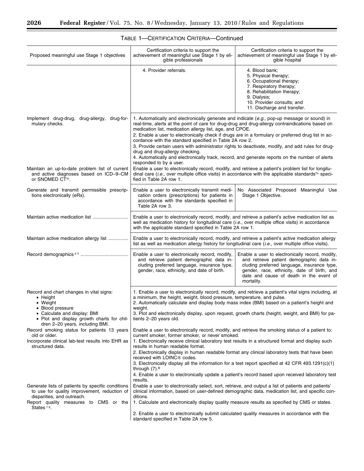$\equiv$ 

| Proposed meaningful use Stage 1 objectives                                                                                                                                                                                                                                                                                                             | Certification criteria to support the<br>achievement of meaningful use Stage 1 by eli-<br>gible professionals                                                                                                                                                                                                                                                                                                                                                                                                                                                                                                                                                                                                                                                                                                                                                                                                                                                                                                                                                                                                       | Certification criteria to support the<br>achievement of meaningful use Stage 1 by eli-<br>gible hospital                                                                                                                                            |  |  |
|--------------------------------------------------------------------------------------------------------------------------------------------------------------------------------------------------------------------------------------------------------------------------------------------------------------------------------------------------------|---------------------------------------------------------------------------------------------------------------------------------------------------------------------------------------------------------------------------------------------------------------------------------------------------------------------------------------------------------------------------------------------------------------------------------------------------------------------------------------------------------------------------------------------------------------------------------------------------------------------------------------------------------------------------------------------------------------------------------------------------------------------------------------------------------------------------------------------------------------------------------------------------------------------------------------------------------------------------------------------------------------------------------------------------------------------------------------------------------------------|-----------------------------------------------------------------------------------------------------------------------------------------------------------------------------------------------------------------------------------------------------|--|--|
|                                                                                                                                                                                                                                                                                                                                                        | 4. Provider referrals.                                                                                                                                                                                                                                                                                                                                                                                                                                                                                                                                                                                                                                                                                                                                                                                                                                                                                                                                                                                                                                                                                              | 4. Blood bank;<br>5. Physical therapy;<br>6. Occupational therapy;<br>7. Respiratory therapy;<br>8. Rehabilitation therapy;<br>9. Dialysis;<br>10. Provider consults; and<br>11. Discharge and transfer.                                            |  |  |
| Implement drug-drug, drug-allergy, drug-for-<br>mulary checks.                                                                                                                                                                                                                                                                                         | 1. Automatically and electronically generate and indicate ( $e.g.,$ pop-up message or sound) in<br>real-time, alerts at the point of care for drug-drug and drug-allergy contraindications based on<br>medication list, medication allergy list, age, and CPOE.<br>2. Enable a user to electronically check if drugs are in a formulary or preferred drug list in ac-<br>cordance with the standard specified in Table 2A row 2.<br>3. Provide certain users with administrator rights to deactivate, modify, and add rules for drug-<br>drug and drug-allergy checking.<br>4. Automatically and electronically track, record, and generate reports on the number of alerts<br>responded to by a user.                                                                                                                                                                                                                                                                                                                                                                                                              |                                                                                                                                                                                                                                                     |  |  |
| Maintain an up-to-date problem list of current<br>and active diagnoses based on ICD-9-CM<br>or SNOMED CT <sup>®</sup> .                                                                                                                                                                                                                                | Enable a user to electronically record, modify, and retrieve a patient's problem list for longitu-<br>dinal care ( <i>i.e.</i> , over multiple office visits) in accordance with the applicable standards <sup>%</sup> speci-<br>fied in Table 2A row 1.                                                                                                                                                                                                                                                                                                                                                                                                                                                                                                                                                                                                                                                                                                                                                                                                                                                            |                                                                                                                                                                                                                                                     |  |  |
| Generate and transmit permissible prescrip-<br>tions electronically (eRx).                                                                                                                                                                                                                                                                             | Enable a user to electronically transmit medi-<br>cation orders (prescriptions) for patients in<br>accordance with the standards specified in<br>Table 2A row 3.                                                                                                                                                                                                                                                                                                                                                                                                                                                                                                                                                                                                                                                                                                                                                                                                                                                                                                                                                    | No Associated Proposed Meaningful Use<br>Stage 1 Objective.                                                                                                                                                                                         |  |  |
|                                                                                                                                                                                                                                                                                                                                                        | Enable a user to electronically record, modify, and retrieve a patient's active medication list as<br>well as medication history for longitudinal care (i.e., over multiple office visits) in accordance<br>with the applicable standard specified in Table 2A row 1.                                                                                                                                                                                                                                                                                                                                                                                                                                                                                                                                                                                                                                                                                                                                                                                                                                               |                                                                                                                                                                                                                                                     |  |  |
| Maintain active medication allergy list                                                                                                                                                                                                                                                                                                                | Enable a user to electronically record, modify, and retrieve a patient's active medication allergy<br>list as well as medication allergy history for longitudinal care $(i.e.,$ over multiple office visits).                                                                                                                                                                                                                                                                                                                                                                                                                                                                                                                                                                                                                                                                                                                                                                                                                                                                                                       |                                                                                                                                                                                                                                                     |  |  |
|                                                                                                                                                                                                                                                                                                                                                        | Enable a user to electronically record, modify,<br>and retrieve patient demographic data in-<br>cluding preferred language, insurance type,<br>gender, race, ethnicity, and date of birth.                                                                                                                                                                                                                                                                                                                                                                                                                                                                                                                                                                                                                                                                                                                                                                                                                                                                                                                          | Enable a user to electronically record, modify,<br>and retrieve patient demographic data in-<br>cluding preferred language, insurance type,<br>gender, race, ethnicity, date of birth, and<br>date and cause of death in the event of<br>mortality. |  |  |
| Record and chart changes in vital signs:<br>$\bullet$ Height<br>• Weight<br>• Blood pressure<br>• Calculate and display: BMI<br>. Plot and display growth charts for chil-<br>dren 2-20 years, including BMI.<br>Record smoking status for patients 13 years<br>old or older.<br>Incorporate clinical lab-test results into EHR as<br>structured data. | 1. Enable a user to electronically record, modify, and retrieve a patient's vital signs including, at<br>a minimum, the height, weight, blood pressure, temperature, and pulse.<br>2. Automatically calculate and display body mass index (BMI) based on a patient's height and<br>weight.<br>3. Plot and electronically display, upon request, growth charts (height, weight, and BMI) for pa-<br>tients 2-20 years old.<br>Enable a user to electronically record, modify, and retrieve the smoking status of a patient to:<br>current smoker, former smoker, or never smoked.<br>1. Electronically receive clinical laboratory test results in a structured format and display such<br>results in human readable format.<br>2. Electronically display in human readable format any clinical laboratory tests that have been<br>received with LOINC <sup>®</sup> codes.<br>3. Electronically display all the information for a test report specified at 42 CFR 493.1291(c)(1)<br>through $(7)$ . <sup>6</sup><br>4. Enable a user to electronically update a patient's record based upon received laboratory test |                                                                                                                                                                                                                                                     |  |  |
| Generate lists of patients by specific conditions<br>to use for quality improvement, reduction of<br>disparities, and outreach.<br>Report quality measures to CMS or the<br>States <sup>78</sup> .                                                                                                                                                     | results.<br>Enable a user to electronically select, sort, retrieve, and output a list of patients and patients'<br>clinical information, based on user-defined demographic data, medication list, and specific con-<br>ditions.<br>1. Calculate and electronically display quality measure results as specified by CMS or states.<br>2. Enable a user to electronically submit calculated quality measures in accordance with the<br>standard specified in Table 2A row 5.                                                                                                                                                                                                                                                                                                                                                                                                                                                                                                                                                                                                                                          |                                                                                                                                                                                                                                                     |  |  |

### TABLE 1—CERTIFICATION CRITERIA—Continued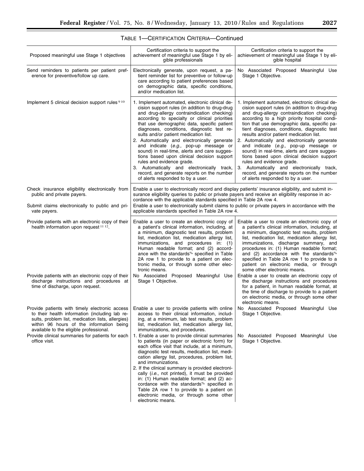| Proposed meaningful use Stage 1 objectives                                                                                                                                                                                                   | Certification criteria to support the<br>achievement of meaningful use Stage 1 by eli-<br>gible professionals                                                                                                                                                                                                                                                                                                                                                                                                                                                                                                                                                                                | Certification criteria to support the<br>achievement of meaningful use Stage 1 by eli-<br>gible hospital                                                                                                                                                                                                                                                                                                                                                                                                                                                                                                                                                                                         |
|----------------------------------------------------------------------------------------------------------------------------------------------------------------------------------------------------------------------------------------------|----------------------------------------------------------------------------------------------------------------------------------------------------------------------------------------------------------------------------------------------------------------------------------------------------------------------------------------------------------------------------------------------------------------------------------------------------------------------------------------------------------------------------------------------------------------------------------------------------------------------------------------------------------------------------------------------|--------------------------------------------------------------------------------------------------------------------------------------------------------------------------------------------------------------------------------------------------------------------------------------------------------------------------------------------------------------------------------------------------------------------------------------------------------------------------------------------------------------------------------------------------------------------------------------------------------------------------------------------------------------------------------------------------|
| Send reminders to patients per patient pref-<br>erence for preventive/follow up care.                                                                                                                                                        | Electronically generate, upon request, a pa-<br>tient reminder list for preventive or follow-up<br>care according to patient preferences based<br>on demographic data, specific conditions,<br>and/or medication list.                                                                                                                                                                                                                                                                                                                                                                                                                                                                       | No Associated Proposed Meaningful Use<br>Stage 1 Objective.                                                                                                                                                                                                                                                                                                                                                                                                                                                                                                                                                                                                                                      |
| Implement 5 clinical decision support rules 9 10                                                                                                                                                                                             | 1. Implement automated, electronic clinical de-<br>cision support rules (in addition to drug-drug<br>and drug-allergy contraindication checking)<br>according to specialty or clinical priorities<br>that use demographic data, specific patient<br>diagnoses, conditions, diagnostic test re-<br>sults and/or patient medication list.<br>2. Automatically and electronically generate<br>and indicate (e.g., pop-up message or<br>sound) in real-time, alerts and care sugges-<br>tions based upon clinical decision support<br>rules and evidence grade.<br>3. Automatically and electronically track,<br>record, and generate reports on the number<br>of alerts responded to by a user. | 1. Implement automated, electronic clinical de-<br>cision support rules (in addition to drug-drug<br>and drug-allergy contraindication checking)<br>according to a high priority hospital condi-<br>tion that use demographic data, specific pa-<br>tient diagnoses, conditions, diagnostic test<br>results and/or patient medication list.<br>2. Automatically and electronically generate<br>and indicate (e.g., pop-up message or<br>sound) in real-time, alerts and care sugges-<br>tions based upon clinical decision support<br>rules and evidence grade.<br>3. Automatically and electronically track,<br>record, and generate reports on the number<br>of alerts responded to by a user. |
| Check insurance eligibility electronically from<br>public and private payers.                                                                                                                                                                | Enable a user to electronically record and display patients' insurance eligibility, and submit in-<br>surance eligibility queries to public or private payers and receive an eligibility response in ac-<br>cordance with the applicable standards specified in Table 2A row 4.                                                                                                                                                                                                                                                                                                                                                                                                              |                                                                                                                                                                                                                                                                                                                                                                                                                                                                                                                                                                                                                                                                                                  |
| Submit claims electronically to public and pri-<br>vate payers.                                                                                                                                                                              | Enable a user to electronically submit claims to public or private payers in accordance with the<br>applicable standards specified in Table 2A row 4.                                                                                                                                                                                                                                                                                                                                                                                                                                                                                                                                        |                                                                                                                                                                                                                                                                                                                                                                                                                                                                                                                                                                                                                                                                                                  |
| Provide patients with an electronic copy of their<br>health information upon request 11 12.                                                                                                                                                  | Enable a user to create an electronic copy of<br>a patient's clinical information, including, at<br>a minimum, diagnostic test results, problem<br>list, medication list, medication allergy list,<br>immunizations, and procedures in: (1)<br>Human readable format; and (2) accord-<br>ance with the standards <sup>%</sup> specified in Table<br>2A row 1 to provide to a patient on elec-<br>tronic media, or through some other elec-<br>tronic means.                                                                                                                                                                                                                                  | Enable a user to create an electronic copy of<br>a patient's clinical information, including, at<br>a minimum, diagnostic test results, problem<br>list, medication list, medication allergy list,<br>immunizations, discharge summary, and<br>procedures in: (1) Human readable format;<br>and (2) accordance with the standards <sup>%</sup><br>specified in Table 2A row 1 to provide to a<br>patient on electronic media, or through<br>some other electronic means.                                                                                                                                                                                                                         |
| Provide patients with an electronic copy of their<br>discharge instructions and procedures at<br>time of discharge, upon request.                                                                                                            | No Associated Proposed Meaningful Use<br>Stage 1 Objective.                                                                                                                                                                                                                                                                                                                                                                                                                                                                                                                                                                                                                                  | Enable a user to create an electronic copy of<br>the discharge instructions and procedures<br>for a patient, in human readable format, at<br>the time of discharge to provide to a patient<br>on electronic media, or through some other<br>electronic means.                                                                                                                                                                                                                                                                                                                                                                                                                                    |
| Provide patients with timely electronic access<br>to their health information (including lab re-<br>sults, problem list, medication lists, allergies)<br>within 96 hours of the information being<br>available to the eligible professional. | Enable a user to provide patients with online<br>access to their clinical information, includ-<br>ing, at a minimum, lab test results, problem<br>list, medication list, medication allergy list,<br>immunizations, and procedures.                                                                                                                                                                                                                                                                                                                                                                                                                                                          | No Associated Proposed Meaningful Use<br>Stage 1 Objective.                                                                                                                                                                                                                                                                                                                                                                                                                                                                                                                                                                                                                                      |
| Provide clinical summaries for patients for each<br>office visit.                                                                                                                                                                            | 1. Enable a user to provide clinical summaries<br>to patients (in paper or electronic form) for<br>each office visit that include, at a minimum,<br>diagnostic test results, medication list, medi-<br>cation allergy list, procedures, problem list,<br>and immunizations.<br>2. If the clinical summary is provided electroni-<br>cally (i.e., not printed), it must be provided<br>in: (1) Human readable format; and (2) ac-<br>cordance with the standards <sup>%</sup> specified in<br>Table 2A row 1 to provide to a patient on<br>electronic media, or through some other<br>electronic means.                                                                                       | No Associated Proposed Meaningful Use<br>Stage 1 Objective.                                                                                                                                                                                                                                                                                                                                                                                                                                                                                                                                                                                                                                      |

## TABLE 1—CERTIFICATION CRITERIA—Continued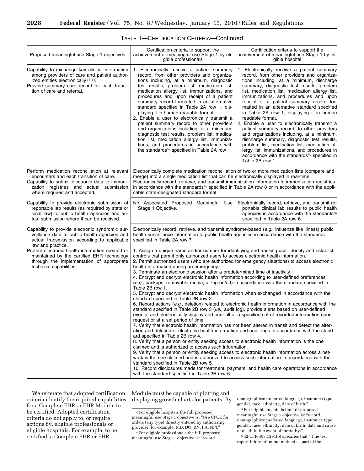| Proposed meaningful use Stage 1 objectives                                                                                                                                                                                                                                                                                                    | Certification criteria to support the<br>achievement of meaningful use Stage 1 by eli-<br>gible professionals                                                                                                                                                                                                                                                                                                                                                                                                                                                                                                                                                                                                                                                                                                                                                                                                                                                                                                                                                                                                                                                                                                                                                                                                                                                                                                                                                                                                                                                                                                                                                                                                                                                                                                                                                                                                                                                                                                                                                      | Certification criteria to support the<br>achievement of meaningful use Stage 1 by eli-<br>gible hospital                                                                                                                                                                                                                                                                                                                                                                                                                                                                                                                                                                                                                                                                                                               |
|-----------------------------------------------------------------------------------------------------------------------------------------------------------------------------------------------------------------------------------------------------------------------------------------------------------------------------------------------|--------------------------------------------------------------------------------------------------------------------------------------------------------------------------------------------------------------------------------------------------------------------------------------------------------------------------------------------------------------------------------------------------------------------------------------------------------------------------------------------------------------------------------------------------------------------------------------------------------------------------------------------------------------------------------------------------------------------------------------------------------------------------------------------------------------------------------------------------------------------------------------------------------------------------------------------------------------------------------------------------------------------------------------------------------------------------------------------------------------------------------------------------------------------------------------------------------------------------------------------------------------------------------------------------------------------------------------------------------------------------------------------------------------------------------------------------------------------------------------------------------------------------------------------------------------------------------------------------------------------------------------------------------------------------------------------------------------------------------------------------------------------------------------------------------------------------------------------------------------------------------------------------------------------------------------------------------------------------------------------------------------------------------------------------------------------|------------------------------------------------------------------------------------------------------------------------------------------------------------------------------------------------------------------------------------------------------------------------------------------------------------------------------------------------------------------------------------------------------------------------------------------------------------------------------------------------------------------------------------------------------------------------------------------------------------------------------------------------------------------------------------------------------------------------------------------------------------------------------------------------------------------------|
| Capability to exchange key clinical information<br>among providers of care and patient author-<br>ized entities electronically 13 14.<br>Provide summary care record for each transi-<br>tion of care and referral.                                                                                                                           | 1. Electronically receive a patient summary<br>record, from other providers and organiza-<br>tions including, at a minimum, diagnostic<br>test results, problem list, medication list,<br>medication allergy list, immunizations, and<br>procedures and upon receipt of a patient<br>summary record formatted in an alternative<br>standard specified in Table 2A row 1, dis-<br>playing it in human readable format.<br>2. Enable a user to electronically transmit a<br>patient summary record to other providers<br>and organizations including, at a minimum,<br>diagnostic test results, problem list, medica-<br>tion list, medication allergy list, immuniza-<br>tions, and procedures in accordance with<br>the standards% specified in Table 2A row 1.                                                                                                                                                                                                                                                                                                                                                                                                                                                                                                                                                                                                                                                                                                                                                                                                                                                                                                                                                                                                                                                                                                                                                                                                                                                                                                    | 1. Electronically receive a patient summary<br>record, from other providers and organiza-<br>tions including, at a minimum, discharge<br>summary, diagnostic test results, problem<br>list, medication list, medication allergy list,<br>immunizations, and procedures and upon<br>receipt of a patient summary record for-<br>matted in an alternative standard specified<br>in Table 2A row 1, displaying it in human<br>readable format.<br>2. Enable a user to electronically transmit a<br>patient summary record, to other providers<br>and organizations including, at a minimum,<br>discharge summary, diagnostic test results,<br>problem list, medication list, medication al-<br>lergy list, immunizations, and procedures in<br>accordance with the standards <sup>%</sup> specified in<br>Table 2A row 1. |
| Perform medication reconciliation at relevant<br>encounters and each transition of care.<br>Capability to submit electronic data to immuni-<br>zation registries and actual submission<br>where required and accepted.                                                                                                                        | Electronically complete medication reconciliation of two or more medication lists (compare and<br>merge) into a single medication list that can be electronically displayed in real-time.<br>Electronically record, retrieve, and transmit immunization information to immunization registries<br>in accordance with the standards <sup>%</sup> specified in Table 2A row 8 or in accordance with the appli-<br>cable state-designated standard format.                                                                                                                                                                                                                                                                                                                                                                                                                                                                                                                                                                                                                                                                                                                                                                                                                                                                                                                                                                                                                                                                                                                                                                                                                                                                                                                                                                                                                                                                                                                                                                                                            |                                                                                                                                                                                                                                                                                                                                                                                                                                                                                                                                                                                                                                                                                                                                                                                                                        |
| Capability to provide electronic submission of<br>reportable lab results (as required by state or<br>local law) to public health agencies and ac-<br>tual submission where it can be received.                                                                                                                                                | No Associated Proposed Meaningful Use<br>Stage 1 Objective.                                                                                                                                                                                                                                                                                                                                                                                                                                                                                                                                                                                                                                                                                                                                                                                                                                                                                                                                                                                                                                                                                                                                                                                                                                                                                                                                                                                                                                                                                                                                                                                                                                                                                                                                                                                                                                                                                                                                                                                                        | Electronically record, retrieve, and transmit re-<br>portable clinical lab results to public health<br>agencies in accordance with the standards%<br>specified in Table 2A row 6.                                                                                                                                                                                                                                                                                                                                                                                                                                                                                                                                                                                                                                      |
| Capability to provide electronic syndromic sur-<br>veillance data to public health agencies and<br>actual transmission according to applicable<br>law and practice.<br>Protect electronic health information created or<br>maintained by the certified EHR technology<br>through the implementation of appropriate<br>technical capabilities. | Electronically record, retrieve, and transmit syndrome-based (e.g., influenza like illness) public<br>health surveillance information to public health agencies in accordance with the standards<br>specified in Table 2A row 7.<br>1. Assign a unique name and/or number for identifying and tracking user identity and establish<br>controls that permit only authorized users to access electronic health information.<br>2. Permit authorized users (who are authorized for emergency situations) to access electronic<br>health information during an emergency.<br>3. Terminate an electronic session after a predetermined time of inactivity.<br>4. Encrypt and decrypt electronic health information according to user-defined preferences<br>(e.g., backups, removable media, at log-on/off) in accordance with the standard specified in<br>Table 2B row 1.<br>5. Encrypt and decrypt electronic health information when exchanged in accordance with the<br>standard specified in Table 2B row 2.<br>6. Record actions (e.g., deletion) related to electronic health information in accordance with the<br>standard specified in Table 2B row 3 (i.e., audit log), provide alerts based on user-defined<br>events, and electronically display and print all or a specified set of recorded information upon<br>request or at a set period of time.<br>7. Verify that electronic health information has not been altered in transit and detect the alter-<br>ation and deletion of electronic health information and audit logs in accordance with the stand-<br>ard specified in Table 2B row 4.<br>8. Verify that a person or entity seeking access to electronic health information is the one<br>claimed and is authorized to access such information.<br>9. Verify that a person or entity seeking access to electronic health information across a net-<br>work is the one claimed and is authorized to access such information in accordance with the<br>standard specified in Table 2B row 5.<br>with the standard specified in Table 2B row 6. | 10. Record disclosures made for treatment, payment, and health care operations in accordance                                                                                                                                                                                                                                                                                                                                                                                                                                                                                                                                                                                                                                                                                                                           |

### TABLE 1—CERTIFICATION CRITERIA—Continued

We reiterate that adopted certification criteria identify the required capabilities for a Complete EHR or EHR Module to be certified. Adopted certification criteria do not apply to, or require actions by, eligible professionals or eligible hospitals. For example, to be certified, a Complete EHR or EHR

Module must be capable of plotting and displaying growth charts for patients. By

6 42 CFR 493.1291(b) specifies that ''[t]he test report information maintained as part of the

 $^{\rm 3}\, \rm{For}$  eligible hospitals the full proposed meaningful use Stage 1 objective is: ''Use CPOE for orders (any type) directly entered by authorizing provider (for example, MD, DO, RN, PA, NP).''

<sup>4</sup>For eligible professionals the full proposed meaningful use Stage 1 objective is: ''record

demographics: preferred language, insurance type, gender, race, ethnicity, date of birth.''

<sup>5</sup>For eligible hospitals the full proposed meaningful use Stage 1 objective is: "record demographics: preferred language, insurance type, gender, race, ethnicity, date of birth, date and cause of death in the event of mortality.''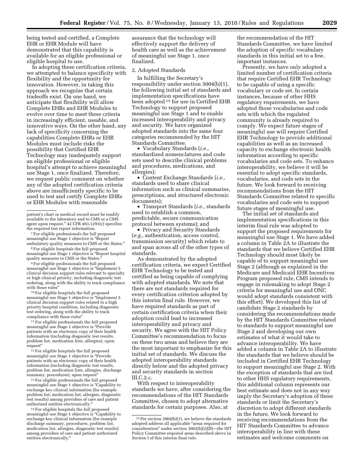being tested and certified, a Complete EHR or EHR Module will have demonstrated that this capability is available for an eligible professional or eligible hospital to use.

In adopting these certification criteria, we attempted to balance specificity with flexibility and the opportunity for innovation. However, in taking this approach we recognize that certain tradeoffs exist. On one hand, we anticipate that flexibility will allow Complete EHRs and EHR Modules to evolve over time to meet these criteria in increasingly efficient, useable, and innovative ways. On the other hand, any lack of specificity concerning the capabilities Complete EHRs or EHR Modules must include risks the possibility that Certified EHR Technology may inadequately support an eligible professional or eligible hospital's attempt to achieve meaningful use Stage 1, once finalized. Therefore, we request public comment on whether any of the adopted certification criteria above are insufficiently specific to be used to test and certify Complete EHRs or EHR Modules with reasonable

7For eligible professionals the full proposed meaningful use Stage 1 objective is ''Report ambulatory quality measures to CMS or the States.''

8For eligible hospitals the full proposed meaningful use Stage 1 objective is ''Report hospital quality measures to CMS or the States.

9For eligible professionals the full proposed meaningful use Stage 1 objective is "Implement 5 clinical decision support rules relevant to specialty or high clinical priority, including diagnostic test ordering, along with the ability to track compliance with those rules"

10For eligible hospitals the full proposed meaningful use Stage 1 objective is ''Implement 5 clinical decision support rules related to a high priority hospital condition, including diagnostic test ordering, along with the ability to track compliance with those rules''

11For eligible professionals the full proposed meaningful use Stage 1 objective is "Provide" patients with an electronic copy of their health information (including diagnostic test results, problem list, medication lists, allergies), upon request''

12For eligible hospitals the full proposed meaningful use Stage 1 objective is ''Provide patients with an electronic copy of their health information (including diagnostic test results, problem list, medication lists, allergies, discharge summary, procedures), upon request''

<sup>13</sup> For eligible professionals the full proposed meaningful use Stage 1 objective is ''Capability to exchange key clinical information (for example problem list, medication list, allergies, diagnostic test results) among providers of care and patient authorized entities electronically.

14For eligible hospitals the full proposed meaningful use Stage 1 objective is "Capability to exchange key clinical information (for example discharge summary, procedures, problem list, medication list, allergies, diagnostic test results) among providers of care and patient authorized entities electronically.''

assurance that the technology will effectively support the delivery of health care as well as the achievement of meaningful use Stage 1, once finalized.

#### 2. Adopted Standards

In fulfilling the Secretary's responsibility under section 3004(b)(1), the following initial set of standards and implementation specifications have been adopted 15 for use in Certified EHR Technology to support proposed meaningful use Stage 1 and to enable increased interoperability and privacy and security. We have organized adopted standards into the same four categories recommended by the HIT Standards Committee.

• Vocabulary Standards (*i.e.,*  standardized nomenclatures and code sets used to describe clinical problems and procedures, medications, and allergies);

• Content Exchange Standards (*i.e.,*  standards used to share clinical information such as clinical summaries, prescriptions, and structured electronic documents);

• Transport Standards (*i.e.,* standards used to establish a common, predictable, secure communication protocol between systems); and

• Privacy and Security Standards (*e.g.,* authentication, access control, transmission security) which relate to and span across all of the other types of standards.

As demonstrated by the adopted certification criteria, we expect Certified EHR Technology to be tested and certified as being capable of complying with adopted standards. We note that there are not standards required for every certification criterion adopted by this interim final rule. However, we have required standards as part of certain certification criteria when their adoption could lead to increased interoperability and privacy and security. We agree with the HIT Policy Committee's recommendation to focus on these two areas and believe they are the most important to emphasize for this initial set of standards. We discuss the adopted interoperability standards directly below and the adopted privacy and security standards in section III.C.2.c.

With respect to interoperability standards we have, after considering the recommendations of the HIT Standards Committee, chosen to adopt alternative standards for certain purposes. Also, at

the recommendation of the HIT Standards Committee, we have limited the adoption of specific vocabulary standards in this initial set to a few, important instances.

Presently, we have only adopted a limited number of certification criteria that require Certified EHR Technology to be capable of using a specific vocabulary or code set. In certain instances, because of other HHS regulatory requirements, we have adopted those vocabularies and code sets with which the regulated community is already required to comply. We expect future stages of meaningful use will require Certified EHR Technology to provide additional capabilities as well as an increased capacity to exchange electronic health information according to specific vocabularies and code sets. To enhance interoperability, we believe it will be essential to adopt specific standards, vocabularies, and code sets in the future. We look forward to receiving recommendations from the HIT Standards Committee related to specific vocabularies and code sets to support future stages of meaningful use.

The initial set of standards and implementation specifications in this interim final rule was adopted to support the proposed requirements for meaningful use Stage 1. We have added a column in Table 2A to illustrate the standards that we believe Certified EHR Technology should most likely be capable of to support meaningful use Stage 2 (although as explained in the Medicare and Medicaid EHR Incentives Program proposed rule, CMS intends to engage in rulemaking to adopt Stage 2 criteria for meaningful use and ONC would adopt standards consistent with this effort). We developed this list of candidate Stage 2 standards by considering the recommendations made by the HIT Standards Committee related to standards to support meaningful use Stage 2 and developing our own estimates of what it would take to advance interoperability. We have added a column in Table 2A to illustrate the standards that we believe should be included in Certified EHR Technology to support meaningful use Stage 2. With the exception of standards that are tied to other HHS regulatory requirements, this additional column represents our best estimate and does not in any way imply the Secretary's adoption of these standards or limit the Secretary's discretion to adopt different standards in the future. We look forward to receiving recommendations from the HIT Standards Committee to advance interoperability in line with these estimates and welcome comments on

patient's chart or medical record must be readily available to the laboratory and to CMS or a CMS agent upon request.'' 42 CFR 493.1291(c) specifies the required test report information.

<sup>15</sup>Per section 3004(b)(1), we believe the standards adopted address all applicable ''areas required for consideration'' under section 3002(b)(2)(B)—the HIT Policy Committee required areas described above in Section I of this interim final rule.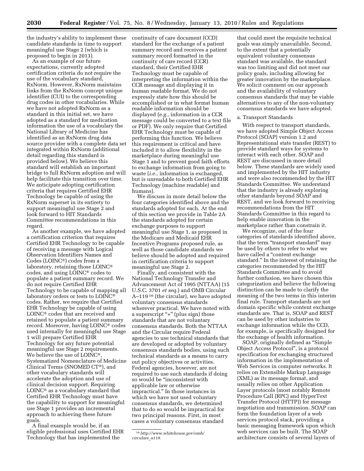the industry's ability to implement these candidate standards in time to support meaningful use Stage 2 (which is proposed to begin in 2013).

As an example of our future expectations, currently adopted certification criteria do not require the use of the vocabulary standard, RxNorm. However, RxNorm maintains links from the RxNorm concept unique identifier (CUI) to the corresponding drug codes in other vocabularies. While we have not adopted RxNorm as a standard in this initial set, we have adopted as a standard for medication information the use of a vocabulary the National Library of Medicine has identified as an RxNorm drug data source provider with a complete data set integrated within RxNorm (additional detail regarding this standard is provided below). We believe this standard will establish an important bridge to full RxNorm adoption and will help facilitate this transition over time. We anticipate adopting certification criteria that requires Certified EHR Technology be capable of using the RxNorm superset in its entirety to support meaningful use Stage 2 and look forward to HIT Standards Committee recommendations in this regard.

As another example, we have adopted a certification criterion that requires Certified EHR Technology to be capable of receiving a message with Logical Observation Identifiers Names and Codes (LOINC®) codes from a laboratory, retaining those LOINC® codes, and using LOINC® codes to populate a patient summary record. We do not require Certified EHR Technology to be capable of mapping all laboratory orders or tests to LOINC® codes. Rather, we require that Certified EHR Technology be capable of using LOINC® codes that are received and retained to populate a patient summary record. Moreover, having LOINC® codes used internally for meaningful use Stage 1 will prepare Certified EHR Technology for any future potential meaningful use Stage 2 requirements. We believe the use of LOINC®, Systematized Nomenclature of Medicine Clinical Terms (SNOMED CT®), and other vocabulary standards will accelerate the adoption and use of clinical decision support. Requiring LOINC® as a vocabulary standard that Certified EHR Technology must have the capability to support for meaningful use Stage 1 provides an incremental approach to achieving these future goals.

A final example would be, if an eligible professional uses Certified EHR Technology that has implemented the

continuity of care document (CCD) standard for the exchange of a patient summary record and receives a patient summary record formatted in the continuity of care record (CCR) standard, their Certified EHR Technology must be capable of interpreting the information within the CCR message and displaying it in human readable format. We do not expressly state how this should be accomplished or in what format human readable information should be displayed (*e.g.,* information in a CCR message could be converted to a text file or PDF). We only require that Certified EHR Technology must be capable of performing this function. We believe this requirement is critical and have included it to allow flexibility in the marketplace during meaningful use Stage 1 and to prevent good faith efforts to exchange information from going to waste (*i.e.,* information is exchanged, but is unreadable to both Certified EHR Technology (machine readable) and humans).

We discuss in more detail below the four categories identified above and the standards adopted for each. At the end of this section we provide in Table 2A the standards adopted for certain exchange purposes to support meaningful use Stage 1, as proposed in the Medicare and Medicaid EHR Incentive Programs proposed rule, as well as those candidate standards we believe should be adopted and required in certification criteria to support meaningful use Stage 2.

Finally, and consistent with the National Technology Transfer and Advancement Act of 1995 (NTTAA) (15 U.S.C. 3701 *et seq.*) and OMB Circular A–119 16 (the circular), we have adopted voluntary consensus standards wherever practical. We have noted with a superscript "+" (plus sign) those standards that are not voluntary consensus standards. Both the NTTAA and the Circular require Federal agencies to use technical standards that are developed or adopted by voluntary consensus standards bodies, using such technical standards as a means to carry out policy objectives or activities. Federal agencies, however, are not required to use such standards if doing so would be ''inconsistent with applicable law or otherwise impractical.'' In those instances in which we have not used voluntary consensus standards, we determined that to do so would be impractical for two principal reasons. First, in most cases a voluntary consensus standard

that could meet the requisite technical goals was simply unavailable. Second, to the extent that a potentially equivalent voluntary consensus standard was available, the standard was too limiting and did not meet our policy goals, including allowing for greater innovation by the marketplace. We solicit comment on our approach and the availability of voluntary consensus standards that may be viable alternatives to any of the non-voluntary consensus standards we have adopted.

#### a. Transport Standards

With respect to transport standards, we have adopted Simple Object Access Protocol (SOAP) version 1.2 and Representational state transfer (REST) to provide standard ways for systems to interact with each other. SOAP and REST are discussed in more detail below. These standards are widely used and implemented by the HIT industry and were also recommended by the HIT Standards Committee. We understand that the industry is already exploring other standards beyond SOAP and REST, and we look forward to receiving recommendations from the HIT Standards Committee in this regard to help enable innovation in the marketplace rather than constrain it.

We recognize, out of the four categories of standards identified above, that the term "transport standard" may be used by others to refer to what we have called a "content exchange standard.'' In the interest of retaining the categories recommended by the HIT Standards Committee and to avoid further confusion, we have chosen this categorization and believe the following distinction can be made to clarify the meaning of the two terms in this interim final rule. Transport standards are not domain specific while content exchange standards are. That is, SOAP and REST can be used by other industries to exchange information while the CCD, for example, is specifically designed for the exchange of health information.

SOAP, originally defined as ''Simple Object Access Protocol'', is a protocol specification for exchanging structured information in the implementation of Web Services in computer networks. It relies on Extensible Markup Language (XML) as its message format, and usually relies on other Application Layer protocols (most notably Remote Procedure Call (RPC) and HyperText Transfer Protocol (HTTP)) for message negotiation and transmission. SOAP can form the foundation layer of a web services protocol stack, providing a basic messaging framework upon which web services can be built. The SOAP architecture consists of several layers of

<sup>16</sup>*http://www.whitehouse.gov/omb/ circulars*\_*a119.*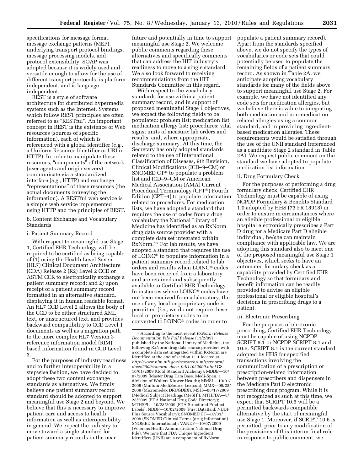specifications for message format, message exchange patterns (MEP), underlying transport protocol bindings, message processing models, and protocol extensibility. SOAP was adopted because it is widely used and versatile enough to allow for the use of different transport protocols, is platform independent, and is language independent.

REST is a style of software architecture for distributed hypermedia systems such as the Internet. Systems which follow REST principles are often referred to as "RESTful". An important concept in REST is the existence of Web resources (sources of specific information), each of which is referenced with a global identifier (*e.g.,*  a Uniform Resource Identifier or URI in HTTP). In order to manipulate these resources, "components" of the network (user agents and origin servers) communicate via a standardized interface (*e.g.,* HTTP) and exchange ''representations'' of these resources (the actual documents conveying the information). A RESTful web service is a simple web service implemented using HTTP and the principles of REST.

b. Content Exchange and Vocabulary Standards

#### i. Patient Summary Record

With respect to meaningful use Stage 1, Certified EHR Technology will be required to be certified as being capable of (1) using the Health Level Seven (HL7) Clinical Document Architecture (CDA) Release 2 (R2) Level 2 CCD or ASTM CCR to electronically exchange a patient summary record; and 2) upon receipt of a patient summary record formatted in an alternative standard, displaying it in human readable format. An HL7 CCD Level 2 allows the body of the CCD to be either structured XML text, or unstructured text, and provides backward compatibility to CCD Level 1 documents as well as a migration path to the more complex HL7 Version 3 reference information model (RIM) based information found in CCD Level 3.

For the purposes of industry readiness and to further interoperability in a stepwise fashion, we have decided to adopt these two content exchange standards as alternatives. We firmly believe one patient summary record standard should be adopted to support meaningful use Stage 2 and beyond. We believe that this is necessary to improve patient care and access to health information as well as interoperability in general. We expect the industry to move toward a single standard for patient summary records in the near

future and potentially in time to support meaningful use Stage 2. We welcome public comments regarding these alternatives and specifically comments that can address the HIT industry's readiness to move to a single standard. We also look forward to receiving recommendations from the HIT Standards Committee in this regard.

With respect to the vocabulary standards for use within a patient summary record, and in support of proposed meaningful Stage 1 objectives, we expect the following fields to be populated: problem list; medication list; medication allergy list; procedures; vital signs; units of measure; lab orders and results; and, where appropriate, discharge summary. At this time, the Secretary has only adopted standards related to the use of International Classification of Diseases, 9th Revision, Clinical Modifications (ICD–9–CM) or SNOMED CT® to populate a problem list and ICD–9–CM or American Medical Association (AMA) Current Procedural Terminology (CPT®) Fourth Edition (CPT–4) to populate information related to procedures. For medication lists, we have adopted a standard that requires the use of codes from a drug vocabulary the National Library of Medicine has identified as an RxNorm drug data source provider with a complete data set integrated within RxNorm.17 For lab results, we have adopted a standard that requires the use of LOINC® to populate information in a patient summary record related to lab orders and results when LOINC® codes have been received from a laboratory and are retained and subsequently available to Certified EHR Technology. In instances where LOINC® codes have not been received from a laboratory, the use of any local or proprietary code is permitted (*i.e.,* we do not require these local or proprietary codes to be converted to LOINC® codes in order to

populate a patient summary record). Apart from the standards specified above, we do not specify the types of vocabularies or code sets that could potentially be used to populate the remaining fields of a patient summary record. As shown in Table 2A, we anticipate adopting vocabulary standards for many of the fields above to support meaningful use Stage 2. For example, we have not identified any code sets for medication allergies, but we believe there is value to integrating both medication and non-medication related allergies using a common standard, and in providing ingredientbased medication allergies. These requirements would be satisfied through the use of the UNII standard (referenced as a candidate Stage 2 standard in Table 2A). We request public comment on the standard we have adopted to populate medication list information.

#### ii. Drug Formulary Check

For the purposes of performing a drug formulary check, Certified EHR Technology must be capable of using NCPDP Formulary & Benefits Standard 1.0 adopted by HHS (73 FR 18918) in order to ensure in circumstances where an eligible professional or eligible hospital electronically prescribes a Part D drug for a Medicare Part D eligible individual, he/she can maintain compliance with applicable law. We are adopting this standard also to meet one of the proposed meaningful use Stage 1 objectives, which seeks to have an automated formulary check as a capability provided by Certified EHR Technology so that formulary and benefit information can be readily provided to advise an eligible professional or eligible hospital's decisions in prescribing drugs to a patient.

#### iii. Electronic Prescribing

For the purposes of electronic prescribing, Certified EHR Technology must be capable of using NCPDP SCRIPT 8.1 or NCPDP SCRIPT 8.1 and 10.6. SCRIPT 8.1 is the current standard adopted by HHS for specified transactions involving the communication of a prescription or prescription-related information between prescribers and dispensers in the Medicare Part D electronic prescribing drug program. While it is not recognized as such at this time, we expect that SCRIPT 10.6 will be a permitted backwards compatible alternative by the start of meaningful use Stage 1. Moreover, if SCRIPT 10.6 is permitted, prior to any modification of the provisions of this interim final rule in response to public comment, we

<sup>17</sup>According to the most recent *RxNorm Release Documentation File Full Release* (11/2/09) published by the National Library of Medicine, the following RxNorm drug data source providers with a complete data set integrated within RxNorm are identified at the end of section 11.1 located at *http://www.nlm.nih.gov/research/umls/rxnorm/ docs/2009/rxnorm*\_*doco*\_*full11022009.html* GS— 10/01/2009 (Gold Standard Alchemy); MDDB—10/ 07/2009 (Master Drug Data Base. Medi-Span, a division of Wolters Kluwer Health); MMSL—10/01/ 2009 (Multum MediSource Lexicon); MMX—09/28/ 2009 (Micromedex DRUGDEX); MSH—08/17/2009 (Medical Subject Headings (MeSH)); MTHFDA—8/ 28/2009 (FDA National Drug Code Directory); MTHSPL—10/28/2009 (FDA Structured Product Labels); NDDF—10/02/2009 (First DataBank NDDF Plus Source Vocabulary); SNOMED CT—07/31/ 2009 (SNOMED Clinical Terms (drug information) SNOMED International); VANDF—10/07/2009 (Veterans Health Administration National Drug File). We note that FDA Unique Ingredient Identifiers (UNII) are a component of RxNorm.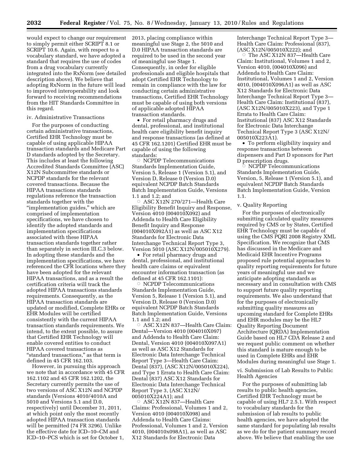would expect to change our requirement 2013, placing compliance within to simply permit either SCRIPT 8.1 or SCRIPT 10.6. Again, with respect to a vocabulary standard, we have adopted a standard that requires the use of codes from a drug vocabulary currently integrated into the RxNorm (see detailed description above). We believe that adopting RxNorm in the future will lead to improved interoperability and look forward to receiving recommendations from the HIT Standards Committee in this regard.

#### iv. Administrative Transactions

For the purposes of conducting certain administrative transactions, Certified EHR Technology must be capable of using applicable HIPAA transaction standards and Medicare Part D standards adopted by the Secretary. This includes at least the following Accredited Standards Committee (ASC) X12N Subcommittee standards or NCPDP standards for the relevant covered transactions. Because the HIPAA transactions standards regulations reference the transaction standards together with the ''implementation guides,'' which are comprised of implementation specifications, we have chosen to identify the adopted standards and implementation specifications associated with these HIPAA transaction standards together rather than separately in section III.C.3 below. In adopting these standards and the implementation specifications, we have referenced the CFR locations where they have been adopted for the relevant HIPAA transactions, and as a result the certification criteria will track the adopted HIPAA transactions standards requirements. Consequently, as the HIPAA transaction standards are updated or modified, Complete EHRs or EHR Modules will be certified consistently with the current HIPAA transaction standards requirements. We intend, to the extent possible, to assure that Certified EHR Technology will enable covered entities to conduct HIPAA covered transactions as ''standard transactions,'' as that term is defined in 45 CFR 162.103.

However, in pursuing this approach we note that in accordance with 45 CFR 162.1102 and 45 CFR 162.1202, the Secretary currently permits the use of two versions of ASC X12N and NCPDP standards (Versions 4010/4010A and 5010 and Versions 5.1 and D.0, respectively) until December 31, 2011, at which point only the most recently adopted HIPAA transaction standards will be permitted (74 FR 3296). Unlike the effective date for ICD–10–CM and ICD–10–PCS which is set for October 1,

meaningful use Stage 2, the 5010 and D.0 HIPAA transaction standards are required to be used in the second year of meaningful use Stage 1. Consequently, in order for eligible professionals and eligible hospitals that adopt Certified EHR Technology to remain in compliance with the law for conducting certain administrative transactions, Certified EHR Technology must be capable of using both versions of applicable adopted HIPAA transaction standards.

• For retail pharmacy drugs and dental, professional, and institutional health care eligibility benefit inquiry and response transactions (as defined at 45 CFR 162.1201) Certified EHR must be capable of using the following standards:

 $\circ$  NCPDP Telecommunications Standards Implementation Guide, Version 5, Release 1 (Version 5.1), and Version D, Release 0 (Version D.0) equivalent NCPDP Batch Standards Batch Implementation Guide, Versions 1.1 and 1.2; and

 $\circ$  ASC X12N 270/271-Health Care Eligibility Benefit Inquiry and Response, Version 4010 (004010X092) and Addenda to Health Care Eligibility Benefit Inquiry and Response (004010X092A1) as well as ASC X12 Standards for Electronic Data Interchange Technical Report Type 3, Version 5010 (ASC X12N/005010X279).

• For retail pharmacy drugs and dental, professional, and institutional health care claims or equivalent encounter information transaction (as defined at 45 CFR 162.1101):

 $\circ$  NCPDP Telecommunications Standards Implementation Guide, Version 5, Release 1 (Version 5.1), and Version D, Release 0 (Version D.0) equivalent NCPDP Batch Standards Batch Implementation Guide, Versions 1.1 and 1.2; and

Æ ASC X12N 837—Health Care Claim: Dental—Version 4010 (004010X097) and Addenda to Health Care Claim: Dental, Version 4010 (004010X097A1) as well as ASC X12 Standards for Electronic Data Interchange Technical Report Type 3—Health Care Claim: Dental (837), (ASC X12N/005010X224), and Type 1 Errata to Health Care Claim: Dental (837) ASC X12 Standards for Electronic Data Interchange Technical Report Type 3, (ASC X12N/ 005010X224A1); and

Æ ASC X12N 837—Health Care Claims: Professional, Volumes 1 and 2, Version 4010 (004010X098) and Addenda to Health Care Claims: Professional, Volumes 1 and 2, Version 4010, (004010x098A1), as well as ASC X12 Standards for Electronic Data

Interchange Technical Report Type 3— Health Care Claim: Professional (837), (ASC X12N/005010X222); and

The ASC X12N 837-Health Care Claim: Institutional, Volumes 1 and 2, Version 4010, (004010X096) and Addenda to Health Care Claim: Institutional, Volumes 1 and 2, Version 4010, (004010X096A1) as well as ASC X12 Standards for Electronic Data Interchange Technical Report Type 3— Health Care Claim: Institutional (837), (ASC X12N/005010X223), and Type 1 Errata to Health Care Claim: Institutional (837) ASC X12 Standards for Electronic Data Interchange Technical Report Type 3 (ASC X12N/ 005010X223A1).

• To perform eligibility inquiry and response transactions between dispensers and Part D sponsors for Part D prescription drugs.

Æ NCPDP Telecommunications Standards Implementation Guide, Version, 5, Release 1 (Version 5.1), and equivalent NCPDP Batch Standards Batch Implementation Guide, Version 1.1.

#### v. Quality Reporting

For the purposes of electronically submitting calculated quality measures required by CMS or by States, Certified EHR Technology must be capable of using the CMS PQRI 2008 Registry XML Specification. We recognize that CMS has discussed in the Medicare and Medicaid EHR Incentive Programs proposed rule potential approaches to quality reporting requirements for future years of meaningful use and we anticipate adopting standards as necessary and in consultation with CMS to support future quality reporting requirements. We also understand that for the purposes of electronically submitting quality measures an upcoming standard for Complete EHRs and EHR modules may be the HL7 Quality Reporting Document Architecture (QRDA) Implementation Guide based on HL7 CDA Release 2 and we request public comment on whether this standard is mature enough to be used in Complete EHRs and EHR Modules during meaningful use Stage 1.

vi. Submission of Lab Results to Public Health Agencies

For the purposes of submitting lab results to public health agencies, Certified EHR Technology must be capable of using HL7 2.5.1. With respect to vocabulary standards for the submission of lab results to public health agencies, we have adopted the same standard for populating lab results as we do for the patient summary record above. We believe that enabling the use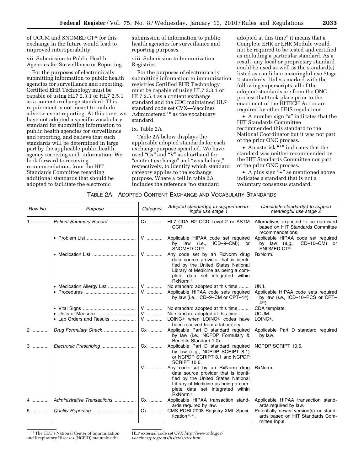of UCUM and SNOMED CT® for this exchange in the future would lead to improved interoperability.

vii. Submission to Public Health Agencies for Surveillance or Reporting

For the purposes of electronically submitting information to public health agencies for surveillance and reporting, Certified EHR Technology must be capable of using HL7 2.3.1 or HL7 2.5.1 as a content exchange standard. This requirement is not meant to include adverse event reporting. At this time, we have not adopted a specific vocabulary standard for submitting information to public health agencies for surveillance and reporting, and believe that such standards will be determined in large part by the applicable public health agency receiving such information. We look forward to receiving recommendations from the HIT Standards Committee regarding additional standards that should be adopted to facilitate the electronic

submission of information to public health agencies for surveillance and reporting purposes.

viii. Submission to Immunization Registries

For the purposes of electronically submitting information to immunization registries Certified EHR Technology must be capable of using HL7 2.3.1 or HL7 2.5.1 as a content exchange standard and the CDC maintained HL7 standard code set CVX—Vaccines Administered 18 as the vocabulary standard.

#### ix. Table 2A

Table 2A below displays the applicable adopted standards for each exchange purpose specified. We have used "Cx" and "V" as shorthand for ''content exchange'' and ''vocabulary,'' respectively, to identify which standard category applies to the exchange purpose. Where a cell in table 2A includes the reference ''no standard

adopted at this time'' it means that a Complete EHR or EHR Module would not be required to be tested and certified as including a particular standard. As a result, any local or proprietary standard could be used as well as the standard(s) listed as candidate meaningful use Stage 2 standards. Unless marked with the following superscripts, all of the adopted standards are from the ONC process that took place prior to the enactment of the HITECH Act or are required by other HHS regulations.

• A number sign "#" indicates that the HIT Standards Committee recommended this standard to the National Coordinator but it was not part of the prior ONC process.

• An asterisk "\*" indicates that the standard was neither recommended by the HIT Standards Committee nor part of the prior ONC process.

• A plus sign "+" as mentioned above indicates a standard that is not a voluntary consensus standard.

#### TABLE 2A—ADOPTED CONTENT EXCHANGE AND VOCABULARY STANDARDS

| Row No. | Purpose                     | Category  | Adopted standard(s) to support mean-<br>ingful use stage 1                                                                                                                                              | Candidate standard(s) to support<br>meaningful use stage 2                                            |
|---------|-----------------------------|-----------|---------------------------------------------------------------------------------------------------------------------------------------------------------------------------------------------------------|-------------------------------------------------------------------------------------------------------|
| 1       | Patient Summary Record      | Cx        | HL7 CDA R2 CCD Level 2 or ASTM<br>CCR.                                                                                                                                                                  | Alternatives expected to be narrowed<br>based on HIT Standards Committee<br>recommendations.          |
|         |                             | ${\sf V}$ | Applicable HIPAA code set required<br>ICD-9-CM); or<br>by law (i.e.,<br>SNOMED CT <sup>®</sup> .                                                                                                        | Applicable HIPAA code set required<br>by law (e.g., ICD-10-CM) or<br>SNOMED CT®.                      |
|         |                             | ${\sf V}$ | Any code set by an RxNorm drug<br>data source provider that is identi-<br>fied by the United States National<br>Library of Medicine as being a com-<br>plete data set integrated within<br>$RxNorm +$ . | RxNorm.                                                                                               |
|         |                             | V         | No standard adopted at this time<br>Applicable HIPAA code sets required<br>by law (i.e., ICD-9-CM or CPT-4 <sup>®</sup> ).                                                                              | UNII.<br>Applicable HIPAA code sets required<br>by law (i.e., ICD-10-PCS or CPT-<br>4 <sup>®</sup> ). |
|         |                             |           | No standard adopted at this time                                                                                                                                                                        | CDA template.                                                                                         |
|         |                             | <b>V</b>  | No standard adopted at this time                                                                                                                                                                        | UCUM.                                                                                                 |
|         | • Lab Orders and Results    | ${\sf V}$ | LOINC <sup>®</sup> when LOINC <sup>®</sup> codes have<br>been received from a laboratory.                                                                                                               | LOINC <sup>®</sup> .                                                                                  |
| 2       |                             | Cx        | Applicable Part D standard required<br>by law (i.e., NCPDP Formulary &<br>Benefits Standard 1.0).                                                                                                       | Applicable Part D standard required<br>by law.                                                        |
| 3       |                             | Cx        | Applicable Part D standard required<br>by law (e.g., NCPDP SCRIPT 8.1)<br>or NCPDP SCRIPT 8.1 and NCPDP<br>SCRIPT 10.6.                                                                                 | NCPDP SCRIPT 10.6.                                                                                    |
|         |                             | $V$       | Any code set by an RxNorm drug<br>data source provider that is identi-<br>fied by the United States National<br>Library of Medicine as being a com-<br>plete data set integrated within<br>$RxNorm +$ . | RxNorm.                                                                                               |
| 4       | Administrative Transactions | Cx        | Applicable HIPAA transaction stand-<br>ards required by law.                                                                                                                                            | Applicable HIPAA transaction stand-<br>ards required by law.                                          |
| 5       |                             |           | CMS PQRI 2008 Registry XML Speci-<br>fication $# +$ .                                                                                                                                                   | Potentially newer version(s) or stand-<br>ards based on HIT Standards Com-<br>mittee Input.           |

18The CDC's National Center of Immunization and Respiratory Diseases (NCIRD) maintains the

HL7 external code set CVX *http://www.cdc.gov/ vaccines/programs/iis/stds/cvx.htm.*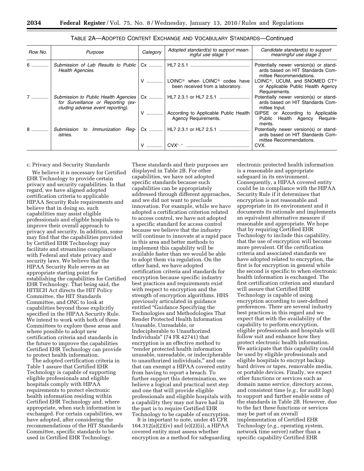| Row No. | Purpose                                                                                                         | Category | Adopted standard(s) to support mean-<br>ingful use stage 1                                     | Candidate standard(s) to support<br>meaningful use stage 2                                                   |
|---------|-----------------------------------------------------------------------------------------------------------------|----------|------------------------------------------------------------------------------------------------|--------------------------------------------------------------------------------------------------------------|
| 6       | <b>Health Agencies.</b>                                                                                         |          |                                                                                                | Potentially newer version(s) or stand-<br>ards based on HIT Standards Com-<br>mittee Recommendations.        |
|         |                                                                                                                 |          | V    LOINC <sup>®</sup> when LOINC <sup>®</sup> codes have<br>been received from a laboratory. | LOINC <sup>®</sup> , UCUM, and SNOMED CT <sup>®</sup><br>or Applicable Public Health Agency<br>Requirements. |
| $7$     | Submission to Public Health Agencies<br>for Surveillance or Reporting (ex-<br>cluding adverse event reporting). | Cx       | HL7 2.3.1 or HL7 2.5.1                                                                         | Potentially newer version(s) or stand-<br>ards based on HIT Standards Com-<br>mittee Input.                  |
|         |                                                                                                                 |          | According to Applicable Public Health<br>Agency Requirements.                                  | GIPSE or According to Applicable<br>Public Health Agency<br>Require-<br>ments.                               |
| 8       | Submission<br>Immunization<br>to<br>Reg- I<br><i>istries.</i>                                                   |          |                                                                                                | Potentially newer version(s) or stand-<br>ards based on HIT Standards Com-<br>mittee Recommendations.        |
|         |                                                                                                                 |          | $CUX^{\ast,+}$                                                                                 | CVX.                                                                                                         |

TABLE 2A—ADOPTED CONTENT EXCHANGE AND VOCABULARY STANDARDS—Continued

c. Privacy and Security Standards

We believe it is necessary for Certified EHR Technology to provide certain privacy and security capabilities. In that regard, we have aligned adopted certification criteria to applicable HIPAA Security Rule requirements and believe that in doing so, such capabilities may assist eligible professionals and eligible hospitals to improve their overall approach to privacy and security. In addition, some may find that the capabilities provided by Certified EHR Technology may facilitate and streamline compliance with Federal and state privacy and security laws. We believe that the HIPAA Security Rule serves as an appropriate starting point for establishing the capabilities for Certified EHR Technology. That being said, the HITECH Act directs the HIT Policy Committee, the HIT Standards Committee, and ONC to look at capabilities beyond those explicitly specified in the HIPAA Security Rule. We intend to work with both of these Committees to explore these areas and where possible to adopt new certification criteria and standards in the future to improve the capabilities Certified EHR Technology can provide to protect health information.

The adopted certification criteria in Table 1 assure that Certified EHR Technology is capable of supporting eligible professionals and eligible hospitals comply with HIPAA requirements to protect electronic health information residing within Certified EHR Technology and, where appropriate, when such information is exchanged. For certain capabilities, we have adopted, after considering the recommendations of the HIT Standards Committee, specific standards to be used in Certified EHR Technology.

These standards and their purposes are displayed in Table 2B. For other capabilities, we have not adopted specific standards because such capabilities can be appropriately addressed through different approaches, and we did not want to preclude innovation. For example, while we have adopted a certification criterion related to access control, we have not adopted a specific standard for access control because we believe that the industry will continue to innovate at a rapid pace in this area and better methods to implement this capability will be available faster than we would be able to adopt them via regulation. On the other hand, we have adopted certification criteria and standards for encryption because specific industry best practices and requirements exist with respect to encryption and the strength of encryption algorithms. HHS previously articulated in guidance entitled ''Guidance Specifying the Technologies and Methodologies That Render Protected Health Information Unusable, Unreadable, or Indecipherable to Unauthorized Individuals'' (74 FR 42741) that encryption is an effective method to ''render protected health information unusable, unreadable, or indecipherable to unauthorized individuals,'' and one that can exempt a HIPAA covered entity from having to report a breach. To further support this determination, we believe a logical and practical next step and one that will provide eligible professionals and eligible hospitals with a capability they may not have had in the past is to require Certified EHR Technology to be capable of encryption.

It is important to note, under 45 CFR 164.312(a)(2)(iv) and (e)(2)(ii), a HIPAA covered entity must assess whether encryption as a method for safeguarding

electronic protected health information is a reasonable and appropriate safeguard in its environment. Consequently, a HIPAA covered entity could be in compliance with the HIPAA Security Rule if it determines that encryption is not reasonable and appropriate in its environment and it documents its rationale and implements an equivalent alternative measure if reasonable and appropriate. We hope that by requiring Certified EHR Technology to include this capability, that the use of encryption will become more prevalent. Of the certification criteria and associated standards we have adopted related to encryption, the first is for encryption in general while the second is specific to when electronic health information is exchanged. The first certification criterion and standard will assure that Certified EHR Technology is capable of using encryption according to user-defined preferences. There are several industry best practices in this regard and we expect that with the availability of the capability to perform encryption, eligible professionals and hospitals will follow suit and enhance how they protect electronic health information. We anticipate that this capability could be used by eligible professionals and eligible hospitals to encrypt backup hard drives or tapes, removable media, or portable devices. Finally, we expect other functions or services such as domain name service, directory access, and consistent time (*e.g.,* for audit logs) to support and further enable some of the standards in Table 2B. However, due to the fact these functions or services may be part of an overall implementation of Certified EHR Technology (*e.g.,* operating system, network time server) rather than a specific capability Certified EHR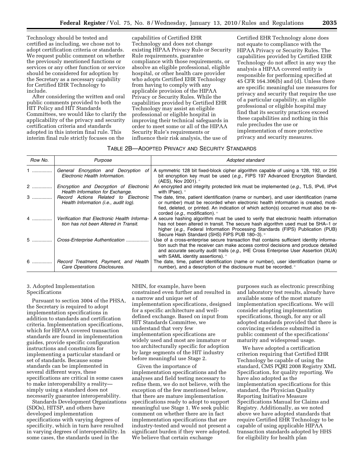Technology should be tested and certified as including, we chose not to adopt certification criteria or standards. We request public comment on whether the previously mentioned functions or services or any other function or service should be considered for adoption by the Secretary as a necessary capability for Certified EHR Technology to include.

After considering the written and oral public comments provided to both the HIT Policy and HIT Standards Committees, we would like to clarify the applicability of the privacy and security certification criteria and standards adopted in this interim final rule. This interim final rule strictly focuses on the

capabilities of Certified EHR Technology and does not change existing HIPAA Privacy Rule or Security Rule requirements, guarantee compliance with those requirements, or absolve an eligible professional, eligible hospital, or other health care provider who adopts Certified EHR Technology from having to comply with any applicable provision of the HIPAA Privacy or Security Rules. While the capabilities provided by Certified EHR Technology may assist an eligible professional or eligible hospital in improving their technical safeguards in order to meet some or all of the HIPAA Security Rule's requirements or influence their risk analysis, the use of

Certified EHR Technology alone does not equate to compliance with the HIPAA Privacy or Security Rules. The capabilities provided by Certified EHR Technology do not affect in any way the analysis a HIPAA covered entity is responsible for performing specified at 45 CFR 164.306(b) and (d). Unless there are specific meaningful use measures for privacy and security that require the use of a particular capability, an eligible professional or eligible hospital may find that its security practices exceed these capabilities and nothing in this rule precludes the use or implementation of more protective privacy and security measures.

#### TABLE 2B—ADOPTED PRIVACY AND SECURITY STANDARDS

| Row No. | Purpose                                                                               | Adopted standard                                                                                                                                                                                                                                                                                                        |
|---------|---------------------------------------------------------------------------------------|-------------------------------------------------------------------------------------------------------------------------------------------------------------------------------------------------------------------------------------------------------------------------------------------------------------------------|
| 1       | General Encryption and Decryption of<br>Electronic Health Information.                | A symmetric 128 bit fixed-block cipher algorithm capable of using a 128, 192, or 256<br>bit encryption key must be used $(e.g.,$ FIPS 197 Advanced Encryption Standard,<br>$(AES)$ , Nov 2001). $+$                                                                                                                     |
| 2       | Encryption and Decryption of Electronic<br>Health Information for Exchange.           | An encrypted and integrity protected link must be implemented (e.g., TLS, IPv6, IPv4<br>with $IPsec$ ). $+$                                                                                                                                                                                                             |
|         | 3    Record Actions Related to Electronic<br>Health Information (i.e., audit log).    | The date, time, patient identification (name or number), and user identification (name<br>or number) must be recorded when electronic health information is created, modi-<br>fied, deleted, or printed. An indication of which action(s) occurred must also be re-<br>corded $(e.q., \text{ modification})$ . +        |
| 4       | Verification that Electronic Health Informa-<br>tion has not been Altered in Transit. | A secure hashing algorithm must be used to verify that electronic health information<br>has not been altered in transit. The secure hash algorithm used must be SHA-1 or<br>higher (e.g., Federal Information Processing Standards (FIPS) Publication (PUB)<br>Secure Hash Standard (SHS) FIPS PUB 180-3). <sup>+</sup> |
|         | 5    Cross-Enterprise Authentication                                                  | Use of a cross-enterprise secure transaction that contains sufficient identity informa-<br>tion such that the receiver can make access control decisions and produce detailed<br>and accurate security audit trails (e.g., IHE Cross Enterprise User Assertion (XUA)<br>with SAML identity assertions). +               |
|         | 6    Record Treatment, Payment, and Health<br>Care Operations Disclosures.            | The date, time, patient identification (name or number), user identification (name or<br>number), and a description of the disclosure must be recorded. <sup>+</sup>                                                                                                                                                    |

#### 3. Adopted Implementation Specifications

Pursuant to section 3004 of the PHSA, the Secretary is required to adopt implementation specifications in addition to standards and certification criteria. Implementation specifications, which for HIPAA covered transaction standards are found in implementation guides, provide specific configuration instructions and constraints for implementing a particular standard or set of standards. Because some standards can be implemented in several different ways, these specifications are critical in some cases to make interoperability a reality simply using a standard does not necessarily guarantee interoperability.

Standards Development Organizations (SDOs), HITSP, and others have developed implementation specifications with varying degrees of specificity, which in turn have resulted in varying degrees of interoperability. In some cases, the standards used in the

NHIN, for example, have been constrained even further and resulted in a narrow and unique set of implementation specifications, designed for a specific architecture and welldefined exchange. Based on input from HIT Standards Committee, we understand that very few implementation specifications are widely used and most are immature or too architecturally specific for adoption by large segments of the HIT industry before meaningful use Stage 2.

Given the importance of implementation specifications and the analyses and field testing necessary to refine them, we do not believe, with the exception of the few mentioned below, that there are mature implementation specifications ready to adopt to support meaningful use Stage 1. We seek public comment on whether there are in fact implementation specifications that are industry-tested and would not present a significant burden if they were adopted. We believe that certain exchange

purposes such as electronic prescribing and laboratory test results, already have available some of the most mature implementation specifications. We will consider adopting implementation specifications, though, for any or all adopted standards provided that there is convincing evidence submitted in public comment of the specifications' maturity and widespread usage.

We have adopted a certification criterion requiring that Certified EHR Technology be capable of using the standard, CMS PQRI 2008 Registry XML Specification, for quality reporting. We have also adopted as the implementation specifications for this standard, the Physician Quality Reporting Initiative Measure Specifications Manual for Claims and Registry. Additionally, as we noted above we have adopted standards that require Certified EHR Technology to be capable of using applicable HIPAA transaction standards adopted by HHS for eligibility for health plan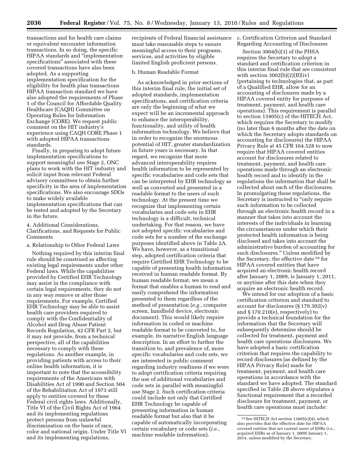transactions and for health care claims or equivalent encounter information transactions. In so doing, the specific HIPAA standards and ''implementation specifications'' associated with these covered transactions have also been adopted. As a supporting implementation specification for the eligibility for health plan transactions HIPAA transaction standard we have also adopted the requirements of Phase 1 of the Council for Affordable Quality Healthcare (CAQH) Committee on Operating Rules for Information Exchange (CORE). We request public comment on the HIT industry's experience using CAQH CORE Phase 1 with adopted HIPAA transactions standards.

Finally, in preparing to adopt future implementation specifications to support meaningful use Stage 2, ONC plans to work with the HIT industry and solicit input from relevant Federal advisory committees to obtain further specificity in the area of implementation specifications. We also encourage SDOs to make widely available implementation specifications that can be tested and adopted by the Secretary in the future.

4. Additional Considerations, Clarifications, and Requests for Public Comments

a. Relationship to Other Federal Laws

Nothing required by this interim final rule should be construed as affecting existing legal requirements under other Federal laws. While the capabilities provided by Certified EHR Technology may assist in the compliance with certain legal requirements, they do not in any way remove or alter those requirements. For example, Certified EHR Technology may be able to assist health care providers required to comply with the Confidentiality of Alcohol and Drug Abuse Patient Records Regulation, 42 CFR Part 2, but it may not provide, from a technical perspective, all of the capabilities necessary to comply with these regulations. As another example, in providing patients with access to their online health information, it is important to note that the accessibility requirements of the Americans with Disabilities Act of 1990 and Section 504 of the Rehabilitation Act of 1973 still apply to entities covered by these Federal civil rights laws. Additionally, Title VI of the Civil Rights Act of 1964 and its implementing regulations protect persons from unlawful discrimination on the basis of race, color and national origin. Under Title VI and its implementing regulations,

recipients of Federal financial assistance must take reasonable steps to ensure meaningful access to their programs, services, and activities by eligible limited English proficient persons.

#### b. Human Readable Format

As acknowledged in prior sections of this interim final rule, the initial set of adopted standards, implementation specifications, and certification criteria are only the beginning of what we expect will be an incremental approach to enhance the interoperability, functionality, and utility of health information technology. We believe that in order to recognize the enormous potential of HIT, greater standardization in future years is necessary. In that regard, we recognize that more advanced interoperability requires health information to be represented by specific vocabularies and code sets that can be interpreted by EHR technology as well as converted and presented in a readable format to the users of such technology. At the present time we recognize that implementing certain vocabularies and code sets in EHR technology is a difficult, technical undertaking. For that reason, we have not adopted specific vocabularies and code sets for a number of the exchange purposes identified above in Table 2A. We have, however, as a transitional step, adopted certification criteria that require Certified EHR Technology to be capable of presenting health information received in human readable format. By human readable format, we mean a format that enables a human to read and easily comprehend the information presented to them regardless of the method of presentation (*e.g.,* computer screen, handheld device, electronic document). This would likely require information in coded or machine readable format to be converted to, for example, its narrative English language description. In an effort to further the transition to, and prevalence of, more specific vocabularies and code sets, we are interested in public comment regarding industry readiness if we were to adopt certification criteria requiring the use of additional vocabularies and code sets in parallel with meaningful use Stage 2. Such certification criteria could include not only that Certified EHR Technology be capable of presenting information in human readable format but also that it be capable of automatically incorporating certain vocabulary or code sets (*i.e.,*  machine readable information).

c. Certification Criterion and Standard Regarding Accounting of Disclosures

Section 3004(b)(1) of the PHSA requires the Secretary to adopt a standard and certification criterion in this interim final rule that are consistent with section  $3002(b)(2)(B)(iv)$ (pertaining to technologies that, as part of a Qualified EHR, allow for an accounting of disclosures made by a HIPAA covered entity for purposes of treatment, payment, and health care operations). This requirement is parallel to section 13405(c) of the HITECH Act, which requires the Secretary to modify (no later than 6 months after the date on which the Secretary adopts standards on accounting for disclosures) the HIPAA Privacy Rule at 45 CFR 164.528 to now require that HIPAA covered entities account for disclosures related to treatment, payment, and health care operations made through an electronic health record and to identify in the regulations the information that shall be collected about each of the disclosures. In promulgating these regulations, the Secretary is instructed to "only require" such information to be collected through an electronic health record in a manner that takes into account the interests of the individuals in learning the circumstances under which their protected health information is being disclosed and takes into account the administrative burden of accounting for such disclosures.'' Unless modified by the Secretary, the effective date 19 for HIPAA covered entities that have acquired an electronic health record after January 1, 2009, is January 1, 2011, or anytime after this date when they acquire an electronic health record.

We intend for our adoption of a basic certification criterion and standard to account for disclosures (§ 170.302(v) and § 170.210(e), respectively) to provide a technical foundation for the information that the Secretary will subsequently determine should be collected for treatment, payment and health care operations disclosures. We have adopted a basic certification criterion that requires the capability to record disclosures (as defined by the HIPAA Privacy Rule) made for treatment, payment, and health care operations in accordance with the standard we have adopted. The standard specified in Table 2B above stipulates a functional requirement that a recorded disclosure for treatment, payment, or health care operations must include:

<sup>19</sup>See HITECH Act section 13405(c)(4), which also provides that the effective date for HIPAA covered entities that are current users of EHRs (*i.e.,*  acquired EHRs as of January 1, 2009) January 1, 2014, unless modified by the Secretary.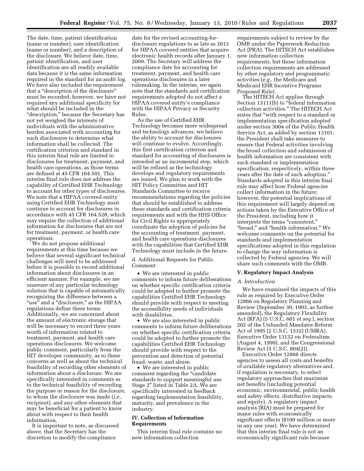The date, time, patient identification (name or number), user identification (name or number), and a description of the disclosure. We believe date, time, patient identification, and user identification are all readily available data because it is the same information required in the standard for an audit log. We have also included the requirement that a ''description of the disclosure'' must be recorded; however, we have not required any additional specificity for what should be included in the ''description,'' because the Secretary has not yet weighed the interests of individuals with the administrative burden associated with accounting for such disclosures to determine what information shall be collected. The certification criterion and standard in this interim final rule are limited to disclosures for treatment, payment, and health care operations, as those terms are defined at 45 CFR 164.501. This interim final rule does not address the capability of Certified EHR Technology to account for other types of disclosures. We note that a HIPAA covered entity using Certified EHR Technology must continue to account for disclosures in accordance with 45 CFR 164.528, which may require the collection of additional information for disclosures that are not for treatment, payment, or health care operations.

We do not propose additional requirements at this time because we believe that several significant technical challenges will need to be addressed before it is possible to record additional information about disclosures in an efficient manner. For example, we are unaware of any particular technology solution that is capable of automatically recognizing the difference between a ''use'' and a ''disclosure,'' as the HIPAA regulations define these terms. Additionally, we are concerned about the amount of electronic storage that will be necessary to record three years worth of information related to treatment, payment, and health care operations disclosures. We welcome public comment, particularly from the HIT developer community, as to these concerns as well as about the technical feasibility of recording other elements of information about a disclosure. We are specifically interested in comments as to the technical feasibility of recording the purpose or reason for the disclosure, to whom the disclosure was made (*i.e.,*  recipient), and any other elements that may be beneficial for a patient to know about with respect to their health information.

It is important to note, as discussed above, that the Secretary has the discretion to modify the compliance

date for the revised accounting-fordisclosure regulations to as late as 2013 for HIPAA covered entities that acquire electronic health records after January 1, 2009. The Secretary will address the compliance date for accounting for treatment, payment, and health care operations disclosures in a later rulemaking. In the interim, we again note that the standards and certification requirements adopted do not affect a HIPAA covered entity's compliance with the HIPAA Privacy or Security Rules.

As the use of Certified EHR Technology becomes more widespread and technology advances, we believe the ability to account for disclosures will continue to evolve. Accordingly, this first certification criterion and standard for accounting of disclosures is intended as an incremental step, which will be refined as the technology develops and regulatory requirements are issued. We plan to work with the HIT Policy Committee and HIT Standards Committee to receive recommendations regarding the policies that should be established to address these standards and certification criteria requirements and with the HHS Office for Civil Rights to appropriately coordinate the adoption of policies for the accounting of treatment, payment, and health care operations disclosures with the capabilities that Certified EHR Technology must include in the future.

d. Additional Requests for Public Comment

• We are interested in public comments to inform future deliberations on whether specific certification criteria could be adopted to further promote the capabilities Certified EHR Technology should provide with respect to meeting the accessibility needs of individuals with disabilities.

• We are also interested in public comments to inform future deliberations on whether specific certification criteria could be adopted to further promote the capabilities Certified EHR Technology should provide with respect to the prevention and detection of potential fraud, waste, and abuse.

• We are interested in public comment regarding the "candidate standards to support meaningful use Stage 2'' listed in Table 2A. We are specifically interested in feedback regarding implementation feasibility, maturity, and prevalence in the industry.

#### **IV. Collection of Information Requirements**

This interim final rule contains no new information collection

requirements subject to review by the OMB under the Paperwork Reduction Act (PRA). The HITECH Act establishes new information collection requirements, but those information collection requirements are addressed by other regulatory and programmatic activities (*e.g.*, the Medicare and Medicaid EHR Incentive Programs Proposed Rule).

The HITECH Act applies through Section 13111(b) to "federal information collection activities.'' The HITECH Act states that ''with respect to a standard or implementation specification adopted under section 3004 of the Public Health Service Act, as added by section 13101, the President shall take measures to ensure that Federal activities involving the broad collection and submission of health information are consistent with such standard or implementation specification, respectively, within three years after the date of such adoption.'' Standards adopted in this interim final rule may affect how Federal agencies collect information in the future; however, the potential implications of this requirement will largely depend on actions taken by the Executive Office of the President, including how it interprets the terms "consistent," ''broad,'' and ''health information.'' We welcome comments on the potential for standards and implementation specifications adopted in this regulation to change the way information is collected by Federal agencies. We will share such comments with the OMB.

#### **V. Regulatory Impact Analysis**

#### *A. Introduction*

We have examined the impacts of this rule as required by Executive Order 12866 on Regulatory Planning and Review (September 30, 1993, as further amended), the Regulatory Flexibility Act (RFA) (5 U.S.C. 601 *et seq.*), section 202 of the Unfunded Mandates Reform Act of 1995 (2 U.S.C. 1532) (UMRA), Executive Order 13132 on Federalism (August 4, 1999), and the Congressional Review Act (5 U.S.C. 804(2)).

Executive Order 12866 directs agencies to assess all costs and benefits of available regulatory alternatives and, if regulation is necessary, to select regulatory approaches that maximize net benefits (including potential economic, environmental, public health and safety effects, distributive impacts, and equity). A regulatory impact analysis (RIA) must be prepared for major rules with economically significant effects (\$100 million or more in any one year). We have determined that this interim final rule is not an economically significant rule because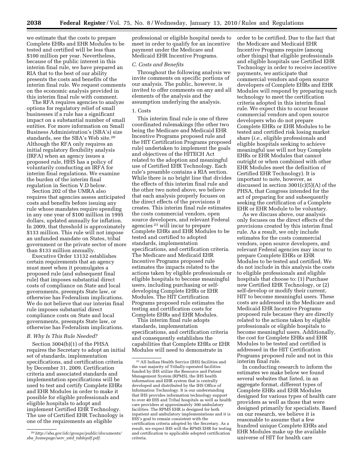we estimate that the costs to prepare Complete EHRs and EHR Modules to be tested and certified will be less than \$100 million per year. Nevertheless, because of the public interest in this interim final rule, we have prepared an RIA that to the best of our ability presents the costs and benefits of the interim final rule. We request comments on the economic analysis provided in this interim final rule with comment.

The RFA requires agencies to analyze options for regulatory relief of small businesses if a rule has a significant impact on a substantial number of small entities. For more information on Small Business Administration's (SBA's) size standards, see the SBA's Web site.20 Although the RFA only requires an initial regulatory flexibility analysis (IRFA) when an agency issues a proposed rule, HHS has a policy of voluntarily conducting an IRFA for interim final regulations. We examine the burden of the interim final regulation in Section V.D below.

Section 202 of the UMRA also requires that agencies assess anticipated costs and benefits before issuing any rule whose mandates require spending in any one year of \$100 million in 1995 dollars, updated annually for inflation. In 2009, that threshold is approximately \$133 million. This rule will not impose an unfunded mandate on States, tribal government or the private sector of more than \$133 million annually.

Executive Order 13132 establishes certain requirements that an agency must meet when it promulgates a proposed rule (and subsequent final rule) that imposes substantial direct costs of compliance on State and local governments, preempts State law, or otherwise has Federalism implications. We do not believe that our interim final rule imposes substantial direct compliance costs on State and local governments, preempts State law, or otherwise has Federalism implications.

#### *B. Why Is This Rule Needed?*

Section 3004(b)(1) of the PHSA requires the Secretary to adopt an initial set of standards, implementation specifications, and certification criteria by December 31, 2009. Certification criteria and associated standards and implementation specifications will be used to test and certify Complete EHRs and EHR Modules in order to make it possible for eligible professionals and eligible hospitals to adopt and implement Certified EHR Technology. The use of Certified EHR Technology is one of the requirements an eligible

professional or eligible hospital needs to meet in order to qualify for an incentive payment under the Medicare and Medicaid EHR Incentive Programs.

#### *C. Costs and Benefits*

Throughout the following analysis we invite comments on specific portions of our analysis. The public, however, is invited to offer comments on any and all elements of the analysis and the assumption underlying the analysis.

#### 1. Costs

This interim final rule is one of three coordinated rulemakings (the other two being the Medicare and Medicaid EHR Incentive Programs proposed rule and the HIT Certification Programs proposed rule) undertaken to implement the goals and objectives of the HITECH Act related to the adoption and meaningful use of Certified EHR Technology. Each rule's preamble contains a RIA section. While there is no bright line that divides the effects of this interim final rule and the other two noted above, we believe that each analysis properly focuses on the direct effects of the provisions it creates. This interim final rule estimates the costs commercial vendors, open source developers, and relevant Federal agencies 21 will incur to prepare Complete EHRs and EHR Modules to be tested and certified to adopted standards, implementation specifications, and certification criteria. The Medicare and Medicaid EHR Incentive Programs proposed rule estimates the impacts related to the actions taken by eligible professionals or eligible hospitals to become meaningful users, including purchasing or selfdeveloping Complete EHRs or EHR Modules. The HIT Certification Programs proposed rule estimates the testing and certification costs for Complete EHRs and EHR Modules.

This interim final rule adopts standards, implementation specifications, and certification criteria and consequently establishes the capabilities that Complete EHRs or EHR Modules will need to demonstrate in

order to be certified. Due to the fact that the Medicare and Medicaid EHR Incentive Programs require (among other things) that eligible professionals and eligible hospitals use Certified EHR Technology in order to receive incentive payments, we anticipate that commercial vendors and open source developers of Complete EHRs and EHR Modules will respond by preparing such technology to meet the certification criteria adopted in this interim final rule. We expect this to occur because commercial vendors and open source developers who do not prepare Complete EHRs or EHR Modules to be tested and certified risk losing market share (*i.e.*, eligible professionals and eligible hospitals seeking to achieve meaningful use will not buy Complete EHRs or EHR Modules that cannot outright or when combined with other EHR Modules meet the definition of Certified EHR Technology). It is important to note, however, as discussed in section 3001(c)(5)(A) of the PHSA, that Congress intended for the act of preparing for and subsequently seeking the certification of a Complete EHR or EHR Module to be voluntary.

As we discuss above, our analysis only focuses on the direct effects of the provisions created by this interim final rule. As a result, we only include estimates for the costs commercial vendors, open source developers, and relevant Federal agencies may incur to prepare Complete EHRs or EHR Modules to be tested and certified. We do not include in this analysis the costs to eligible professionals and eligible hospitals that choose to: (1) Purchase new Certified EHR Technology, or (2) self-develop or modify their current, HIT to become meaningful users. These costs are addressed in the Medicare and Medicaid EHR Incentive Programs proposed rule because they are directly related to the actions taken by eligible professionals or eligible hospitals to become meaningful users. Additionally, the cost for Complete EHRs and EHR Modules to be tested and certified is addressed in the HIT Certification Programs proposed rule and not in this interim final rule.

In conducting research to inform the estimates we make below we found several websites that listed, in an aggregate format, different types of Complete EHRs and EHR Modules designed for various types of health care providers as well as those that were designed primarily for specialists. Based on our research, we believe it is reasonable to assume that a few hundred unique Complete EHRs and EHR Modules make up the available universe of HIT for health care

<sup>20</sup>*http://sba.gov/idc/groups/public/documents/ sba*\_*homepage/serv*\_*sstd*\_*tablepdf.pdf*.

 $^{\rm 21}$  All Indian Health Service (IHS) facilities and the vast majority of Tribally-operated facilities funded by IHS utilize the Resource and Patient Management System (RPMS), the IHS health information and EHR system that is centrally developed and distributed by the IHS Office of Information Technology. It is our understanding that IHS provides information technology support to over 40 IHS and Tribal hospitals as well as health care providers at approximately 300 ambulatory facilities. The RPMS EHR is designed for both inpatient and ambulatory implementations and it is IHS's goal to remain consistent with the certification criteria adopted by the Secretary. As a result, we expect IHS will the RPMS EHR for testing and certification to applicable adopted certification criteria.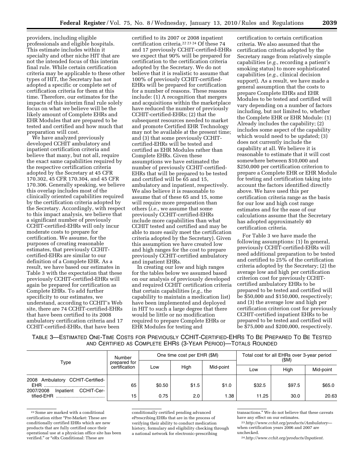providers, including eligible professionals and eligible hospitals. This estimate includes within it specialty and other niche HIT that are not the intended focus of this interim final rule. While certain certification criteria may be applicable to these other types of HIT, the Secretary has not adopted a specific or complete set of certification criteria for them at this time. Therefore, our estimates for the impacts of this interim final rule solely focus on what we believe will be the likely amount of Complete EHRs and EHR Modules that are prepared to be tested and certified and how much that preparation will cost.

We have analyzed previously developed CCHIT ambulatory and inpatient certification criteria and believe that many, but not all, require the exact same capabilities required by the respective certification criteria adopted by the Secretary at 45 CFR 170.302, 45 CFR 170.304, and 45 CFR 170.306. Generally speaking, we believe this overlap includes most of the clinically oriented capabilities required by the certification criteria adopted by the Secretary. Accordingly, with respect to this impact analysis, we believe that a significant number of previously CCHIT-certified-EHRs will only incur moderate costs to prepare for certification. We assume, for the purposes of creating reasonable estimates, that previously CCHITcertified-EHRs are similar to our definition of a Complete EHR. As a result, we have based our estimates in Table 3 with the expectation that these previously CCHIT-certified-EHRs will again be prepared for certification as Complete EHRs. To add further specificity to our estimates, we understand, according to CCHIT's Web site, there are 74 CCHIT-certified-EHRs that have been certified to its 2008 ambulatory certification criteria and 17 CCHIT-certified-EHRs, that have been

certified to its 2007 or 2008 inpatient certification criteria.22 23 24 Of these 74 and 17 previously CCHIT-certified-EHRs we expect that 90% will be prepared for certification to the certification criteria adopted by the Secretary. We do not believe that it is realistic to assume that 100% of previously CCHIT-certified-EHRs will be prepared for certification for a number of reasons. These reasons include: (1) A recognition that mergers and acquisitions within the marketplace have reduced the number of previously CCHIT-certified-EHRs; (2) that the subsequent resources needed to market and promote Certified EHR Technology may not be available at the present time; and (3) that some previously CCHITcertified-EHRs will be tested and certified as EHR Modules rather than Complete EHRs. Given these assumptions we have estimated the number of previously CCHIT-certified-EHRs that will be prepared to be tested and certified will be 65 and 15, ambulatory and inpatient, respectively. We also believe it is reasonable to assume that of these 65 and 15, some will require more preparation than others (*i.e.*, we assume that some previously CCHIT-certified-EHRs include more capabilities than what CCHIT tested and certified and may be able to more easily meet the certification criteria adopted by the Secretary). Given this assumption we have created low and high ranges for the cost to prepare previously CCHIT-certified ambulatory and inpatient EHRs.

In creating our low and high ranges for the tables below we assumed based on our analysis of previously developed and required CCHIT certification criteria that certain capabilities (*e.g.*, the capability to maintain a medication list) have been implemented and deployed in HIT to such a large degree that there would be little or no modification required to prepare Complete EHRs or EHR Modules for testing and

certification to certain certification criteria. We also assumed that the certification criteria adopted by the Secretary range from relatively simple capabilities (*e.g.*, recording a patient's smoking status) to more sophisticated capabilities (*e.g.*, clinical decision support). As a result, we have made a general assumption that the costs to prepare Complete EHRs and EHR Modules to be tested and certified will vary depending on a number of factors including, but not limited to, whether the Complete EHR or EHR Module: (1) Already includes the capability; (2) includes some aspect of the capability which would need to be updated; (3) does not currently include the capability at all. We believe it is reasonable to estimate that it will cost somewhere between \$10,000 and \$250,000 per certification criterion to prepare a Complete EHR or EHR Module for testing and certification taking into account the factors identified directly above. We have used this per certification criteria range as the basis for our low and high cost range estimates and for the ease of our calculations assume that the Secretary has adopted approximately 40 certification criteria.

For Table 3 we have made the following assumptions: (1) In general, previously CCHIT-certified-EHRs will need additional preparation to be tested and certified to 25% of the certification criteria adopted by the Secretary; (2) the average low and high per certification criterion cost for previously CCHITcertified ambulatory EHRs to be prepared to be tested and certified will be \$50,000 and \$150,000, respectively; and (3) the average low and high per certification criterion cost for previously CCHIT-certified inpatient EHRs to be prepared to be tested and certified will be \$75,000 and \$200,000, respectively.

TABLE 3—ESTIMATED ONE-TIME COSTS FOR PREVIOUSLY CCHIT-CERTIFIED-EHRS TO BE PREPARED TO BE TESTED AND CERTIFIED AS COMPLETE EHRS (3-YEAR PERIOD)—TOTALS ROUNDED

|                                                                                           | Number                        |        | One time cost per EHR (\$M) |           | Total cost for all EHRs over 3-year period<br>(\$M) |        |           |
|-------------------------------------------------------------------------------------------|-------------------------------|--------|-----------------------------|-----------|-----------------------------------------------------|--------|-----------|
| Type                                                                                      | prepared for<br>certification | Low    | High                        | Mid-point | Low                                                 | High   | Mid-point |
| Ambulatory CCHIT-Certified-<br>2008<br><b>EHR</b><br>CCHIT-Cer-<br>2007/2008<br>Inpatient | 65                            | \$0.50 | \$1.5                       | \$1.0     | \$32.5                                              | \$97.5 | \$65.0    |
| tified-EHR                                                                                | 15                            | 0.75   | 2.0                         | 1.38      | 11.25                                               | 30.0   | 20.63     |

22Some are marked with a conditional certification either ''Pre-Market: These are conditionally certified EHRs which are new products that are fully certified once their operational use at a physician office site has been verified." or "eRx Conditional: These are

conditionally certified pending advanced ePrescribing EHRs that are in the process of verifying their ability to conduct medication history, formulary and eligibility checking through a national network for electronic-prescribing

transactions.'' We do not believe that these caveats have any effect on our estimates.

23*http://www.cchit.org/products/Ambulatory* when certification years 2006 and 2007 are unchecked.

24*http://www.cchit.org/products/Inpatient*.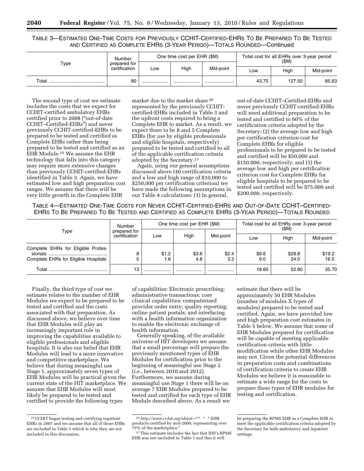TABLE 3—ESTIMATED ONE-TIME COSTS FOR PREVIOUSLY CCHIT-CERTIFIED-EHRS TO BE PREPARED TO BE TESTED AND CERTIFIED AS COMPLETE EHRS (3-YEAR PERIOD)—TOTALS ROUNDED—Continued

|       | Number                        | One time cost per EHR (\$M) |      |           | Total cost for all EHRs over 3-year period<br>(SM) |        |           |
|-------|-------------------------------|-----------------------------|------|-----------|----------------------------------------------------|--------|-----------|
| туре  | prepared for<br>certification | Low                         | High | Mid-point | High<br>Low                                        |        | Mid-point |
| Total | 80                            |                             |      |           | 43.75                                              | 127.50 | 85.63     |

The second type of cost we estimate includes the costs that we expect for CCHIT-certified ambulatory EHRs certified prior to 2008 (''out-of-date CCHIT–Certified-EHRs'') and never previously CCHIT-certified-EHRs to be prepared to be tested and certified as Complete EHRs rather than being prepared to be tested and certified as an EHR Module.25 We assume the EHR technology that falls into this category may require more extensive changes than previously CCHIT-certified-EHRs identified in Table 3. Again, we have estimated low and high preparation cost ranges. We assume that there will be very little growth in the Complete EHR

market due to the market share 26 represented by the previously CCHITcertified-EHRs included in Table 3 and the upfront costs required to bring a Complete EHR to market. As a result, we expect there to be 8 and 5 Complete EHRs (for use by eligible professionals and eligible hospitals, respectively) prepared to be tested and certified to all of the applicable certification criteria adopted by the Secretary.27

Again, using our general assumptions discussed above (40 certification criteria and a low and high range of \$10,000 to \$250,000 per certification criterion) we have made the following assumptions in our Table 4 calculations: (1) In general,

out-of-date CCHIT–Certified-EHRs and never previously CCHIT-certified-EHRs will need additional preparation to be tested and certified to 60% of the certification criteria adopted by the Secretary; (2) the average low and high per certification criterion cost for Complete EHRs for eligible professionals to be prepared to be tested and certified will be \$50,000 and \$150,000, respectively; and (3) the average low and high per certification criterion cost for Complete EHRs for eligible hospitals to be prepared to be tested and certified will be \$75,000 and \$200,000, respectively.

TABLE 4—ESTIMATED ONE-TIME COSTS FOR NEVER CCHIT-CERTIFIED-EHRS AND OUT-OF-DATE CCHIT–CERTIFIED-EHRS TO BE PREPARED TO BE TESTED AND CERTIFIED AS COMPLETE EHRS (3-YEAR PERIOD)—TOTALS ROUNDED

|                                                                            | Number                        |              | One time cost per EHR (\$M) |              | Total cost for all EHRs over 3-year period<br>(\$M) |                |                |
|----------------------------------------------------------------------------|-------------------------------|--------------|-----------------------------|--------------|-----------------------------------------------------|----------------|----------------|
| Type                                                                       | prepared for<br>certification | Low          | High                        | Mid-point    | LOW                                                 | High           | Mid-point      |
| Complete EHRs for Eligible Profes-<br>Complete EHRs for Eligible Hospitals | 8<br>5                        | \$1.2<br>1.8 | \$3.6<br>4.8                | \$2.4<br>3.3 | \$9.6<br>9.0                                        | \$28.8<br>24.0 | \$19.2<br>16.5 |
| Total                                                                      | 13                            |              |                             | .            | 18.60                                               | 52.80          | 35.70          |

Finally, the third type of cost we estimate relates to the number of EHR Modules we expect to be prepared to be tested and certified and the costs associated with that preparation. As discussed above, we believe over time that EHR Modules will play an increasingly important role in improving the capabilities available to eligible professionals and eligible hospitals. It is also our belief that EHR Modules will lead to a more innovative and competitive marketplace. We believe that during meaningful use Stage 1, approximately seven types of EHR Modules will be practical given the current state of the HIT marketplace. We assume that EHR Modules will most likely be prepared to be tested and certified to provide the following types

of capabilities: Electronic prescribing; administrative transactions; core clinical capabilities; computerized provider order entry; quality reporting; online patient portals; and interfacing with a health information organization to enable the electronic exchange of health information.

Generally speaking, of the available universe of HIT developers we assume that a small percentage will prepare the previously mentioned types of EHR Modules for certification prior to the beginning of meaningful use Stage 2 (*i.e.*, between 2010 and 2012). Furthermore, we assume during meaningful use Stage 1 there will be on average 7 EHR Modules prepared to be tested and certified for each type of EHR Module described above. As a result we

estimate that there will be approximately 50 EHR Modules (number of modules X types of modules) prepared to be tested and certified. Again, we have provided low and high preparation cost estimates in Table 5 below. We assume that some of EHR Modules prepared for certification will be capable of meeting applicable certification criteria with little modification while other EHR Modules may not. Given the potential differences in preparation costs and combinations of certification criteria to create EHR Modules we believe it is reasonable to estimate a wide range for the costs to prepare these types of EHR modules for testing and certification.

 $\mathrm{^{25}CCHIT}$  began testing and certifying inpatient EHRs in 2007 and we assume that all of those EHRs are included in Table 3 which is why they are not included in this discussion.

<sup>26</sup>*http://www.cchit.org/about*—''\* \* \* EHR products certified by mid-2009, representing over 75% of the marketplace.''

<sup>27</sup>This estimate includes the fact that IHS's RPMS EHR was not included in Table 1 and that it will

be preparing the RPMS EHR as a Complete EHR to meet the applicable certification criteria adopted by the Secretary for both ambulatory and inpatient settings.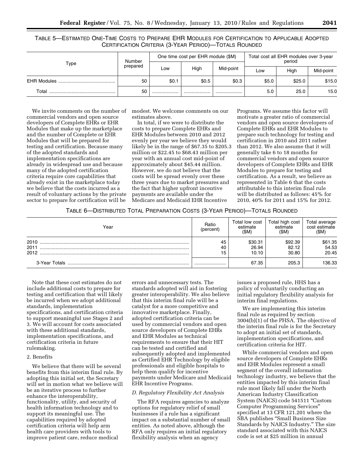TABLE 5—ESTIMATED ONE-TIME COSTS TO PREPARE EHR MODULES FOR CERTIFICATION TO APPLICABLE ADOPTED CERTIFICATION CRITERIA (3-YEAR PERIOD)—TOTALS ROUNDED

|                    | Number   |       | One time cost per EHR module (\$M) |           | Total cost all EHR modules over 3-year<br>period |        |           |
|--------------------|----------|-------|------------------------------------|-----------|--------------------------------------------------|--------|-----------|
| Type               | prepared | Low   | High                               | Mid-point | LOW                                              | High   | Mid-point |
| <b>EHR Modules</b> | 50       | \$0.1 | \$0.5                              | \$0.3     | \$5.0                                            | \$25.0 | \$15.0    |
| Total              | 50       |       |                                    |           | 5.0                                              | 25.0   | 15.0      |

We invite comments on the number of commercial vendors and open source developers of Complete EHRs or EHR Modules that make up the marketplace and the number of Complete or EHR Modules that will be prepared for testing and certification. Because many of the adopted standards and implementation specifications are already in widespread use and because many of the adopted certification criteria require core capabilities that already exist in the marketplace today we believe that the costs incurred as a result of voluntary actions by the private sector to prepare for certification will be

modest. We welcome comments on our estimates above.

In total, if we were to distribute the costs to prepare Complete EHRs and EHR Modules between 2010 and 2012 evenly per year we believe they would likely be in the range of \$67.35 to \$205.3 million or \$22.45 to \$68.43 million per year with an annual cost mid-point of approximately about \$45.44 million. However, we do not believe that the costs will be spread evenly over these three years due to market pressures and the fact that higher upfront incentive payments are available under the Medicare and Medicaid EHR Incentive

Programs. We assume this factor will motivate a greater ratio of commercial vendors and open source developers of Complete EHRs and EHR Modules to prepare such technology for testing and certification in 2010 and 2011 rather than 2012. We also assume that it will generally take 6 to 18 months for commercial vendors and open source developers of Complete EHRs and EHR Modules to prepare for testing and certification. As a result, we believe as represented in Table 6 that the costs attributable to this interim final rule will be distributed as follows: 45% for 2010, 40% for 2011 and 15% for 2012.

| TABLE 6—DISTRIBUTED TOTAL PREPARATION COSTS (3-YEAR PERIOD)—TOTALS ROUNDED |  |
|----------------------------------------------------------------------------|--|
|----------------------------------------------------------------------------|--|

| Year                 | Ratio<br>(percent) | Total low cost<br>estimate<br>(SM) | Total high cost<br>estimate<br>(SM) | <b>Total average</b><br>cost estimate<br>(SM) |
|----------------------|--------------------|------------------------------------|-------------------------------------|-----------------------------------------------|
| 2010<br>2011<br>2012 | 45<br>40<br>15     | \$30.31<br>26.94<br>10.10          | \$92.39<br>82.12<br>30.80           | \$61.35<br>54.53<br>20.45                     |
|                      |                    | 67.35                              | 205.3                               | 136.33                                        |

Note that these cost estimates do not include additional costs to prepare for testing and certification that will likely be incurred when we adopt additional standards, implementation specifications, and certification criteria to support meaningful use Stages 2 and 3. We will account for costs associated with these additional standards, implementation specifications, and certification criteria in future rulemaking.

#### 2. Benefits

We believe that there will be several benefits from this interim final rule. By adopting this initial set, the Secretary will set in motion what we believe will be an iterative process to further enhance the interoperability, functionality, utility, and security of health information technology and to support its meaningful use. The capabilities required by adopted certification criteria will help arm health care providers with tools to improve patient care, reduce medical

errors and unnecessary tests. The standards adopted will aid in fostering greater interoperability. We also believe that this interim final rule will be a catalyst for a more competitive and innovative marketplace. Finally, adopted certification criteria can be used by commercial vendors and open source developers of Complete EHRs and EHR Modules as technical requirements to ensure that their HIT can be tested and certified and subsequently adopted and implemented as Certified EHR Technology by eligible professionals and eligible hospitals to help them qualify for incentive payments under Medicare and Medicaid EHR Incentive Programs.

#### *D. Regulatory Flexibility Act Analysis*

The RFA requires agencies to analyze options for regulatory relief of small businesses if a rule has a significant impact on a substantial number of small entities. As noted above, although the RFA only requires an initial regulatory flexibility analysis when an agency

issues a proposed rule, HHS has a policy of voluntarily conducting an initial regulatory flexibility analysis for interim final regulations.

We are implementing this interim final rule as required by section 3004(b)(1) of the PHSA. The objective of the interim final rule is for the Secretary to adopt an initial set of standards, implementation specifications, and certification criteria for HIT.

While commercial vendors and open source developers of Complete EHRs and EHR Modules represent a small segment of the overall information technology industry, we believe that the entities impacted by this interim final rule most likely fall under the North American Industry Classification System (NAICS) code 541511 ''Custom Computer Programming Services'' specified at 13 CFR 121.201 where the SBA publishes ''Small Business Size Standards by NAICS Industry.'' The size standard associated with this NAICS code is set at \$25 million in annual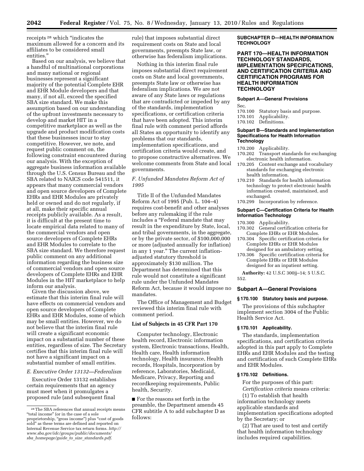receipts 28 which ''indicates the maximum allowed for a concern and its affiliates to be considered small entities.''

Based on our analysis, we believe that a handful of multinational corporations and many national or regional businesses represent a significant majority of the potential Complete EHR and EHR Module developers and that many, if not all, exceed the specified SBA size standard. We make this assumption based on our understanding of the upfront investments necessary to develop and market HIT in a competitive marketplace as well as the upgrade and product modification costs that these businesses incur to stay competitive. However, we note, and request public comment on, the following constraint encountered during our analysis. With the exception of aggregate business information available through the U.S. Census Bureau and the SBA related to NAICS code 541511, it appears that many commercial vendors and open source developers of Complete EHRs and EHR Modules are privately held or owned and do not regularly, if at all, make their specific annual receipts publicly available. As a result, it is difficult at the present time to locate empirical data related to many of the commercial vendors and open source developers of Complete EHRs and EHR Modules to correlate to the SBA size standard. We therefore request public comment on any additional information regarding the business size of commercial vendors and open source developers of Complete EHRs and EHR Modules in the HIT marketplace to help inform our analysis.

Given the discussion above, we estimate that this interim final rule will have effects on commercial vendors and open source developers of Complete EHRs and EHR Modules, some of which may be small entities. However, we do not believe that the interim final rule will create a significant economic impact on a substantial number of these entities, regardless of size. The Secretary certifies that this interim final rule will not have a significant impact on a substantial number of small entities.

#### *E. Executive Order 13132—Federalism*

Executive Order 13132 establishes certain requirements that an agency must meet when it promulgates a proposed rule (and subsequent final

rule) that imposes substantial direct requirement costs on State and local governments, preempts State law, or otherwise has federalism implications.

Nothing in this interim final rule imposes substantial direct requirement costs on State and local governments, preempts State law or otherwise has federalism implications. We are not aware of any State laws or regulations that are contradicted or impeded by any of the standards, implementation specifications, or certification criteria that have been adopted. This interim final rule with comment period affords all States an opportunity to identify any problems that our standards, implementation specifications, and certification criteria would create, and to propose constructive alternatives. We welcome comments from State and local governments.

*F. Unfunded Mandates Reform Act of 1995* 

Title II of the Unfunded Mandates Reform Act of 1995 (Pub. L. 104–4) requires cost-benefit and other analyses before any rulemaking if the rule includes a "Federal mandate that may result in the expenditure by State, local, and tribal governments, in the aggregate, or by the private sector, of \$100,000,000 or more (adjusted annually for inflation) in any 1 year.'' The current inflationadjusted statutory threshold is approximately \$130 million. The Department has determined that this rule would not constitute a significant rule under the Unfunded Mandates Reform Act, because it would impose no mandates.

The Office of Management and Budget reviewed this interim final rule with comment period.

#### **List of Subjects in 45 CFR Part 170**

Computer technology, Electronic health record, Electronic information system, Electronic transactions, Health, Health care, Health information technology, Health insurance, Health records, Hospitals, Incorporation by reference, Laboratories, Medicaid, Medicare, Privacy, Reporting and recordkeeping requirements, Public health, Security.

■ For the reasons set forth in the preamble, the Department amends 45 CFR subtitle A to add subchapter D as follows:

#### **SUBCHAPTER D—HEALTH INFORMATION TECHNOLOGY**

#### **PART 170—HEALTH INFORMATION TECHNOLOGY STANDARDS, IMPLEMENTATION SPECIFICATIONS, AND CERTIFICATION CRITERIA AND CERTIFICATION PROGRAMS FOR HEALTH INFORMATION TECHNOLOGY**

#### **Subpart A—General Provisions**

Sec.

- 170.100 Statutory basis and purpose.<br>170.101 Applicability.
- 170.101 Applicability.
- Definitions.

#### **Subpart B—Standards and Implementation Specifications for Health Information Technology**

- 170.200 Applicability.
- 170.202 Transport standards for exchanging electronic health information.
- 170.205 Content exchange and vocabulary standards for exchanging electronic health information.
- 170.210 Standards for health information technology to protect electronic health information created, maintained, and exchanged.
- 170.299 Incorporation by reference.

#### **Subpart C—Certification Criteria for Health Information Technology**

- 170.300 Applicability.
- 170.302 General certification criteria for Complete EHRs or EHR Modules.
- 170.304 Specific certification criteria for Complete EHRs or EHR Modules designed for an ambulatory setting.
- 170.306 Specific certification criteria for Complete EHRs or EHR Modules designed for an inpatient setting.

**Authority:** 42 U.S.C 300jj–14; 5 U.S.C. 552.

#### **Subpart A—General Provisions**

#### **§ 170.100 Statutory basis and purpose.**

The provisions of this subchapter implement section 3004 of the Public Health Service Act.

#### **§ 170.101 Applicability.**

The standards, implementation specifications, and certification criteria adopted in this part apply to Complete EHRs and EHR Modules and the testing and certification of such Complete EHRs and EHR Modules.

#### **§ 170.102 Definitions.**

For the purposes of this part: *Certification criteria* means criteria:

(1) To establish that health information technology meets applicable standards and implementation specifications adopted by the Secretary; or

(2) That are used to test and certify that health information technology includes required capabilities.

<sup>28</sup>The SBA references that annual receipts means ''total income'' (or in the case of a sole proprietorship, "gross income") plus "cost of goods sold'' as these terms are defined and reported on Internal Revenue Service tax return forms. *http:// www.sba.gov/idc/groups/public/documents/ sba*\_*homepage/guide*\_*to*\_*size*\_*standards.pdf*.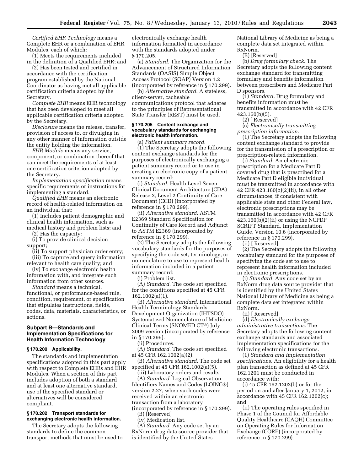*Certified EHR Technology* means a Complete EHR or a combination of EHR Modules, each of which:

(1) Meets the requirements included in the definition of a Qualified EHR; and

(2) Has been tested and certified in accordance with the certification program established by the National Coordinator as having met all applicable certification criteria adopted by the Secretary.

*Complete EHR* means EHR technology that has been developed to meet all applicable certification criteria adopted by the Secretary.

*Disclosure* means the release, transfer, provision of access to, or divulging in any other manner of information outside the entity holding the information.

*EHR Module* means any service, component, or combination thereof that can meet the requirements of at least one certification criterion adopted by the Secretary.

*Implementation specification* means specific requirements or instructions for implementing a standard.

*Qualified EHR* means an electronic record of health-related information on an individual that:

(1) Includes patient demographic and clinical health information, such as medical history and problem lists; and

(2) Has the capacity:

(i) To provide clinical decision support;

(ii) To support physician order entry; (iii) To capture and query information

relevant to health care quality; and

(iv) To exchange electronic health information with, and integrate such information from other sources.

*Standard* means a technical, functional, or performance-based rule, condition, requirement, or specification that stipulates instructions, fields, codes, data, materials, characteristics, or actions.

#### **Subpart B—Standards and Implementation Specifications for Health Information Technology**

#### **§ 170.200 Applicability.**

The standards and implementation specifications adopted in this part apply with respect to Complete EHRs and EHR Modules. When a section of this part includes adoption of both a standard and at least one alternative standard, use of the specified standard or alternatives will be considered compliant.

#### **§ 170.202 Transport standards for exchanging electronic health information.**

The Secretary adopts the following standards to define the common transport methods that must be used to electronically exchange health information formatted in accordance with the standards adopted under § 170.205.

(a) *Standard.* The Organization for the Advancement of Structured Information Standards (OASIS) Simple Object Access Protocol (SOAP) Version 1.2 (incorporated by reference in § 170.299).

(b) *Alternative standard.* A stateless, client-server, cacheable communications protocol that adheres to the principles of Representational State Transfer (REST) must be used.

#### **§ 170.205 Content exchange and vocabulary standards for exchanging electronic health information.**

(a) *Patient summary record.* 

(1) The Secretary adopts the following content exchange standards for the purposes of electronically exchanging a patient summary record or to use in creating an electronic copy of a patient summary record:

(i) *Standard.* Health Level Seven Clinical Document Architecture (CDA) Release 2, Level 2 Continuity of Care Document (CCD) (incorporated by reference in § 170.299).

(ii) *Alternative standard.* ASTM E2369 Standard Specification for Continuity of Care Record and Adjunct to ASTM E2369 (incorporated by reference in § 170.299).

(2) The Secretary adopts the following vocabulary standards for the purposes of specifying the code set, terminology, or nomenclature to use to represent health information included in a patient summary record:

(i) Problem list.

(A) *Standard.* The code set specified for the conditions specified at 45 CFR 162.1002(a)(1).

(B) *Alternative standard.* International Health Terminology Standards Development Organization (IHTSDO) Systematized Nomenclature of Medicine Clinical Terms (SNOMED CT®) July 2009 version (incorporated by reference in § 170.299).

(ii) Procedures.

(A) *Standard.* The code set specified at 45 CFR 162.1002(a)(2).

(B) *Alternative standard.* The code set specified at 45 CFR 162.1002(a)(5).

(iii) Laboratory orders and results.

(A) *Standard.* Logical Observation Identifiers Names and Codes (LOINC®) version 2.27, when such codes were received within an electronic transaction from a laboratory (incorporated by reference in § 170.299).

(B) [Reserved]

(iv) Medication list.

(A) *Standard.* Any code set by an RxNorm drug data source provider that is identified by the United States

National Library of Medicine as being a complete data set integrated within RxNorm.

(B) [Reserved]

(b) *Drug formulary check.* The Secretary adopts the following content exchange standard for transmitting formulary and benefits information between prescribers and Medicare Part D sponsors.

(1) *Standard.* Drug formulary and benefits information must be transmitted in accordance with 42 CFR 423.160(b)(5).

(2) [ Reserved]

(c) *Electronically transmitting prescription information.* 

(1) The Secretary adopts the following content exchange standard to provide for the transmission of a prescription or prescription-related information.

(i) *Standard.* An electronic prescription for a Medicare Part D covered drug that is prescribed for a Medicare Part D eligible individual must be transmitted in accordance with 42 CFR 423.160(b)(2)(ii), in all other circumstances, if consistent with applicable state and other Federal law, electronic prescriptions may be transmitted in accordance with 42 CFR 423.160(b)(2)(ii) or using the NCPDP SCRIPT Standard, Implementation Guide, Version 10.6 (incorporated by reference in § 170.299).

(ii) [ Reserved]

(2) The Secretary adopts the following vocabulary standard for the purposes of specifying the code set to use to represent health information included in electronic prescriptions.

(i) *Standard.* Any code set by an RxNorm drug data source provider that is identified by the United States National Library of Medicine as being a complete data set integrated within RxNorm.

(ii) [ Reserved]

(d) *Electronically exchange administrative transactions.* The Secretary adopts the following content exchange standards and associated implementation specifications for the following electronic transactions.

(1) *Standard and implementation specifications.* An eligibility for a health plan transaction as defined at 45 CFR 162.1201 must be conducted in accordance with:

(i) 45 CFR 162.1202(b) or for the period on and after January 1, 2012, in accordance with 45 CFR 162.1202(c); and

(ii) The operating rules specified in Phase 1 of the Council for Affordable Quality Healthcare (CAQH) Committee on Operating Rules for Information Exchange (CORE) (incorporated by reference in § 170.299).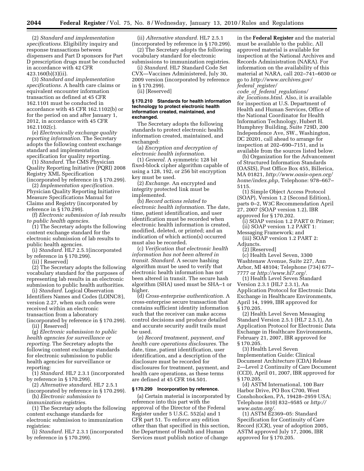(2) *Standard and implementation specifications.* Eligibility inquiry and response transactions between dispensers and Part D sponsors for Part D prescription drugs must be conducted in accordance with 42 CFR 423.160(b)(3)(ii).

(3) *Standard and implementation specifications.* A health care claims or equivalent encounter information transaction as defined at 45 CFR 162.1101 must be conducted in accordance with 45 CFR 162.1102(b) or for the period on and after January 1, 2012, in accordance with 45 CFR 162.1102(c).

(e) *Electronically exchange quality reporting information.* The Secretary adopts the following content exchange standard and implementation specification for quality reporting.

(1) *Standard.* The CMS Physician Quality Reporting Initiative (PQRI) 2008 Registry XML Specification (incorporated by reference in § 170.299).

(2) *Implementation specification.*  Physician Quality Reporting Initiative Measure Specifications Manual for Claims and Registry (incorporated by reference in § 170.299).

(f) *Electronic submission of lab results to public health agencies.* 

(1) The Secretary adopts the following content exchange standard for the electronic submission of lab results to public health agencies.

(i) *Standard.* HL7 2.5.1(incorporated by reference in § 170.299).

(ii) [ Reserved]

(2) The Secretary adopts the following vocabulary standard for the purposes of representing lab results in an electronic submission to public health authorities.

(i) *Standard.* Logical Observation Identifiers Names and Codes (LOINC®), version 2.27, when such codes were received within an electronic transaction from a laboratory (incorporated by reference in § 170.299).

(ii) [ Reserved]

(g) *Electronic submission to public health agencies for surveillance or reporting.* The Secretary adopts the following content exchange standards for electronic submission to public health agencies for surveillance or reporting:

(1) *Standard.* HL7 2.3.1 (incorporated by reference in § 170.299).

(2) *Alternative standard.* HL7 2.5.1 (incorporated by reference in § 170.299).

(h) *Electronic submission to immunization registries.* 

(1) The Secretary adopts the following content exchange standards for electronic submission to immunization registries:

(i) *Standard.* HL7 2.3.1 (incorporated by reference in § 170.299).

(ii) *Alternative standard.* HL7 2.5.1

(incorporated by reference in § 170.299). (2) The Secretary adopts the following vocabulary standard for electronic submissions to immunization registries.

(i) *Standard.* HL7 Standard Code Set CVX—Vaccines Administered, July 30, 2009 version (incorporated by reference in § 170.299).

(ii) [Reserved]

#### **§ 170.210 Standards for health information technology to protect electronic health information created, maintained, and exchanged.**

The Secretary adopts the following standards to protect electronic health information created, maintained, and exchanged:

(a) *Encryption and decryption of electronic health information.* 

(1) *General.* A symmetric 128 bit fixed-block cipher algorithm capable of using a 128, 192, or 256 bit encryption key must be used.

(2) *Exchange.* An encrypted and integrity protected link must be implemented.

(b) *Record actions related to electronic health information.* The date, time, patient identification, and user identification must be recorded when electronic health information is created, modified, deleted, or printed; and an indication of which action(s) occurred must also be recorded.

(c) *Verification that electronic health information has not been altered in transit. Standard.* A secure hashing algorithm must be used to verify that electronic health information has not been altered in transit. The secure hash algorithm (SHA) used must be SHA–1 or higher.

(d) *Cross-enterprise authentication.* A cross-enterprise secure transaction that contains sufficient identity information such that the receiver can make access control decisions and produce detailed and accurate security audit trails must be used.

(e) *Record treatment, payment, and health care operations disclosures.* The date, time, patient identification, user identification, and a description of the disclosure must be recorded for disclosures for treatment, payment, and health care operations, as these terms are defined at 45 CFR 164.501.

#### **§ 170.299 Incorporation by reference.**

(a) Certain material is incorporated by reference into this part with the approval of the Director of the Federal Register under 5 U.S.C. 552(a) and 1 CFR part 51. To enforce any edition other than that specified in this section, the Department of Health and Human Services must publish notice of change

in the **Federal Register** and the material must be available to the public. All approved material is available for inspection at the National Archives and Records Administration (NARA). For information on the availability of this material at NARA, call 202–741–6030 or go to *http://www.archives.gov/ federal*\_*register/* 

*code*\_*of*\_*federal*\_*regulations/ ibr*\_*locations.html.* Also, it is available for inspection at U.S. Department of Health and Human Services, Office of the National Coordinator for Health Information Technology, Hubert H. Humphrey Building, Suite 729D, 200 Independence Ave, SW., Washington, DC 20201, call ahead to arrange for inspection at 202–690–7151, and is available from the sources listed below.

(b) Organization for the Advancement of Structured Information Standards (OASIS), Post Office Box 455, Billerica, MA 01821, *http://www.oasis-open.org/ home/index.php,* Telephone: 978–667– 5115.

(1) Simple Object Access Protocol (SOAP), Version 1.2 (Second Edition), parts 0–2, W3C Recommendation April 27, 2007 (SOAP version 1.2), IBR approved for § 170.202.

(i) SOAP version 1.2 PART 0: Primer; (ii) SOAP version 1.2 PART 1:

- Messaging Framework; and (iii) SOAP version 1.2 PART 2:
- Adjuncts.

(2) [Reserved]

(c) Health Level Seven, 3300 Washtenaw Avenue, Suite 227, Ann Arbor, MI 48104; Telephone (734) 677– 7777 or *http://www.hl7.org/.* 

(1) Health Level Seven Standard Version 2.3.1 (HL7 2.3.1), An Application Protocol for Electronic Data Exchange in Healthcare Environments, April 14, 1999, IBR approved for § 170.205.

(2) Health Level Seven Messaging Standard Version 2.5.1 (HL7 2.5.1), An Application Protocol for Electronic Data Exchange in Healthcare Environments, February 21, 2007, IBR approved for § 170.205.

(3) Health Level Seven Implementation Guide: Clinical Document Architecture (CDA) Release 2—Level 2 Continuity of Care Document (CCD), April 01, 2007, IBR approved for § 170.205.

(d) ASTM International, 100 Barr Harbor Drive, PO Box C700, West Conshohocken, PA, 19428–2959 USA; Telephone (610) 832–9585 or *http:// www.astm.org/.* 

(1) ASTM E2369–05: Standard Specification for Continuity of Care Record (CCR), year of adoption 2005, ASTM approved July 17, 2006, IBR approved for § 170.205.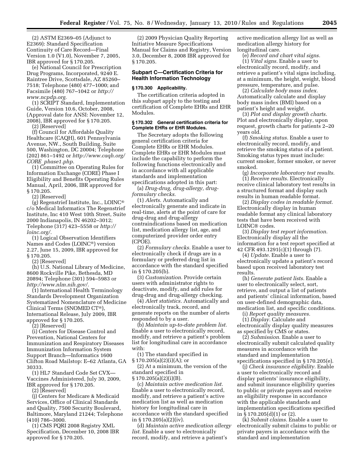(2) ASTM E2369–05 (Adjunct to E2369): Standard Specification Continuity of Care Record—Final Version 1.0 (V1.0), November 7, 2005, IBR approved for § 170.205.

(e) National Council for Prescription Drug Programs, Incorporated, 9240 E. Raintree Drive, Scottsdale, AZ 85260– 7518; Telephone (480) 477–1000; and Facsimile (480) 767–1042 or *http:// www.ncpdp.org.* 

(1) SCRIPT Standard, Implementation Guide, Version 10.6, October, 2008, (Approval date for ANSI: November 12, 2008), IBR approved for § 170.205.

(2) [Reserved]

(f) Council for Affordable Quality Healthcare (CAQH), 601 Pennsylvania Avenue, NW., South Building, Suite 500, Washington, DC 20004; Telephone (202) 861–1492 or *http://www.caqh.org/ CORE*\_*phase1.php.* 

(1) Committee on Operating Rules for Information Exchange (CORE) Phase I Eligibility and Benefits Operating Rules Manual, April, 2006, IBR approved for § 170.205.

(2) [Reserved]

(g) Regenstrief Institute, Inc., LOINC® c/o Medical Informatics The Regenstrief Institute, Inc 410 West 10th Street, Suite 2000 Indianapolis, IN 46202–3012; Telephone (317) 423–5558 or *http:// loinc.org/.* 

(1) Logical Observation Identifiers Names and Codes (LOINC®) version 2.27, June 15, 2009, IBR approved for § 170.205.

(2) [Reserved]

(h) U.S. National Library of Medicine, 8600 Rockville Pike, Bethesda, MD 20894; Telephone (301) 594–5983 or *http://www.nlm.nih.gov/.* 

(1) International Health Terminology Standards Development Organization Systematized Nomenclature of Medicine Clinical Terms (SNOMED CT®), International Release, July 2009, IBR approved for § 170.205.

(2) [Reserved]

(i) Centers for Disease Control and Prevention, National Centers for Immunization and Respiratory Diseases Immunization Information System Support Branch—Informatics 1600 Clifton Road Mailstop: E–62 Atlanta, GA 30333.

(1) HL7 Standard Code Set CVX— Vaccines Administered, July 30, 2009, IBR approved for § 170.205.

(2) [Reserved]

(j) Centers for Medicare & Medicaid Services, Office of Clinical Standards and Quality, 7500 Security Boulevard, Baltimore, Maryland 21244; Telephone (410) 786–3000.

(1) CMS PQRI 2008 Registry XML Specification, December 10, 2008 IBR approved for § 170.205.

(2) 2009 Physician Quality Reporting Initiative Measure Specifications Manual for Claims and Registry, Version 3.0, December 8, 2008 IBR approved for § 170.205.

#### **Subpart C—Certification Criteria for Health Information Technology**

#### **§ 170.300 Applicability.**

The certification criteria adopted in this subpart apply to the testing and certification of Complete EHRs and EHR Modules.

#### **§ 170.302 General certification criteria for Complete EHRs or EHR Modules.**

The Secretary adopts the following general certification criteria for Complete EHRs or EHR Modules. Complete EHRs or EHR Modules must include the capability to perform the following functions electronically and in accordance with all applicable standards and implementation specifications adopted in this part:

(a) *Drug-drug, drug-allergy, drugformulary checks.* 

(1) *Alerts.* Automatically and electronically generate and indicate in real-time, alerts at the point of care for drug-drug and drug-allergy contraindications based on medication list, medication allergy list, age, and computerized provider order entry (CPOE).

(2) *Formulary checks.* Enable a user to electronically check if drugs are in a formulary or preferred drug list in accordance with the standard specified in § 170.205(b).

(3) *Customization.* Provide certain users with administrator rights to deactivate, modify, and add rules for drug-drug and drug-allergy checking.

(4) *Alert statistics.* Automatically and electronically track, record, and generate reports on the number of alerts responded to by a user.

(b) *Maintain up-to-date problem list.*  Enable a user to electronically record, modify, and retrieve a patient's problem list for longitudinal care in accordance with:

(1) The standard specified in  $\S 170.205(a)(2)(i)(A);$  or

(2) At a minimum, the version of the standard specified in

§ 170.205(a)(2)(i)(B).

(c) *Maintain active medication list.*  Enable a user to electronically record, modify, and retrieve a patient's active medication list as well as medication history for longitudinal care in accordance with the standard specified in § 170.205(a)(2)(iv).

(d) *Maintain active medication allergy list.* Enable a user to electronically record, modify, and retrieve a patient's

active medication allergy list as well as medication allergy history for longitudinal care.

(e) *Record and chart vital signs.*  (1) *Vital signs.* Enable a user to electronically record, modify, and retrieve a patient's vital signs including, at a minimum, the height, weight, blood

pressure, temperature, and pulse. (2) *Calculate body mass index.*  Automatically calculate and display body mass index (BMI) based on a patient's height and weight.

(3) *Plot and display growth charts.*  Plot and electronically display, upon request, growth charts for patients 2–20 years old.

(f) *Smoking status.* Enable a user to electronically record, modify, and retrieve the smoking status of a patient. Smoking status types must include: current smoker, former smoker, or never smoked.

(g) *Incorporate laboratory test results.*  (1) *Receive results.* Electronically receive clinical laboratory test results in a structured format and display such results in human readable format.

(2) *Display codes in readable format.*  Electronically display in human readable format any clinical laboratory tests that have been received with LOINC® codes.

(3) *Display test report information.*  Electronically display all the information for a test report specified at 42 CFR 493.1291(c)(1) through (7).

(4) *Update.* Enable a user to electronically update a patient's record based upon received laboratory test results.

(h) *Generate patient lists.* Enable a user to electronically select, sort, retrieve, and output a list of patients and patients' clinical information, based on user-defined demographic data, medication list, and specific conditions.

(i) *Report quality measures.*  (1) *Display.* Calculate and electronically display quality measures as specified by CMS or states.

(2) *Submission.* Enable a user to electronically submit calculated quality measures in accordance with the standard and implementation specifications specified in § 170.205(e).

(j) *Check insurance eligibility.* Enable a user to electronically record and display patients' insurance eligibility, and submit insurance eligibility queries to public or private payers and receive an eligibility response in accordance with the applicable standards and implementation specifications specified in § 170.205(d)(1) or (2).

(k) *Submit claims.* Enable a user to electronically submit claims to public or private payers in accordance with the standard and implementation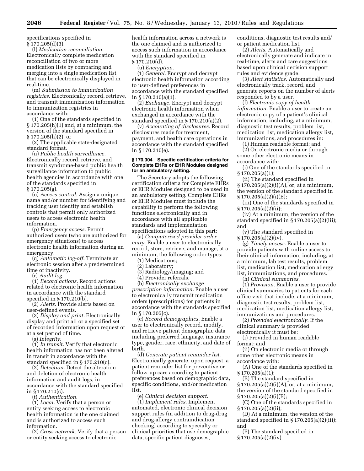specifications specified in  $§ 170.205(d)(3).$ 

(l) *Medication reconciliation.*  Electronically complete medication reconciliation of two or more medication lists by comparing and merging into a single medication list that can be electronically displayed in real-time.

(m) *Submission to immunization registries.* Electronically record, retrieve, and transmit immunization information to immunization registries in accordance with:

(1) One of the standards specified in § 170.205(h)(1) and, at a minimum, the version of the standard specified in § 170.205(h)(2); or

(2) The applicable state-designated standard format.

(n) *Public health surveillance.*  Electronically record, retrieve, and transmit syndrome-based public health surveillance information to public health agencies in accordance with one of the standards specified in § 170.205(g).

(o) *Access control.* Assign a unique name and/or number for identifying and tracking user identity and establish controls that permit only authorized users to access electronic health information.

(p) *Emergency access.* Permit authorized users (who are authorized for emergency situations) to access electronic health information during an emergency.

(q) *Automatic log-off.* Terminate an electronic session after a predetermined time of inactivity.

(r) *Audit log.* 

(1) *Record actions.* Record actions related to electronic health information in accordance with the standard specified in § 170.210(b).

(2) *Alerts.* Provide alerts based on user-defined events.

(3) *Display and print.* Electronically display and print all or a specified set of recorded information upon request or at a set period of time.

(s) *Integrity.* 

(1) *In transit.* Verify that electronic health information has not been altered in transit in accordance with the standard specified in § 170.210(c).

(2) *Detection.* Detect the alteration and deletion of electronic health information and audit logs, in accordance with the standard specified in § 170.210(c).

(t) *Authentication.* 

(1) *Local.* Verify that a person or entity seeking access to electronic health information is the one claimed and is authorized to access such information.

(2) *Cross network.* Verify that a person or entity seeking access to electronic

health information across a network is the one claimed and is authorized to access such information in accordance with the standard specified in § 170.210(d).

(u) *Encryption*.

(1) *General.* Encrypt and decrypt electronic health information according to user-defined preferences in accordance with the standard specified in § 170.210(a)(1).

(2) *Exchange.* Encrypt and decrypt electronic health information when exchanged in accordance with the standard specified in § 170.210(a)(2).

(v) *Accounting of disclosures.* Record disclosures made for treatment, payment, and health care operations in accordance with the standard specified in § 170.210(e).

#### **§ 170.304 Specific certification criteria for Complete EHRs or EHR Modules designed for an ambulatory setting.**

The Secretary adopts the following certification criteria for Complete EHRs or EHR Modules designed to be used in an ambulatory setting. Complete EHRs or EHR Modules must include the capability to perform the following functions electronically and in accordance with all applicable standards and implementation specifications adopted in this part:

(a) *Computerized provider order entry.* Enable a user to electronically record, store, retrieve, and manage, at a minimum, the following order types:

(1) Medications;

(2) Laboratory;

(3) Radiology/imaging; and

(4) Provider referrals.

(b) *Electronically exchange prescription information.* Enable a user to electronically transmit medication orders (prescriptions) for patients in accordance with the standards specified in § 170.205(c).

(c) *Record demographics.* Enable a user to electronically record, modify, and retrieve patient demographic data including preferred language, insurance type, gender, race, ethnicity, and date of birth.

(d) *Generate patient reminder list.*  Electronically generate, upon request, a patient reminder list for preventive or follow-up care according to patient preferences based on demographic data, specific conditions, and/or medication list.

(e) *Clinical decision support.* 

(1) *Implement rules.* Implement automated, electronic clinical decision support rules (in addition to drug-drug and drug-allergy contraindication checking) according to specialty or clinical priorities that use demographic data, specific patient diagnoses,

conditions, diagnostic test results and/ or patient medication list.

(2) *Alerts.* Automatically and electronically generate and indicate in real-time, alerts and care suggestions based upon clinical decision support rules and evidence grade.

(3) *Alert statistics.* Automatically and electronically track, record, and generate reports on the number of alerts responded to by a user.

(f) *Electronic copy of health information.* Enable a user to create an electronic copy of a patient's clinical information, including, at a minimum, diagnostic test results, problem list, medication list, medication allergy list, immunizations, and procedures in:

(1) Human readable format; and

(2) On electronic media or through some other electronic means in accordance with:

(i) One of the standards specified in § 170.205(a)(1);

(ii) The standard specified in  $§ 170.205(a)(2)(i)(A)$ , or, at a minimum, the version of the standard specified in § 170.205(a)(2)(i)(B);

(iii) One of the standards specified in § 170.205(a)(2)(ii);

(iv) At a minimum, the version of the standard specified in § 170.205(a)(2)(iii); and

(v) The standard specified in § 170.205(a)(2)(iv).

(g) *Timely access.* Enable a user to provide patients with online access to their clinical information, including, at a minimum, lab test results, problem list, medication list, medication allergy list, immunizations, and procedures.

(h) *Clinical summaries.* 

(1) *Provision.* Enable a user to provide clinical summaries to patients for each office visit that include, at a minimum, diagnostic test results, problem list, medication list, medication allergy list, immunizations and procedures.

(2) *Provided electronically.* If the clinical summary is provided

electronically it must be:

(i) Provided in human readable format; and

(ii) On electronic media or through some other electronic means in accordance with:

(A) One of the standards specified in § 170.205(a)(1);

(B) The standard specified in  $§ 170.205(a)(2)(i)(A)$ , or, at a minimum, the version of the standard specified in  $\S 170.205(a)(2)(i)(B);$ 

(C) One of the standards specified in § 170.205(a)(2)(ii);

(D) At a minimum, the version of the standard specified in § 170.205(a)(2)(iii); and

(E) The standard specified in § 170.205(a)(2)(iv).